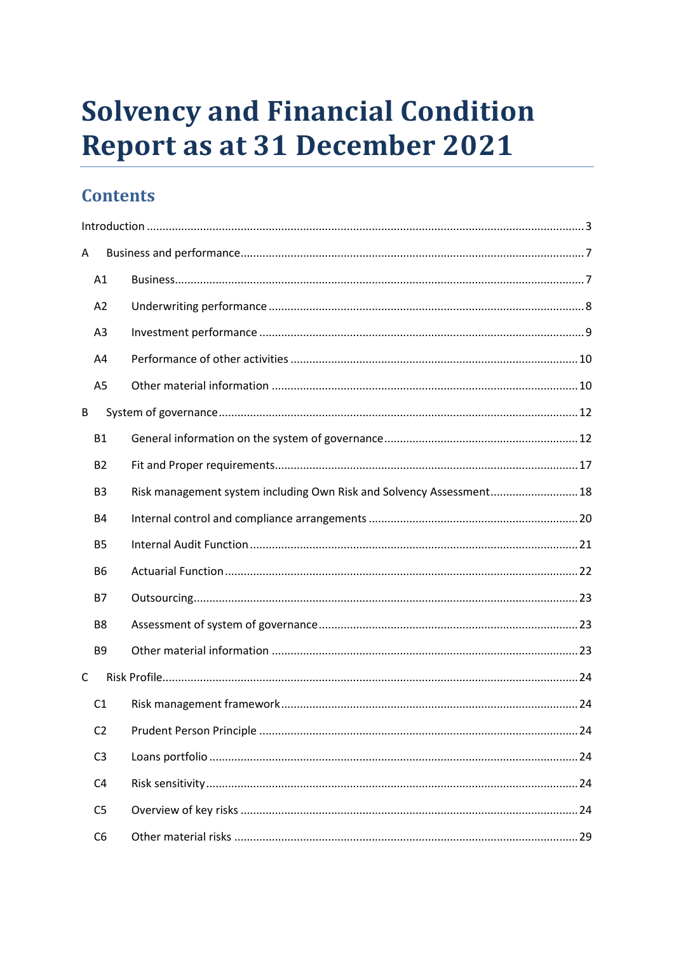# **Solvency and Financial Condition Report as at 31 December 2021**

# **Contents**

| A |                |                                                                      |  |  |  |
|---|----------------|----------------------------------------------------------------------|--|--|--|
|   | A1             |                                                                      |  |  |  |
|   | A2             |                                                                      |  |  |  |
|   | A <sub>3</sub> |                                                                      |  |  |  |
|   | A4             |                                                                      |  |  |  |
|   | A <sub>5</sub> |                                                                      |  |  |  |
| B |                |                                                                      |  |  |  |
|   | <b>B1</b>      |                                                                      |  |  |  |
|   | <b>B2</b>      |                                                                      |  |  |  |
|   | B <sub>3</sub> | Risk management system including Own Risk and Solvency Assessment 18 |  |  |  |
|   | <b>B4</b>      |                                                                      |  |  |  |
|   | <b>B5</b>      |                                                                      |  |  |  |
|   | <b>B6</b>      |                                                                      |  |  |  |
|   | <b>B7</b>      |                                                                      |  |  |  |
|   | B <sub>8</sub> |                                                                      |  |  |  |
|   | B <sub>9</sub> |                                                                      |  |  |  |
| C |                |                                                                      |  |  |  |
|   | C <sub>1</sub> |                                                                      |  |  |  |
|   | C <sub>2</sub> |                                                                      |  |  |  |
|   | C <sub>3</sub> |                                                                      |  |  |  |
|   | C <sub>4</sub> |                                                                      |  |  |  |
|   | C <sub>5</sub> |                                                                      |  |  |  |
|   | C <sub>6</sub> |                                                                      |  |  |  |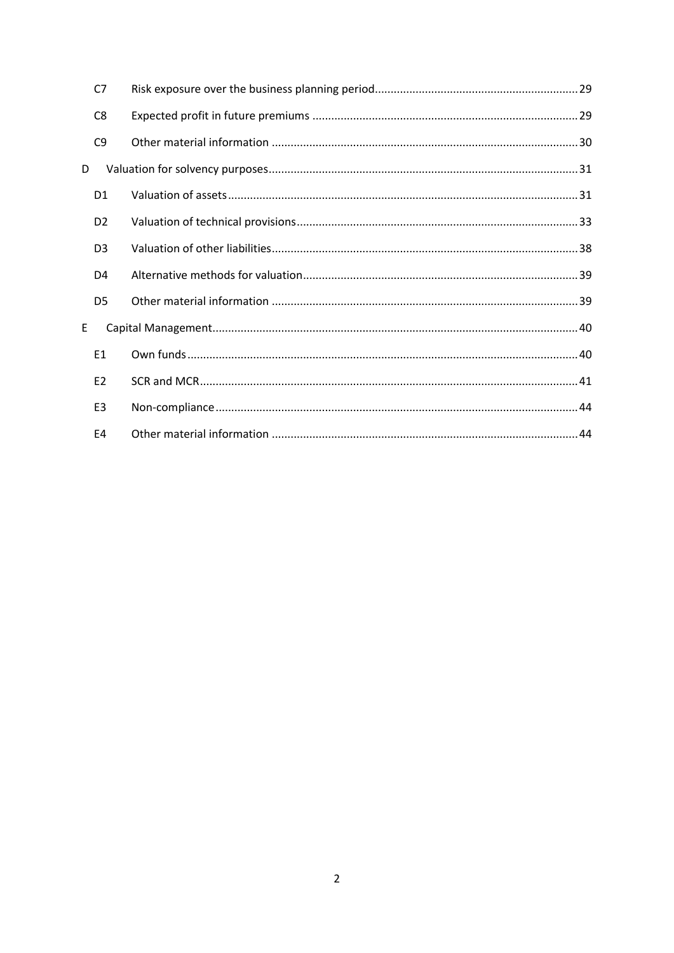|   | C <sub>7</sub> |  |  |
|---|----------------|--|--|
|   | C <sub>8</sub> |  |  |
|   | C <sub>9</sub> |  |  |
| D |                |  |  |
|   | D <sub>1</sub> |  |  |
|   | D <sub>2</sub> |  |  |
|   | D <sub>3</sub> |  |  |
|   | D <sub>4</sub> |  |  |
|   | D <sub>5</sub> |  |  |
| E |                |  |  |
|   | E1             |  |  |
|   | E <sub>2</sub> |  |  |
|   | E <sub>3</sub> |  |  |
|   | E4             |  |  |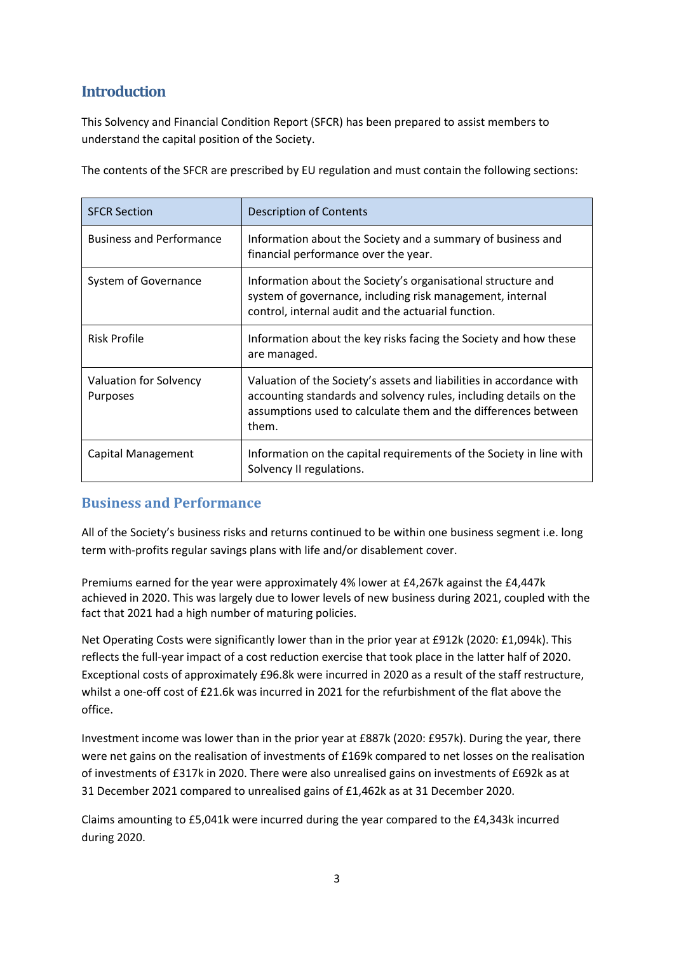## <span id="page-2-0"></span>**Introduction**

This Solvency and Financial Condition Report (SFCR) has been prepared to assist members to understand the capital position of the Society.

The contents of the SFCR are prescribed by EU regulation and must contain the following sections:

| <b>SFCR Section</b>                       | <b>Description of Contents</b>                                                                                                                                                                                       |  |
|-------------------------------------------|----------------------------------------------------------------------------------------------------------------------------------------------------------------------------------------------------------------------|--|
| <b>Business and Performance</b>           | Information about the Society and a summary of business and<br>financial performance over the year.                                                                                                                  |  |
| System of Governance                      | Information about the Society's organisational structure and<br>system of governance, including risk management, internal<br>control, internal audit and the actuarial function.                                     |  |
| <b>Risk Profile</b>                       | Information about the key risks facing the Society and how these<br>are managed.                                                                                                                                     |  |
| Valuation for Solvency<br><b>Purposes</b> | Valuation of the Society's assets and liabilities in accordance with<br>accounting standards and solvency rules, including details on the<br>assumptions used to calculate them and the differences between<br>them. |  |
| Capital Management                        | Information on the capital requirements of the Society in line with<br>Solvency II regulations.                                                                                                                      |  |

#### **Business and Performance**

All of the Society's business risks and returns continued to be within one business segment i.e. long term with-profits regular savings plans with life and/or disablement cover.

Premiums earned for the year were approximately 4% lower at £4,267k against the £4,447k achieved in 2020. This was largely due to lower levels of new business during 2021, coupled with the fact that 2021 had a high number of maturing policies.

Net Operating Costs were significantly lower than in the prior year at £912k (2020: £1,094k). This reflects the full-year impact of a cost reduction exercise that took place in the latter half of 2020. Exceptional costs of approximately £96.8k were incurred in 2020 as a result of the staff restructure, whilst a one-off cost of £21.6k was incurred in 2021 for the refurbishment of the flat above the office.

Investment income was lower than in the prior year at £887k (2020: £957k). During the year, there were net gains on the realisation of investments of £169k compared to net losses on the realisation of investments of £317k in 2020. There were also unrealised gains on investments of £692k as at 31 December 2021 compared to unrealised gains of £1,462k as at 31 December 2020.

Claims amounting to £5,041k were incurred during the year compared to the £4,343k incurred during 2020.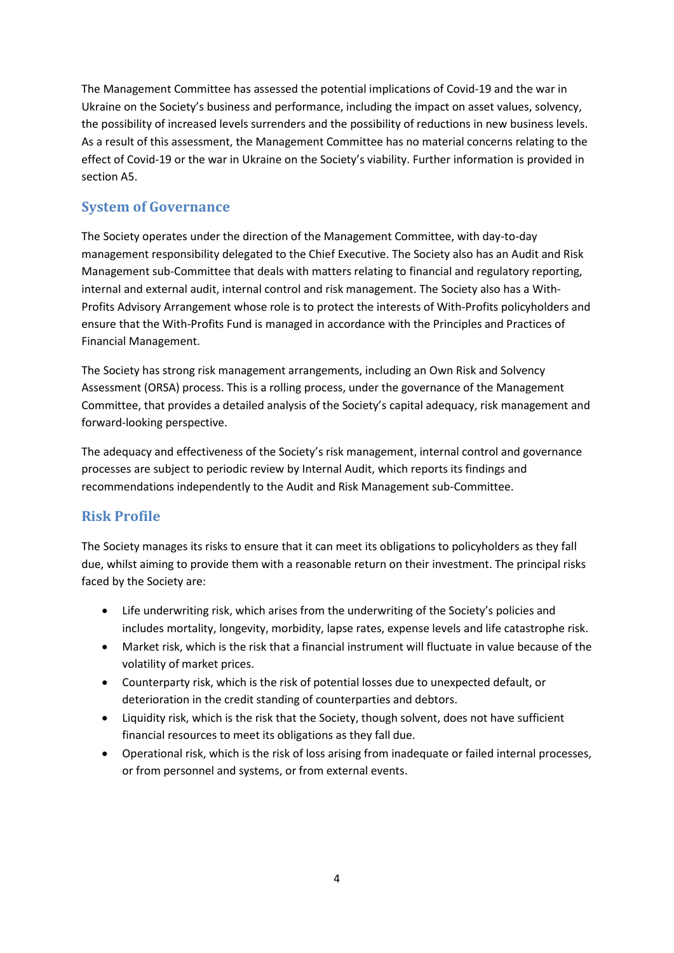The Management Committee has assessed the potential implications of Covid-19 and the war in Ukraine on the Society's business and performance, including the impact on asset values, solvency, the possibility of increased levels surrenders and the possibility of reductions in new business levels. As a result of this assessment, the Management Committee has no material concerns relating to the effect of Covid-19 or the war in Ukraine on the Society's viability. Further information is provided in section A5.

### **System of Governance**

The Society operates under the direction of the Management Committee, with day-to-day management responsibility delegated to the Chief Executive. The Society also has an Audit and Risk Management sub-Committee that deals with matters relating to financial and regulatory reporting, internal and external audit, internal control and risk management. The Society also has a With-Profits Advisory Arrangement whose role is to protect the interests of With-Profits policyholders and ensure that the With-Profits Fund is managed in accordance with the Principles and Practices of Financial Management.

The Society has strong risk management arrangements, including an Own Risk and Solvency Assessment (ORSA) process. This is a rolling process, under the governance of the Management Committee, that provides a detailed analysis of the Society's capital adequacy, risk management and forward-looking perspective.

The adequacy and effectiveness of the Society's risk management, internal control and governance processes are subject to periodic review by Internal Audit, which reports its findings and recommendations independently to the Audit and Risk Management sub-Committee.

### **Risk Profile**

The Society manages its risks to ensure that it can meet its obligations to policyholders as they fall due, whilst aiming to provide them with a reasonable return on their investment. The principal risks faced by the Society are:

- Life underwriting risk, which arises from the underwriting of the Society's policies and includes mortality, longevity, morbidity, lapse rates, expense levels and life catastrophe risk.
- Market risk, which is the risk that a financial instrument will fluctuate in value because of the volatility of market prices.
- Counterparty risk, which is the risk of potential losses due to unexpected default, or deterioration in the credit standing of counterparties and debtors.
- Liquidity risk, which is the risk that the Society, though solvent, does not have sufficient financial resources to meet its obligations as they fall due.
- Operational risk, which is the risk of loss arising from inadequate or failed internal processes, or from personnel and systems, or from external events.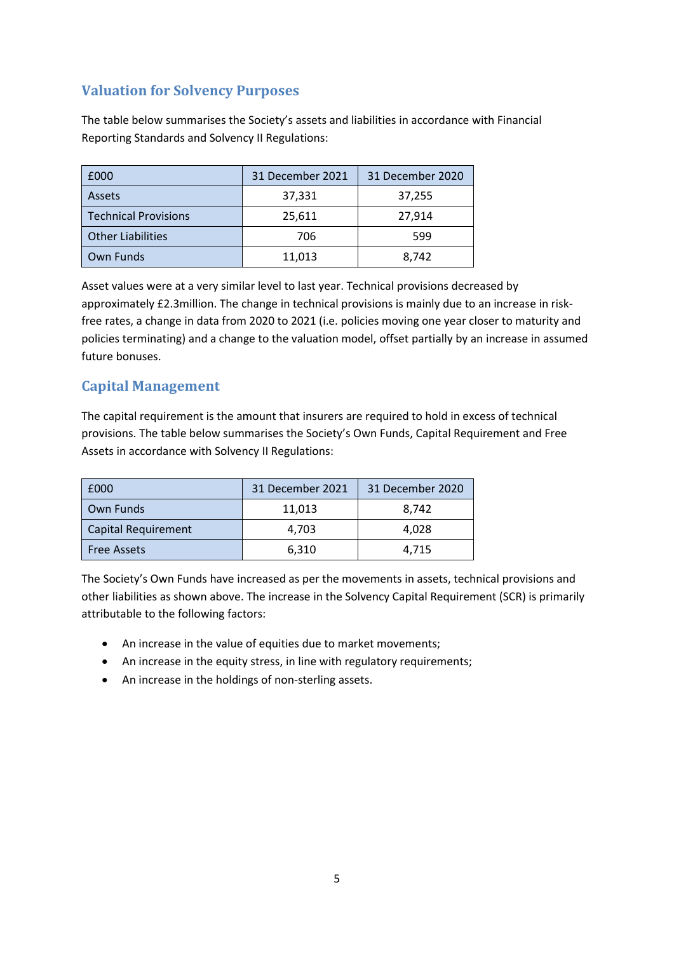### **Valuation for Solvency Purposes**

The table below summarises the Society's assets and liabilities in accordance with Financial Reporting Standards and Solvency II Regulations:

| £000                        | 31 December 2021 | 31 December 2020 |
|-----------------------------|------------------|------------------|
| <b>Assets</b>               | 37,331           | 37,255           |
| <b>Technical Provisions</b> | 25,611           | 27,914           |
| <b>Other Liabilities</b>    | 706              | 599              |
| Own Funds                   | 11,013           | 8.742            |

Asset values were at a very similar level to last year. Technical provisions decreased by approximately £2.3million. The change in technical provisions is mainly due to an increase in riskfree rates, a change in data from 2020 to 2021 (i.e. policies moving one year closer to maturity and policies terminating) and a change to the valuation model, offset partially by an increase in assumed future bonuses.

### **Capital Management**

The capital requirement is the amount that insurers are required to hold in excess of technical provisions. The table below summarises the Society's Own Funds, Capital Requirement and Free Assets in accordance with Solvency II Regulations:

| £000                       | 31 December 2021 | 31 December 2020 |
|----------------------------|------------------|------------------|
| Own Funds                  | 11,013           | 8.742            |
| <b>Capital Requirement</b> | 4,703            | 4,028            |
| <b>Free Assets</b>         | 6,310            | 4,715            |

The Society's Own Funds have increased as per the movements in assets, technical provisions and other liabilities as shown above. The increase in the Solvency Capital Requirement (SCR) is primarily attributable to the following factors:

- An increase in the value of equities due to market movements;
- An increase in the equity stress, in line with regulatory requirements;
- An increase in the holdings of non-sterling assets.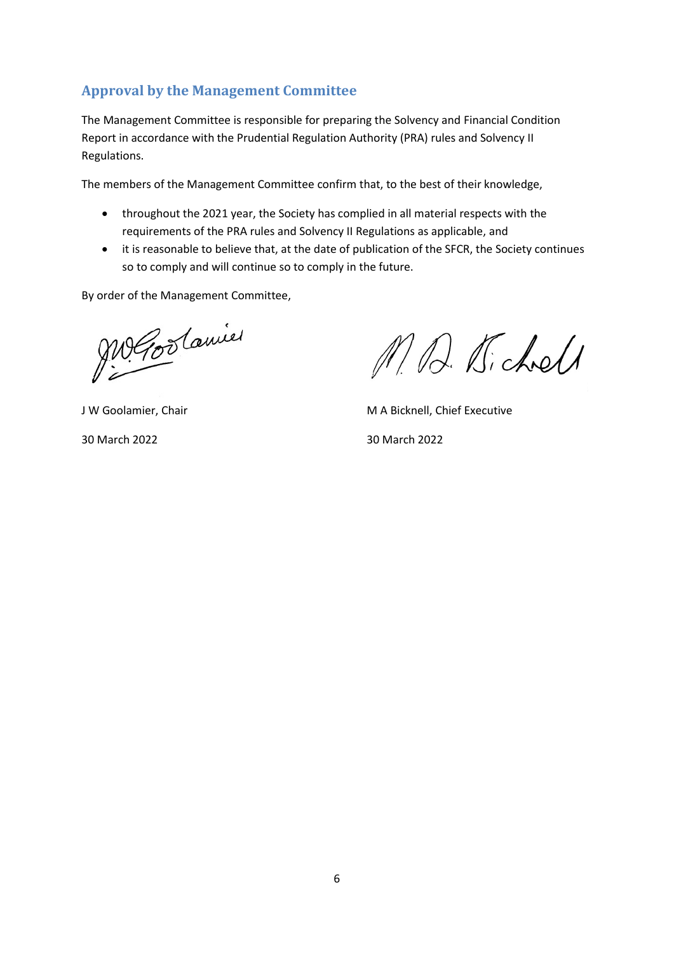### **Approval by the Management Committee**

The Management Committee is responsible for preparing the Solvency and Financial Condition Report in accordance with the Prudential Regulation Authority (PRA) rules and Solvency II Regulations.

The members of the Management Committee confirm that, to the best of their knowledge,

- throughout the 2021 year, the Society has complied in all material respects with the requirements of the PRA rules and Solvency II Regulations as applicable, and
- it is reasonable to believe that, at the date of publication of the SFCR, the Society continues so to comply and will continue so to comply in the future.

By order of the Management Committee,

Me Goodamie

M. D. Kichell

J W Goolamier, Chair M A Bicknell, Chief Executive 30 March 2022 30 March 2022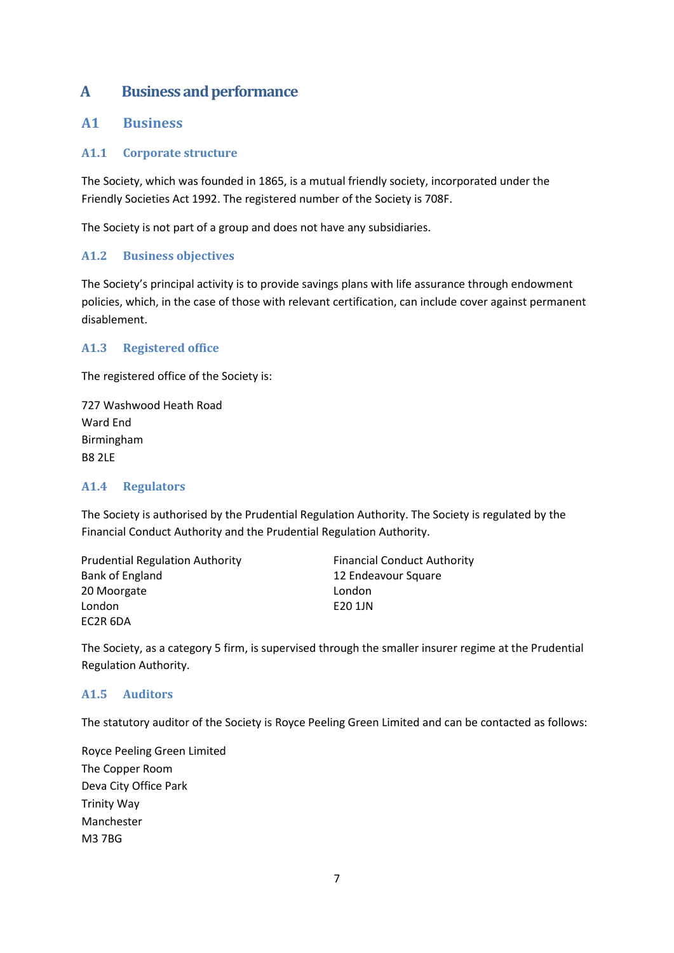### <span id="page-6-0"></span>**A Business and performance**

#### <span id="page-6-1"></span>**A1 Business**

#### **A1.1 Corporate structure**

The Society, which was founded in 1865, is a mutual friendly society, incorporated under the Friendly Societies Act 1992. The registered number of the Society is 708F.

The Society is not part of a group and does not have any subsidiaries.

#### **A1.2 Business objectives**

The Society's principal activity is to provide savings plans with life assurance through endowment policies, which, in the case of those with relevant certification, can include cover against permanent disablement.

#### **A1.3 Registered office**

The registered office of the Society is:

727 Washwood Heath Road Ward End Birmingham B8 2LE

#### **A1.4 Regulators**

The Society is authorised by the Prudential Regulation Authority. The Society is regulated by the Financial Conduct Authority and the Prudential Regulation Authority.

Prudential Regulation Authority Bank of England 20 Moorgate London EC2R 6DA

Financial Conduct Authority 12 Endeavour Square London E20 1JN

The Society, as a category 5 firm, is supervised through the smaller insurer regime at the Prudential Regulation Authority.

#### **A1.5 Auditors**

The statutory auditor of the Society is Royce Peeling Green Limited and can be contacted as follows:

Royce Peeling Green Limited The Copper Room Deva City Office Park Trinity Way Manchester M3 7BG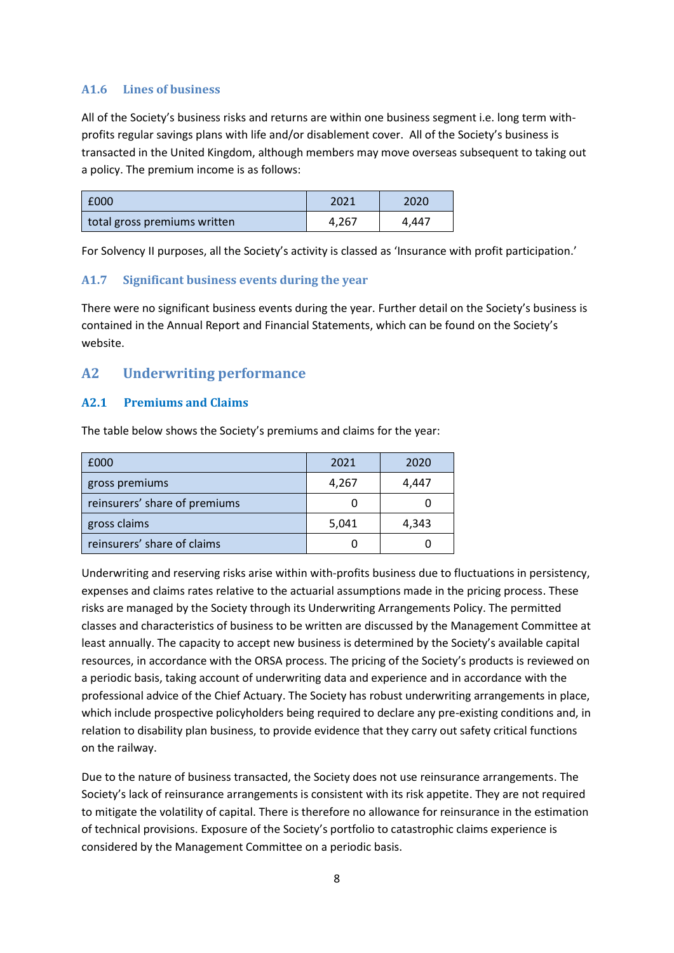#### **A1.6 Lines of business**

All of the Society's business risks and returns are within one business segment i.e. long term withprofits regular savings plans with life and/or disablement cover. All of the Society's business is transacted in the United Kingdom, although members may move overseas subsequent to taking out a policy. The premium income is as follows:

| £000                         | 2021  | 2020  |
|------------------------------|-------|-------|
| total gross premiums written | 4.267 | 4.447 |

For Solvency II purposes, all the Society's activity is classed as 'Insurance with profit participation.'

#### **A1.7 Significant business events during the year**

There were no significant business events during the year. Further detail on the Society's business is contained in the Annual Report and Financial Statements, which can be found on the Society's website.

#### <span id="page-7-0"></span>**A2 Underwriting performance**

#### **A2.1 Premiums and Claims**

The table below shows the Society's premiums and claims for the year:

| £000                          | 2021  | 2020  |
|-------------------------------|-------|-------|
| gross premiums                | 4,267 | 4,447 |
| reinsurers' share of premiums |       |       |
| gross claims                  | 5,041 | 4,343 |
| reinsurers' share of claims   |       |       |

Underwriting and reserving risks arise within with-profits business due to fluctuations in persistency, expenses and claims rates relative to the actuarial assumptions made in the pricing process. These risks are managed by the Society through its Underwriting Arrangements Policy. The permitted classes and characteristics of business to be written are discussed by the Management Committee at least annually. The capacity to accept new business is determined by the Society's available capital resources, in accordance with the ORSA process. The pricing of the Society's products is reviewed on a periodic basis, taking account of underwriting data and experience and in accordance with the professional advice of the Chief Actuary. The Society has robust underwriting arrangements in place, which include prospective policyholders being required to declare any pre-existing conditions and, in relation to disability plan business, to provide evidence that they carry out safety critical functions on the railway.

Due to the nature of business transacted, the Society does not use reinsurance arrangements. The Society's lack of reinsurance arrangements is consistent with its risk appetite. They are not required to mitigate the volatility of capital. There is therefore no allowance for reinsurance in the estimation of technical provisions. Exposure of the Society's portfolio to catastrophic claims experience is considered by the Management Committee on a periodic basis.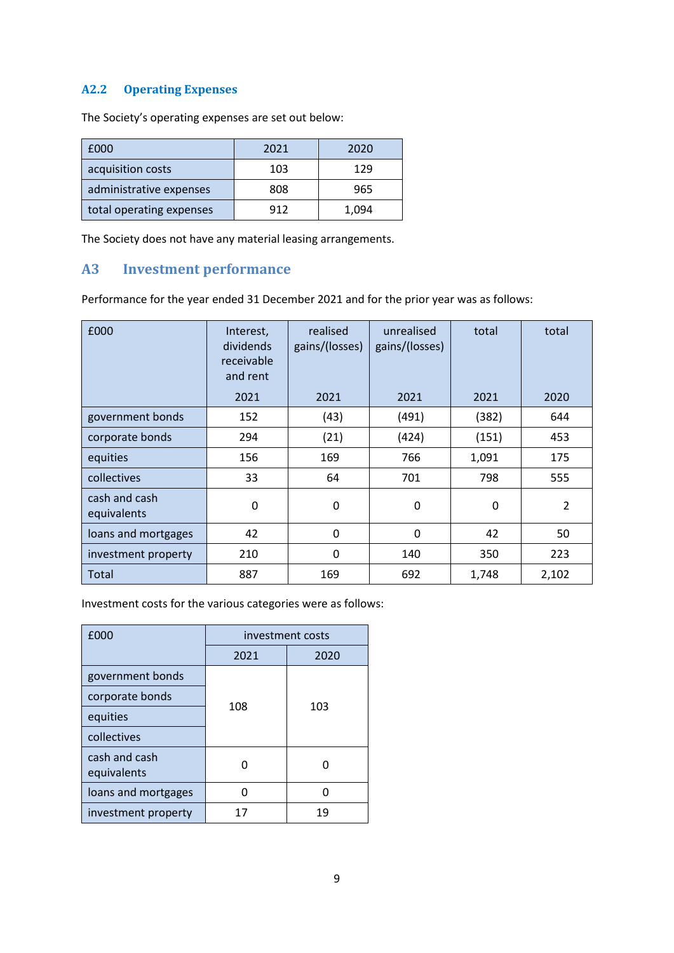#### **A2.2 Operating Expenses**

The Society's operating expenses are set out below:

| £000                     | 2021 | 2020  |
|--------------------------|------|-------|
| acquisition costs        | 103  | 129   |
| administrative expenses  | 808  | 965   |
| total operating expenses | 912  | 1,094 |

The Society does not have any material leasing arrangements.

#### <span id="page-8-0"></span>**A3 Investment performance**

Performance for the year ended 31 December 2021 and for the prior year was as follows:

| £000                         | Interest,<br>dividends<br>receivable<br>and rent | realised<br>gains/(losses) | unrealised<br>gains/(losses) | total       | total          |
|------------------------------|--------------------------------------------------|----------------------------|------------------------------|-------------|----------------|
|                              | 2021                                             | 2021                       | 2021                         | 2021        | 2020           |
| government bonds             | 152                                              | (43)                       | (491)                        | (382)       | 644            |
| corporate bonds              | 294                                              | (21)                       | (424)                        | (151)       | 453            |
| equities                     | 156                                              | 169                        | 766                          | 1,091       | 175            |
| collectives                  | 33                                               | 64                         | 701                          | 798         | 555            |
| cash and cash<br>equivalents | 0                                                | 0                          | 0                            | $\mathbf 0$ | $\overline{2}$ |
| loans and mortgages          | 42                                               | 0                          | $\mathbf 0$                  | 42          | 50             |
| investment property          | 210                                              | 0                          | 140                          | 350         | 223            |
| Total                        | 887                                              | 169                        | 692                          | 1,748       | 2,102          |

Investment costs for the various categories were as follows:

| £000                         | investment costs |      |  |
|------------------------------|------------------|------|--|
|                              | 2021             | 2020 |  |
| government bonds             |                  |      |  |
| corporate bonds              | 108              | 103  |  |
| equities                     |                  |      |  |
| collectives                  |                  |      |  |
| cash and cash<br>equivalents |                  |      |  |
| loans and mortgages          | n                |      |  |
| investment property          | 17               | 19   |  |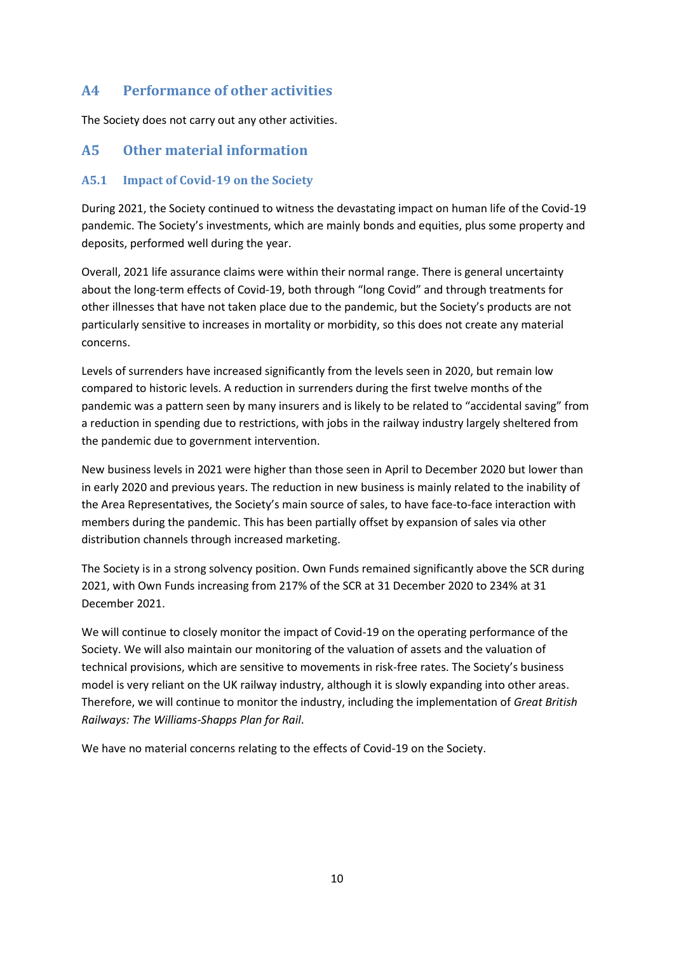#### <span id="page-9-0"></span>**A4 Performance of other activities**

The Society does not carry out any other activities.

#### <span id="page-9-1"></span>**A5 Other material information**

#### **A5.1 Impact of Covid-19 on the Society**

During 2021, the Society continued to witness the devastating impact on human life of the Covid-19 pandemic. The Society's investments, which are mainly bonds and equities, plus some property and deposits, performed well during the year.

Overall, 2021 life assurance claims were within their normal range. There is general uncertainty about the long-term effects of Covid-19, both through "long Covid" and through treatments for other illnesses that have not taken place due to the pandemic, but the Society's products are not particularly sensitive to increases in mortality or morbidity, so this does not create any material concerns.

Levels of surrenders have increased significantly from the levels seen in 2020, but remain low compared to historic levels. A reduction in surrenders during the first twelve months of the pandemic was a pattern seen by many insurers and is likely to be related to "accidental saving" from a reduction in spending due to restrictions, with jobs in the railway industry largely sheltered from the pandemic due to government intervention.

New business levels in 2021 were higher than those seen in April to December 2020 but lower than in early 2020 and previous years. The reduction in new business is mainly related to the inability of the Area Representatives, the Society's main source of sales, to have face-to-face interaction with members during the pandemic. This has been partially offset by expansion of sales via other distribution channels through increased marketing.

The Society is in a strong solvency position. Own Funds remained significantly above the SCR during 2021, with Own Funds increasing from 217% of the SCR at 31 December 2020 to 234% at 31 December 2021.

We will continue to closely monitor the impact of Covid-19 on the operating performance of the Society. We will also maintain our monitoring of the valuation of assets and the valuation of technical provisions, which are sensitive to movements in risk-free rates. The Society's business model is very reliant on the UK railway industry, although it is slowly expanding into other areas. Therefore, we will continue to monitor the industry, including the implementation of *Great British Railways: The Williams-Shapps Plan for Rail*.

We have no material concerns relating to the effects of Covid-19 on the Society.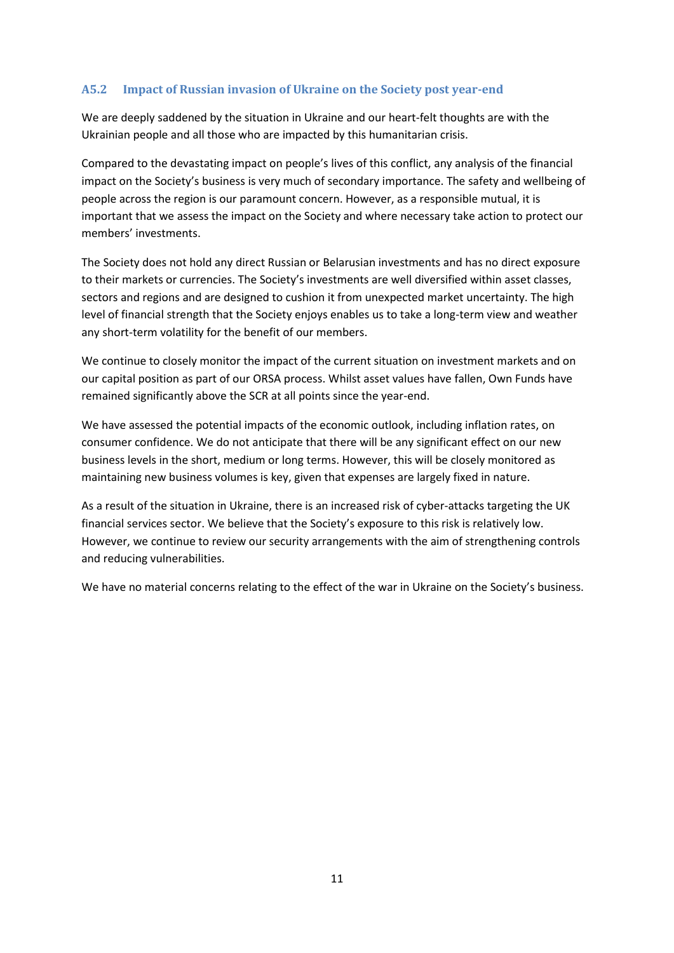#### **A5.2 Impact of Russian invasion of Ukraine on the Society post year-end**

We are deeply saddened by the situation in Ukraine and our heart-felt thoughts are with the Ukrainian people and all those who are impacted by this humanitarian crisis.

Compared to the devastating impact on people's lives of this conflict, any analysis of the financial impact on the Society's business is very much of secondary importance. The safety and wellbeing of people across the region is our paramount concern. However, as a responsible mutual, it is important that we assess the impact on the Society and where necessary take action to protect our members' investments.

The Society does not hold any direct Russian or Belarusian investments and has no direct exposure to their markets or currencies. The Society's investments are well diversified within asset classes, sectors and regions and are designed to cushion it from unexpected market uncertainty. The high level of financial strength that the Society enjoys enables us to take a long-term view and weather any short-term volatility for the benefit of our members.

We continue to closely monitor the impact of the current situation on investment markets and on our capital position as part of our ORSA process. Whilst asset values have fallen, Own Funds have remained significantly above the SCR at all points since the year-end.

We have assessed the potential impacts of the economic outlook, including inflation rates, on consumer confidence. We do not anticipate that there will be any significant effect on our new business levels in the short, medium or long terms. However, this will be closely monitored as maintaining new business volumes is key, given that expenses are largely fixed in nature.

As a result of the situation in Ukraine, there is an increased risk of cyber-attacks targeting the UK financial services sector. We believe that the Society's exposure to this risk is relatively low. However, we continue to review our security arrangements with the aim of strengthening controls and reducing vulnerabilities.

We have no material concerns relating to the effect of the war in Ukraine on the Society's business.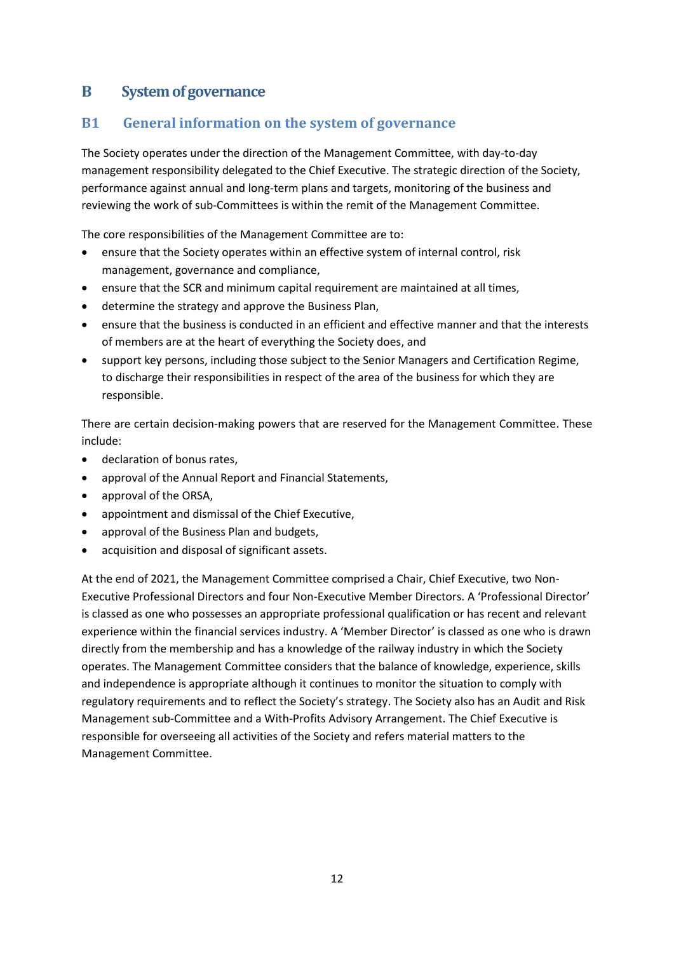### <span id="page-11-0"></span>**B System of governance**

### <span id="page-11-1"></span>**B1 General information on the system of governance**

The Society operates under the direction of the Management Committee, with day-to-day management responsibility delegated to the Chief Executive. The strategic direction of the Society, performance against annual and long-term plans and targets, monitoring of the business and reviewing the work of sub-Committees is within the remit of the Management Committee.

The core responsibilities of the Management Committee are to:

- ensure that the Society operates within an effective system of internal control, risk management, governance and compliance,
- ensure that the SCR and minimum capital requirement are maintained at all times,
- determine the strategy and approve the Business Plan,
- ensure that the business is conducted in an efficient and effective manner and that the interests of members are at the heart of everything the Society does, and
- support key persons, including those subject to the Senior Managers and Certification Regime, to discharge their responsibilities in respect of the area of the business for which they are responsible.

There are certain decision-making powers that are reserved for the Management Committee. These include:

- declaration of bonus rates,
- approval of the Annual Report and Financial Statements,
- approval of the ORSA,
- appointment and dismissal of the Chief Executive,
- approval of the Business Plan and budgets,
- acquisition and disposal of significant assets.

At the end of 2021, the Management Committee comprised a Chair, Chief Executive, two Non-Executive Professional Directors and four Non-Executive Member Directors. A 'Professional Director' is classed as one who possesses an appropriate professional qualification or has recent and relevant experience within the financial services industry. A 'Member Director' is classed as one who is drawn directly from the membership and has a knowledge of the railway industry in which the Society operates. The Management Committee considers that the balance of knowledge, experience, skills and independence is appropriate although it continues to monitor the situation to comply with regulatory requirements and to reflect the Society's strategy. The Society also has an Audit and Risk Management sub-Committee and a With-Profits Advisory Arrangement. The Chief Executive is responsible for overseeing all activities of the Society and refers material matters to the Management Committee.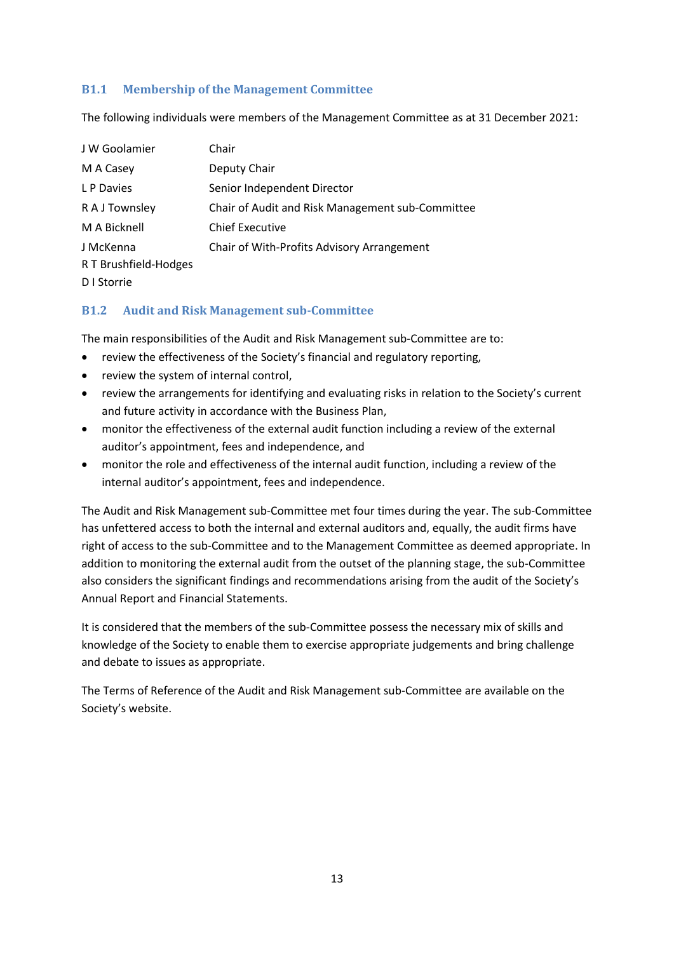#### **B1.1 Membership of the Management Committee**

The following individuals were members of the Management Committee as at 31 December 2021:

| J W Goolamier         | Chair                                            |
|-----------------------|--------------------------------------------------|
| M A Casey             | Deputy Chair                                     |
| L P Davies            | Senior Independent Director                      |
| R A J Townsley        | Chair of Audit and Risk Management sub-Committee |
| M A Bicknell          | <b>Chief Executive</b>                           |
| J McKenna             | Chair of With-Profits Advisory Arrangement       |
| R T Brushfield-Hodges |                                                  |
| D I Storrie           |                                                  |

#### **B1.2 Audit and Risk Management sub-Committee**

The main responsibilities of the Audit and Risk Management sub-Committee are to:

- review the effectiveness of the Society's financial and regulatory reporting,
- review the system of internal control,
- review the arrangements for identifying and evaluating risks in relation to the Society's current and future activity in accordance with the Business Plan,
- monitor the effectiveness of the external audit function including a review of the external auditor's appointment, fees and independence, and
- monitor the role and effectiveness of the internal audit function, including a review of the internal auditor's appointment, fees and independence.

The Audit and Risk Management sub-Committee met four times during the year. The sub-Committee has unfettered access to both the internal and external auditors and, equally, the audit firms have right of access to the sub-Committee and to the Management Committee as deemed appropriate. In addition to monitoring the external audit from the outset of the planning stage, the sub-Committee also considers the significant findings and recommendations arising from the audit of the Society's Annual Report and Financial Statements.

It is considered that the members of the sub-Committee possess the necessary mix of skills and knowledge of the Society to enable them to exercise appropriate judgements and bring challenge and debate to issues as appropriate.

The Terms of Reference of the Audit and Risk Management sub-Committee are available on the Society's website.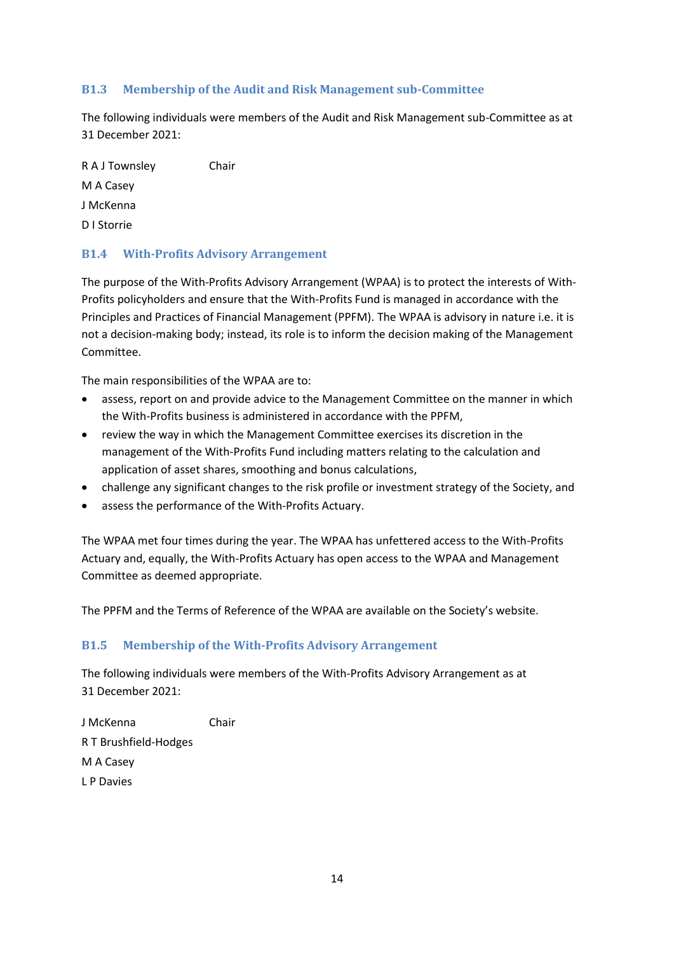#### **B1.3 Membership of the Audit and Risk Management sub-Committee**

The following individuals were members of the Audit and Risk Management sub-Committee as at 31 December 2021:

R A J Townsley Chair M A Casey J McKenna D I Storrie

#### **B1.4 With-Profits Advisory Arrangement**

The purpose of the With-Profits Advisory Arrangement (WPAA) is to protect the interests of With-Profits policyholders and ensure that the With-Profits Fund is managed in accordance with the Principles and Practices of Financial Management (PPFM). The WPAA is advisory in nature i.e. it is not a decision-making body; instead, its role is to inform the decision making of the Management Committee.

The main responsibilities of the WPAA are to:

- assess, report on and provide advice to the Management Committee on the manner in which the With-Profits business is administered in accordance with the PPFM,
- review the way in which the Management Committee exercises its discretion in the management of the With-Profits Fund including matters relating to the calculation and application of asset shares, smoothing and bonus calculations,
- challenge any significant changes to the risk profile or investment strategy of the Society, and
- assess the performance of the With-Profits Actuary.

The WPAA met four times during the year. The WPAA has unfettered access to the With-Profits Actuary and, equally, the With-Profits Actuary has open access to the WPAA and Management Committee as deemed appropriate.

The PPFM and the Terms of Reference of the WPAA are available on the Society's website.

#### **B1.5 Membership of the With-Profits Advisory Arrangement**

The following individuals were members of the With-Profits Advisory Arrangement as at 31 December 2021:

J McKenna Chair R T Brushfield-Hodges M A Casey L P Davies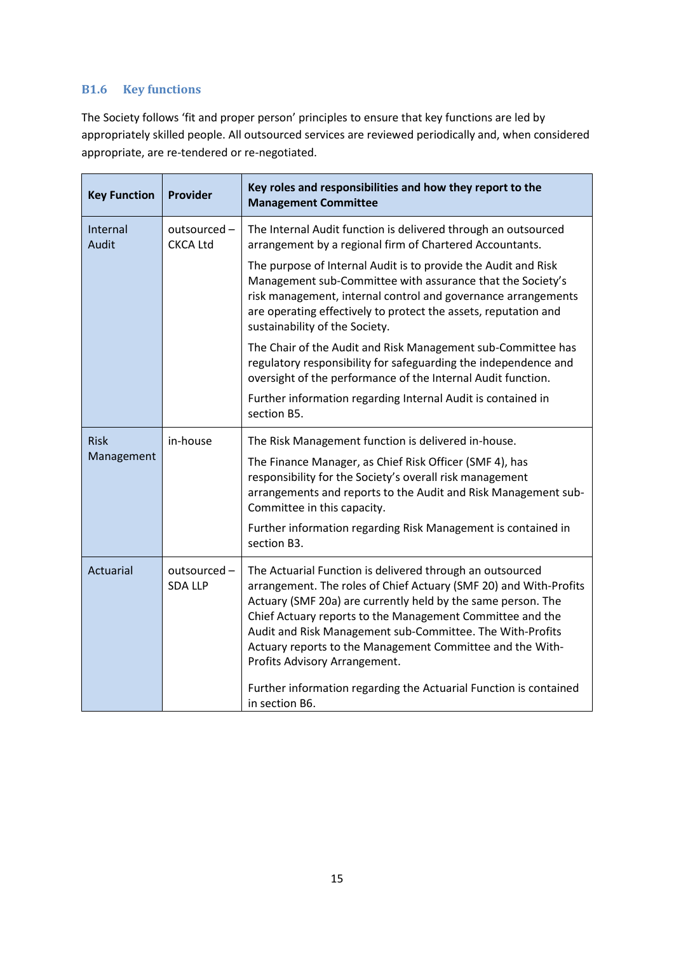#### **B1.6 Key functions**

The Society follows 'fit and proper person' principles to ensure that key functions are led by appropriately skilled people. All outsourced services are reviewed periodically and, when considered appropriate, are re-tendered or re-negotiated.

| <b>Key Function</b> | Provider                        | Key roles and responsibilities and how they report to the<br><b>Management Committee</b>                                                                                                                                                                                                                                                                                                                                                                                                                      |
|---------------------|---------------------------------|---------------------------------------------------------------------------------------------------------------------------------------------------------------------------------------------------------------------------------------------------------------------------------------------------------------------------------------------------------------------------------------------------------------------------------------------------------------------------------------------------------------|
| Internal<br>Audit   | outsourced -<br><b>CKCA Ltd</b> | The Internal Audit function is delivered through an outsourced<br>arrangement by a regional firm of Chartered Accountants.                                                                                                                                                                                                                                                                                                                                                                                    |
|                     |                                 | The purpose of Internal Audit is to provide the Audit and Risk<br>Management sub-Committee with assurance that the Society's<br>risk management, internal control and governance arrangements<br>are operating effectively to protect the assets, reputation and<br>sustainability of the Society.                                                                                                                                                                                                            |
|                     |                                 | The Chair of the Audit and Risk Management sub-Committee has<br>regulatory responsibility for safeguarding the independence and<br>oversight of the performance of the Internal Audit function.                                                                                                                                                                                                                                                                                                               |
|                     |                                 | Further information regarding Internal Audit is contained in<br>section B5.                                                                                                                                                                                                                                                                                                                                                                                                                                   |
| <b>Risk</b>         | in-house                        | The Risk Management function is delivered in-house.                                                                                                                                                                                                                                                                                                                                                                                                                                                           |
| Management          |                                 | The Finance Manager, as Chief Risk Officer (SMF 4), has<br>responsibility for the Society's overall risk management<br>arrangements and reports to the Audit and Risk Management sub-<br>Committee in this capacity.                                                                                                                                                                                                                                                                                          |
|                     |                                 | Further information regarding Risk Management is contained in<br>section B3.                                                                                                                                                                                                                                                                                                                                                                                                                                  |
| Actuarial           | outsourced -<br><b>SDA LLP</b>  | The Actuarial Function is delivered through an outsourced<br>arrangement. The roles of Chief Actuary (SMF 20) and With-Profits<br>Actuary (SMF 20a) are currently held by the same person. The<br>Chief Actuary reports to the Management Committee and the<br>Audit and Risk Management sub-Committee. The With-Profits<br>Actuary reports to the Management Committee and the With-<br>Profits Advisory Arrangement.<br>Further information regarding the Actuarial Function is contained<br>in section B6. |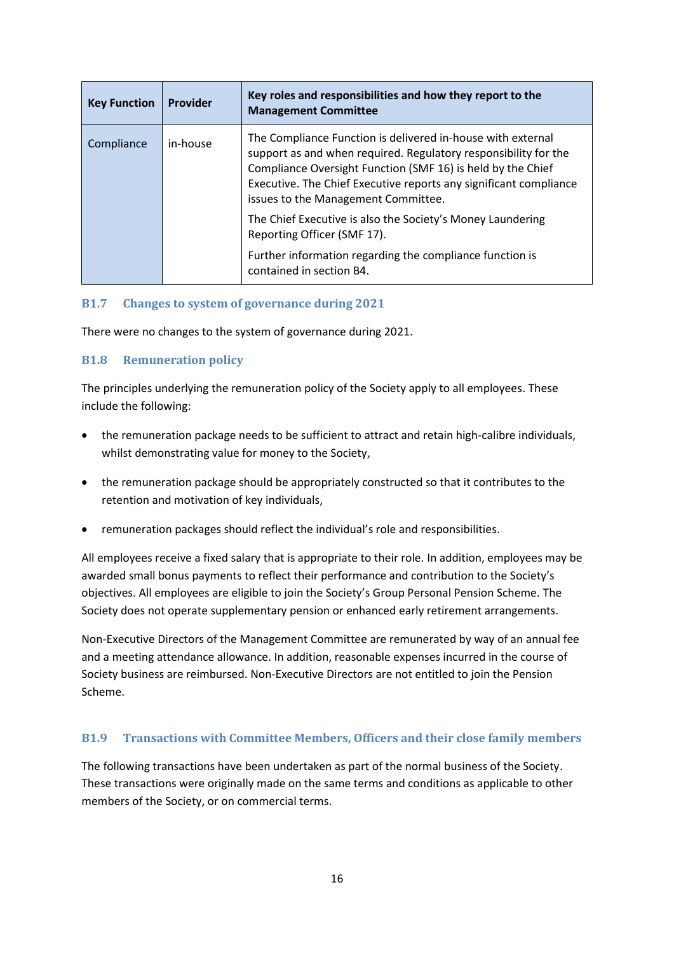| <b>Key Function</b> | Provider | Key roles and responsibilities and how they report to the<br><b>Management Committee</b>                                                                                                                                                                                                                  |
|---------------------|----------|-----------------------------------------------------------------------------------------------------------------------------------------------------------------------------------------------------------------------------------------------------------------------------------------------------------|
| Compliance          | in-house | The Compliance Function is delivered in-house with external<br>support as and when required. Regulatory responsibility for the<br>Compliance Oversight Function (SMF 16) is held by the Chief<br>Executive. The Chief Executive reports any significant compliance<br>issues to the Management Committee. |
|                     |          | The Chief Executive is also the Society's Money Laundering<br>Reporting Officer (SMF 17).                                                                                                                                                                                                                 |
|                     |          | Further information regarding the compliance function is<br>contained in section B4.                                                                                                                                                                                                                      |

#### **B1.7 Changes to system of governance during 2021**

There were no changes to the system of governance during 2021.

#### **B1.8 Remuneration policy**

The principles underlying the remuneration policy of the Society apply to all employees. These include the following:

- the remuneration package needs to be sufficient to attract and retain high-calibre individuals, whilst demonstrating value for money to the Society,
- the remuneration package should be appropriately constructed so that it contributes to the retention and motivation of key individuals,
- remuneration packages should reflect the individual's role and responsibilities.

All employees receive a fixed salary that is appropriate to their role. In addition, employees may be awarded small bonus payments to reflect their performance and contribution to the Society's objectives. All employees are eligible to join the Society's Group Personal Pension Scheme. The Society does not operate supplementary pension or enhanced early retirement arrangements.

Non-Executive Directors of the Management Committee are remunerated by way of an annual fee and a meeting attendance allowance. In addition, reasonable expenses incurred in the course of Society business are reimbursed. Non-Executive Directors are not entitled to join the Pension Scheme.

#### **B1.9 Transactions with Committee Members, Officers and their close family members**

The following transactions have been undertaken as part of the normal business of the Society. These transactions were originally made on the same terms and conditions as applicable to other members of the Society, or on commercial terms.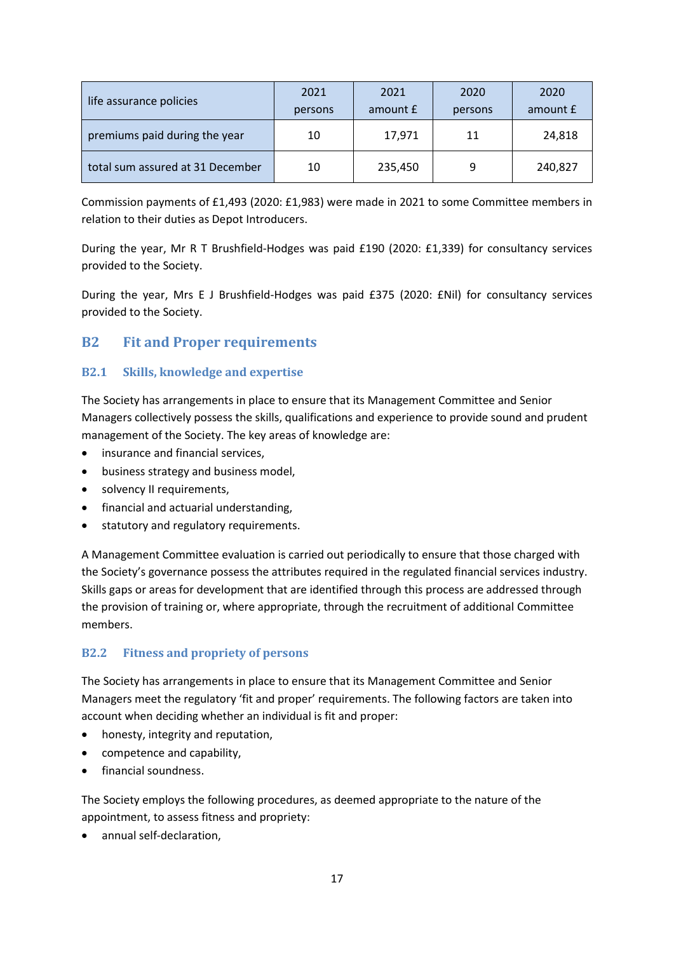| life assurance policies          | 2021    | 2021     | 2020    | 2020     |
|----------------------------------|---------|----------|---------|----------|
|                                  | persons | amount £ | persons | amount £ |
| premiums paid during the year    | 10      | 17,971   | 11      | 24,818   |
| total sum assured at 31 December | 10      | 235,450  | q       | 240,827  |

Commission payments of £1,493 (2020: £1,983) were made in 2021 to some Committee members in relation to their duties as Depot Introducers.

During the year, Mr R T Brushfield-Hodges was paid £190 (2020: £1,339) for consultancy services provided to the Society.

During the year, Mrs E J Brushfield-Hodges was paid £375 (2020: £Nil) for consultancy services provided to the Society.

### <span id="page-16-0"></span>**B2 Fit and Proper requirements**

#### **B2.1 Skills, knowledge and expertise**

The Society has arrangements in place to ensure that its Management Committee and Senior Managers collectively possess the skills, qualifications and experience to provide sound and prudent management of the Society. The key areas of knowledge are:

- insurance and financial services.
- business strategy and business model,
- solvency II requirements,
- financial and actuarial understanding,
- statutory and regulatory requirements.

A Management Committee evaluation is carried out periodically to ensure that those charged with the Society's governance possess the attributes required in the regulated financial services industry. Skills gaps or areas for development that are identified through this process are addressed through the provision of training or, where appropriate, through the recruitment of additional Committee members.

#### **B2.2 Fitness and propriety of persons**

The Society has arrangements in place to ensure that its Management Committee and Senior Managers meet the regulatory 'fit and proper' requirements. The following factors are taken into account when deciding whether an individual is fit and proper:

- honesty, integrity and reputation,
- competence and capability,
- financial soundness.

The Society employs the following procedures, as deemed appropriate to the nature of the appointment, to assess fitness and propriety:

• annual self-declaration,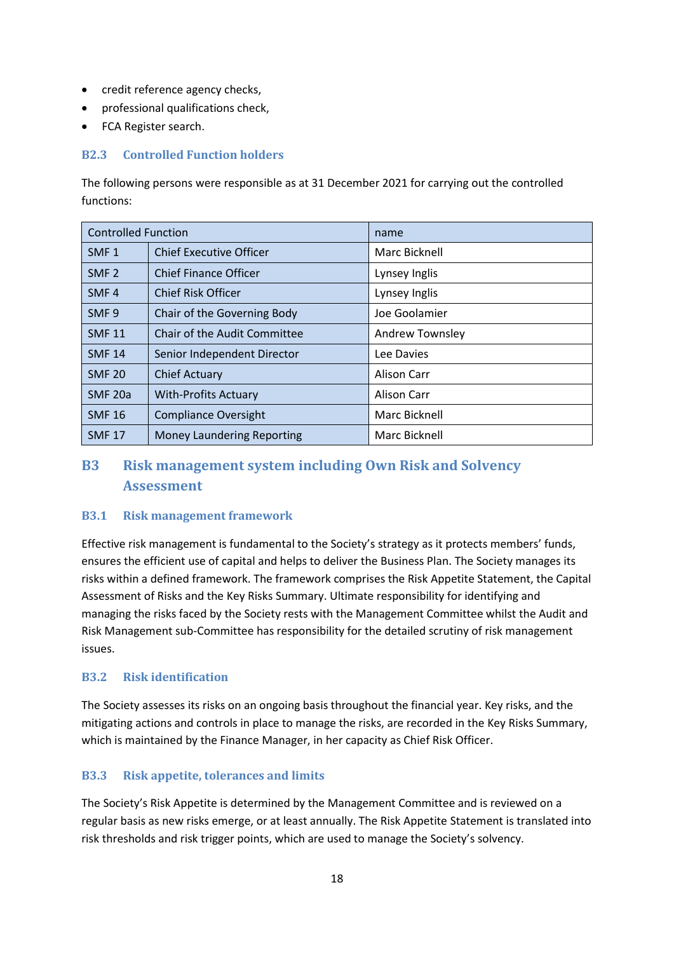- credit reference agency checks,
- professional qualifications check,
- FCA Register search.

#### **B2.3 Controlled Function holders**

The following persons were responsible as at 31 December 2021 for carrying out the controlled functions:

| <b>Controlled Function</b> |                                   | name            |
|----------------------------|-----------------------------------|-----------------|
| SMF <sub>1</sub>           | <b>Chief Executive Officer</b>    | Marc Bicknell   |
| SMF <sub>2</sub>           | <b>Chief Finance Officer</b>      | Lynsey Inglis   |
| SMF <sub>4</sub>           | <b>Chief Risk Officer</b>         | Lynsey Inglis   |
| SMF <sub>9</sub>           | Chair of the Governing Body       | Joe Goolamier   |
| <b>SMF 11</b>              | Chair of the Audit Committee      | Andrew Townsley |
| <b>SMF 14</b>              | Senior Independent Director       | Lee Davies      |
| <b>SMF 20</b>              | <b>Chief Actuary</b>              | Alison Carr     |
| SMF <sub>20a</sub>         | <b>With-Profits Actuary</b>       | Alison Carr     |
| <b>SMF 16</b>              | <b>Compliance Oversight</b>       | Marc Bicknell   |
| <b>SMF 17</b>              | <b>Money Laundering Reporting</b> | Marc Bicknell   |

### <span id="page-17-0"></span>**B3 Risk management system including Own Risk and Solvency Assessment**

#### **B3.1 Risk management framework**

Effective risk management is fundamental to the Society's strategy as it protects members' funds, ensures the efficient use of capital and helps to deliver the Business Plan. The Society manages its risks within a defined framework. The framework comprises the Risk Appetite Statement, the Capital Assessment of Risks and the Key Risks Summary. Ultimate responsibility for identifying and managing the risks faced by the Society rests with the Management Committee whilst the Audit and Risk Management sub-Committee has responsibility for the detailed scrutiny of risk management issues.

#### **B3.2 Risk identification**

The Society assesses its risks on an ongoing basis throughout the financial year. Key risks, and the mitigating actions and controls in place to manage the risks, are recorded in the Key Risks Summary, which is maintained by the Finance Manager, in her capacity as Chief Risk Officer.

#### **B3.3 Risk appetite, tolerances and limits**

The Society's Risk Appetite is determined by the Management Committee and is reviewed on a regular basis as new risks emerge, or at least annually. The Risk Appetite Statement is translated into risk thresholds and risk trigger points, which are used to manage the Society's solvency.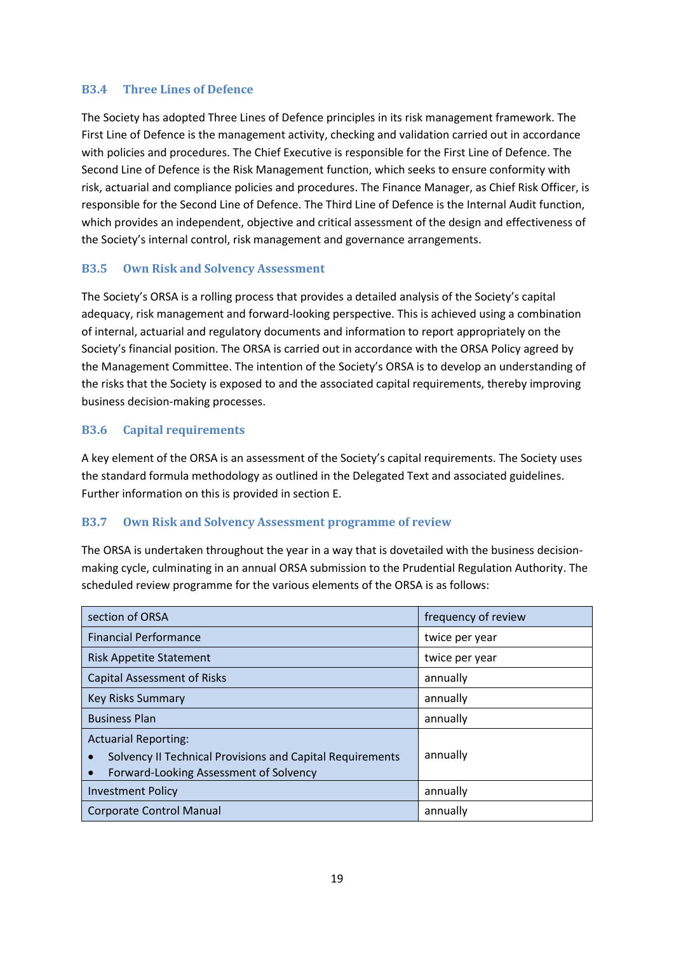#### **B3.4 Three Lines of Defence**

The Society has adopted Three Lines of Defence principles in its risk management framework. The First Line of Defence is the management activity, checking and validation carried out in accordance with policies and procedures. The Chief Executive is responsible for the First Line of Defence. The Second Line of Defence is the Risk Management function, which seeks to ensure conformity with risk, actuarial and compliance policies and procedures. The Finance Manager, as Chief Risk Officer, is responsible for the Second Line of Defence. The Third Line of Defence is the Internal Audit function, which provides an independent, objective and critical assessment of the design and effectiveness of the Society's internal control, risk management and governance arrangements.

#### **B3.5 Own Risk and Solvency Assessment**

The Society's ORSA is a rolling process that provides a detailed analysis of the Society's capital adequacy, risk management and forward-looking perspective. This is achieved using a combination of internal, actuarial and regulatory documents and information to report appropriately on the Society's financial position. The ORSA is carried out in accordance with the ORSA Policy agreed by the Management Committee. The intention of the Society's ORSA is to develop an understanding of the risks that the Society is exposed to and the associated capital requirements, thereby improving business decision-making processes.

#### **B3.6 Capital requirements**

A key element of the ORSA is an assessment of the Society's capital requirements. The Society uses the standard formula methodology as outlined in the Delegated Text and associated guidelines. Further information on this is provided in section E.

#### **B3.7 Own Risk and Solvency Assessment programme of review**

The ORSA is undertaken throughout the year in a way that is dovetailed with the business decisionmaking cycle, culminating in an annual ORSA submission to the Prudential Regulation Authority. The scheduled review programme for the various elements of the ORSA is as follows:

| section of ORSA                                                                                                                    | frequency of review |
|------------------------------------------------------------------------------------------------------------------------------------|---------------------|
| <b>Financial Performance</b>                                                                                                       | twice per year      |
| <b>Risk Appetite Statement</b>                                                                                                     | twice per year      |
| <b>Capital Assessment of Risks</b>                                                                                                 | annually            |
| <b>Key Risks Summary</b>                                                                                                           | annually            |
| <b>Business Plan</b>                                                                                                               | annually            |
| <b>Actuarial Reporting:</b><br>Solvency II Technical Provisions and Capital Requirements<br>Forward-Looking Assessment of Solvency | annually            |
| <b>Investment Policy</b>                                                                                                           | annually            |
| <b>Corporate Control Manual</b>                                                                                                    | annually            |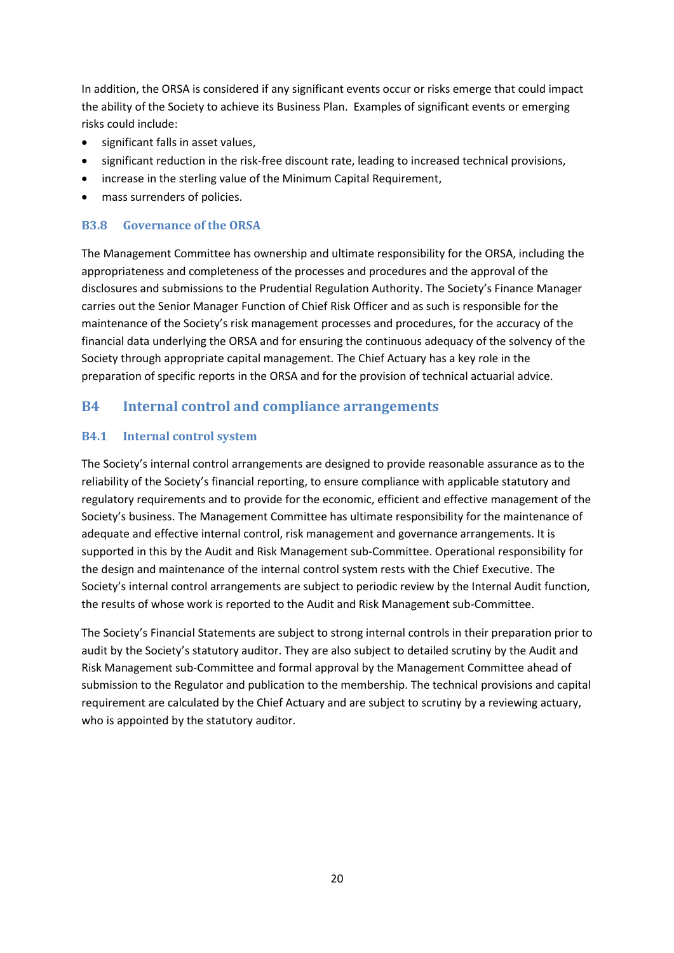In addition, the ORSA is considered if any significant events occur or risks emerge that could impact the ability of the Society to achieve its Business Plan. Examples of significant events or emerging risks could include:

- significant falls in asset values,
- significant reduction in the risk-free discount rate, leading to increased technical provisions,
- increase in the sterling value of the Minimum Capital Requirement,
- mass surrenders of policies.

#### **B3.8 Governance of the ORSA**

The Management Committee has ownership and ultimate responsibility for the ORSA, including the appropriateness and completeness of the processes and procedures and the approval of the disclosures and submissions to the Prudential Regulation Authority. The Society's Finance Manager carries out the Senior Manager Function of Chief Risk Officer and as such is responsible for the maintenance of the Society's risk management processes and procedures, for the accuracy of the financial data underlying the ORSA and for ensuring the continuous adequacy of the solvency of the Society through appropriate capital management. The Chief Actuary has a key role in the preparation of specific reports in the ORSA and for the provision of technical actuarial advice.

#### <span id="page-19-0"></span>**B4 Internal control and compliance arrangements**

#### **B4.1 Internal control system**

The Society's internal control arrangements are designed to provide reasonable assurance as to the reliability of the Society's financial reporting, to ensure compliance with applicable statutory and regulatory requirements and to provide for the economic, efficient and effective management of the Society's business. The Management Committee has ultimate responsibility for the maintenance of adequate and effective internal control, risk management and governance arrangements. It is supported in this by the Audit and Risk Management sub-Committee. Operational responsibility for the design and maintenance of the internal control system rests with the Chief Executive. The Society's internal control arrangements are subject to periodic review by the Internal Audit function, the results of whose work is reported to the Audit and Risk Management sub-Committee.

The Society's Financial Statements are subject to strong internal controls in their preparation prior to audit by the Society's statutory auditor. They are also subject to detailed scrutiny by the Audit and Risk Management sub-Committee and formal approval by the Management Committee ahead of submission to the Regulator and publication to the membership. The technical provisions and capital requirement are calculated by the Chief Actuary and are subject to scrutiny by a reviewing actuary, who is appointed by the statutory auditor.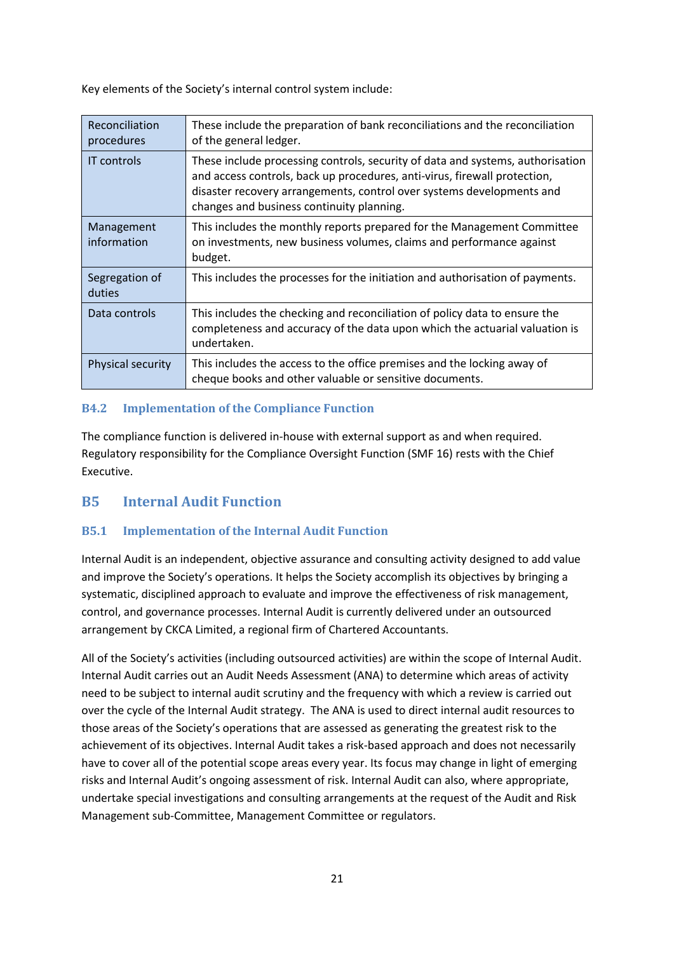Key elements of the Society's internal control system include:

| Reconciliation<br>procedures | These include the preparation of bank reconciliations and the reconciliation<br>of the general ledger.                                                                                                                                                                            |
|------------------------------|-----------------------------------------------------------------------------------------------------------------------------------------------------------------------------------------------------------------------------------------------------------------------------------|
| <b>IT</b> controls           | These include processing controls, security of data and systems, authorisation<br>and access controls, back up procedures, anti-virus, firewall protection,<br>disaster recovery arrangements, control over systems developments and<br>changes and business continuity planning. |
| Management<br>information    | This includes the monthly reports prepared for the Management Committee<br>on investments, new business volumes, claims and performance against<br>budget.                                                                                                                        |
| Segregation of<br>duties     | This includes the processes for the initiation and authorisation of payments.                                                                                                                                                                                                     |
| Data controls                | This includes the checking and reconciliation of policy data to ensure the<br>completeness and accuracy of the data upon which the actuarial valuation is<br>undertaken.                                                                                                          |
| <b>Physical security</b>     | This includes the access to the office premises and the locking away of<br>cheque books and other valuable or sensitive documents.                                                                                                                                                |

#### **B4.2 Implementation of the Compliance Function**

The compliance function is delivered in-house with external support as and when required. Regulatory responsibility for the Compliance Oversight Function (SMF 16) rests with the Chief Executive.

### <span id="page-20-0"></span>**B5 Internal Audit Function**

#### **B5.1 Implementation of the Internal Audit Function**

Internal Audit is an independent, objective assurance and consulting activity designed to add value and improve the Society's operations. It helps the Society accomplish its objectives by bringing a systematic, disciplined approach to evaluate and improve the effectiveness of risk management, control, and governance processes. Internal Audit is currently delivered under an outsourced arrangement by CKCA Limited, a regional firm of Chartered Accountants.

All of the Society's activities (including outsourced activities) are within the scope of Internal Audit. Internal Audit carries out an Audit Needs Assessment (ANA) to determine which areas of activity need to be subject to internal audit scrutiny and the frequency with which a review is carried out over the cycle of the Internal Audit strategy. The ANA is used to direct internal audit resources to those areas of the Society's operations that are assessed as generating the greatest risk to the achievement of its objectives. Internal Audit takes a risk-based approach and does not necessarily have to cover all of the potential scope areas every year. Its focus may change in light of emerging risks and Internal Audit's ongoing assessment of risk. Internal Audit can also, where appropriate, undertake special investigations and consulting arrangements at the request of the Audit and Risk Management sub-Committee, Management Committee or regulators.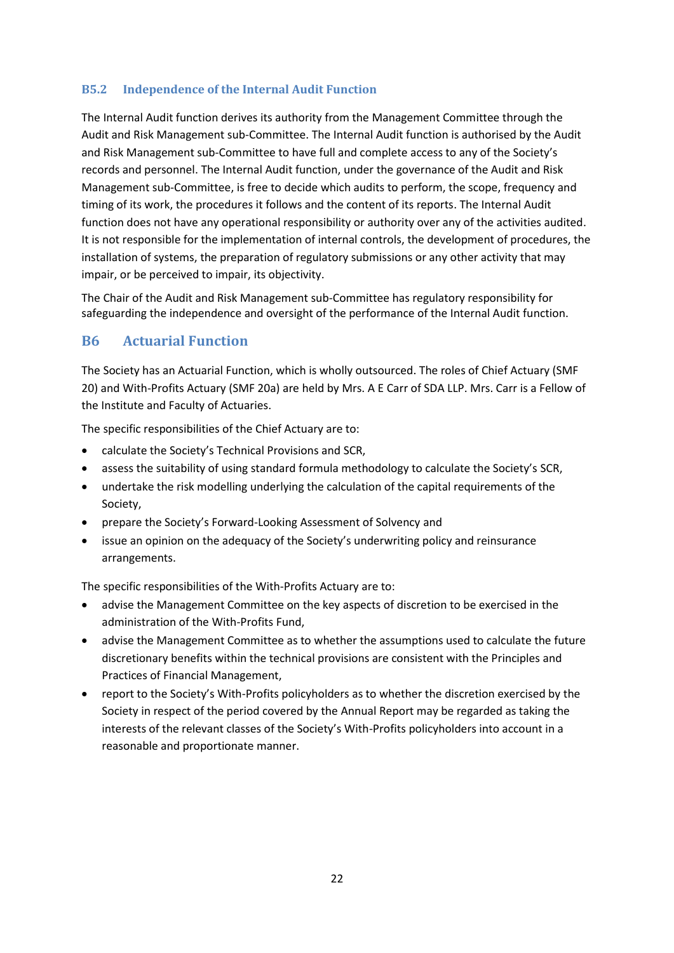#### **B5.2 Independence of the Internal Audit Function**

The Internal Audit function derives its authority from the Management Committee through the Audit and Risk Management sub-Committee. The Internal Audit function is authorised by the Audit and Risk Management sub-Committee to have full and complete access to any of the Society's records and personnel. The Internal Audit function, under the governance of the Audit and Risk Management sub-Committee, is free to decide which audits to perform, the scope, frequency and timing of its work, the procedures it follows and the content of its reports. The Internal Audit function does not have any operational responsibility or authority over any of the activities audited. It is not responsible for the implementation of internal controls, the development of procedures, the installation of systems, the preparation of regulatory submissions or any other activity that may impair, or be perceived to impair, its objectivity.

The Chair of the Audit and Risk Management sub-Committee has regulatory responsibility for safeguarding the independence and oversight of the performance of the Internal Audit function.

#### <span id="page-21-0"></span>**B6 Actuarial Function**

The Society has an Actuarial Function, which is wholly outsourced. The roles of Chief Actuary (SMF 20) and With-Profits Actuary (SMF 20a) are held by Mrs. A E Carr of SDA LLP. Mrs. Carr is a Fellow of the Institute and Faculty of Actuaries.

The specific responsibilities of the Chief Actuary are to:

- calculate the Society's Technical Provisions and SCR,
- assess the suitability of using standard formula methodology to calculate the Society's SCR,
- undertake the risk modelling underlying the calculation of the capital requirements of the Society,
- prepare the Society's Forward-Looking Assessment of Solvency and
- issue an opinion on the adequacy of the Society's underwriting policy and reinsurance arrangements.

The specific responsibilities of the With-Profits Actuary are to:

- advise the Management Committee on the key aspects of discretion to be exercised in the administration of the With-Profits Fund,
- advise the Management Committee as to whether the assumptions used to calculate the future discretionary benefits within the technical provisions are consistent with the Principles and Practices of Financial Management,
- report to the Society's With-Profits policyholders as to whether the discretion exercised by the Society in respect of the period covered by the Annual Report may be regarded as taking the interests of the relevant classes of the Society's With-Profits policyholders into account in a reasonable and proportionate manner.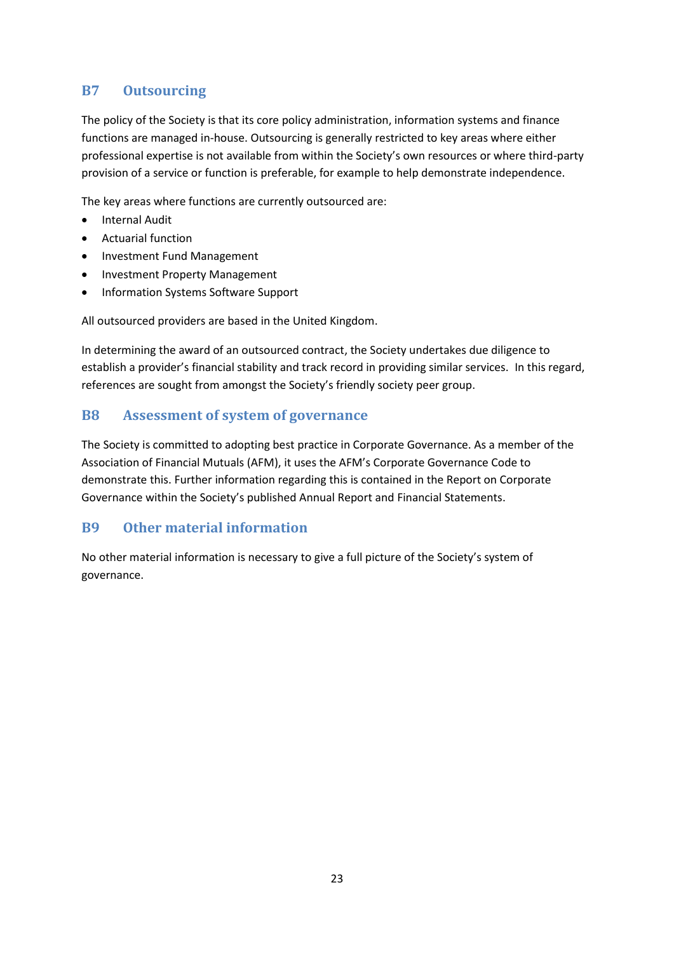### <span id="page-22-0"></span>**B7 Outsourcing**

The policy of the Society is that its core policy administration, information systems and finance functions are managed in-house. Outsourcing is generally restricted to key areas where either professional expertise is not available from within the Society's own resources or where third-party provision of a service or function is preferable, for example to help demonstrate independence.

The key areas where functions are currently outsourced are:

- Internal Audit
- Actuarial function
- Investment Fund Management
- Investment Property Management
- Information Systems Software Support

All outsourced providers are based in the United Kingdom.

In determining the award of an outsourced contract, the Society undertakes due diligence to establish a provider's financial stability and track record in providing similar services. In this regard, references are sought from amongst the Society's friendly society peer group.

#### <span id="page-22-1"></span>**B8 Assessment of system of governance**

The Society is committed to adopting best practice in Corporate Governance. As a member of the Association of Financial Mutuals (AFM), it uses the AFM's Corporate Governance Code to demonstrate this. Further information regarding this is contained in the Report on Corporate Governance within the Society's published Annual Report and Financial Statements.

#### <span id="page-22-2"></span>**B9 Other material information**

No other material information is necessary to give a full picture of the Society's system of governance.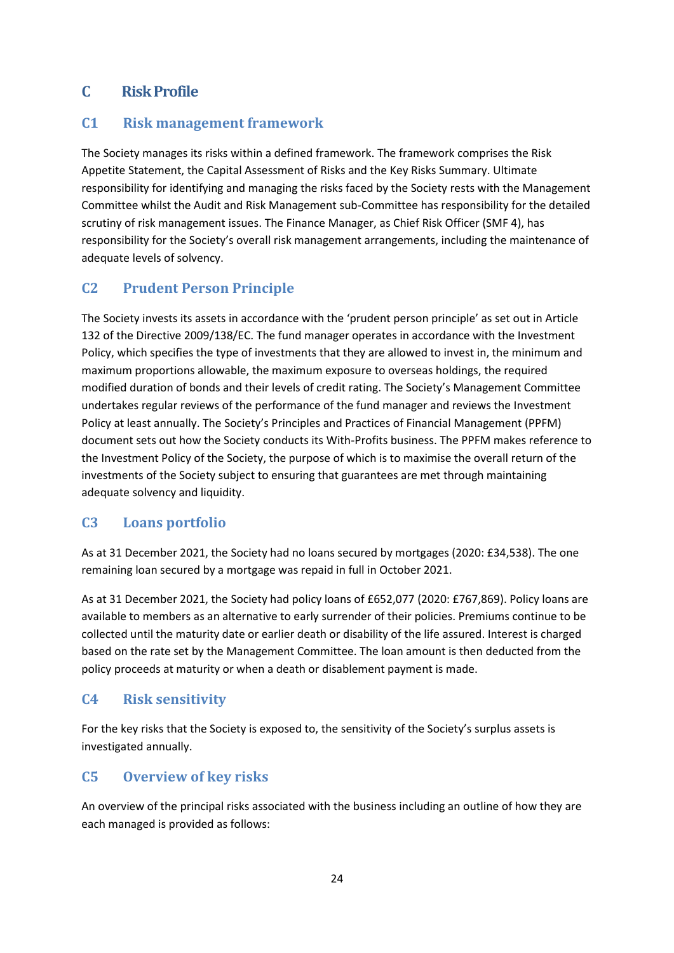### <span id="page-23-0"></span>**C Risk Profile**

#### <span id="page-23-1"></span>**C1 Risk management framework**

The Society manages its risks within a defined framework. The framework comprises the Risk Appetite Statement, the Capital Assessment of Risks and the Key Risks Summary. Ultimate responsibility for identifying and managing the risks faced by the Society rests with the Management Committee whilst the Audit and Risk Management sub-Committee has responsibility for the detailed scrutiny of risk management issues. The Finance Manager, as Chief Risk Officer (SMF 4), has responsibility for the Society's overall risk management arrangements, including the maintenance of adequate levels of solvency.

### <span id="page-23-2"></span>**C2 Prudent Person Principle**

The Society invests its assets in accordance with the 'prudent person principle' as set out in Article 132 of the Directive 2009/138/EC. The fund manager operates in accordance with the Investment Policy, which specifies the type of investments that they are allowed to invest in, the minimum and maximum proportions allowable, the maximum exposure to overseas holdings, the required modified duration of bonds and their levels of credit rating. The Society's Management Committee undertakes regular reviews of the performance of the fund manager and reviews the Investment Policy at least annually. The Society's Principles and Practices of Financial Management (PPFM) document sets out how the Society conducts its With-Profits business. The PPFM makes reference to the Investment Policy of the Society, the purpose of which is to maximise the overall return of the investments of the Society subject to ensuring that guarantees are met through maintaining adequate solvency and liquidity.

### <span id="page-23-3"></span>**C3 Loans portfolio**

As at 31 December 2021, the Society had no loans secured by mortgages (2020: £34,538). The one remaining loan secured by a mortgage was repaid in full in October 2021.

As at 31 December 2021, the Society had policy loans of £652,077 (2020: £767,869). Policy loans are available to members as an alternative to early surrender of their policies. Premiums continue to be collected until the maturity date or earlier death or disability of the life assured. Interest is charged based on the rate set by the Management Committee. The loan amount is then deducted from the policy proceeds at maturity or when a death or disablement payment is made.

### <span id="page-23-4"></span>**C4 Risk sensitivity**

For the key risks that the Society is exposed to, the sensitivity of the Society's surplus assets is investigated annually.

### <span id="page-23-5"></span>**C5 Overview of key risks**

An overview of the principal risks associated with the business including an outline of how they are each managed is provided as follows: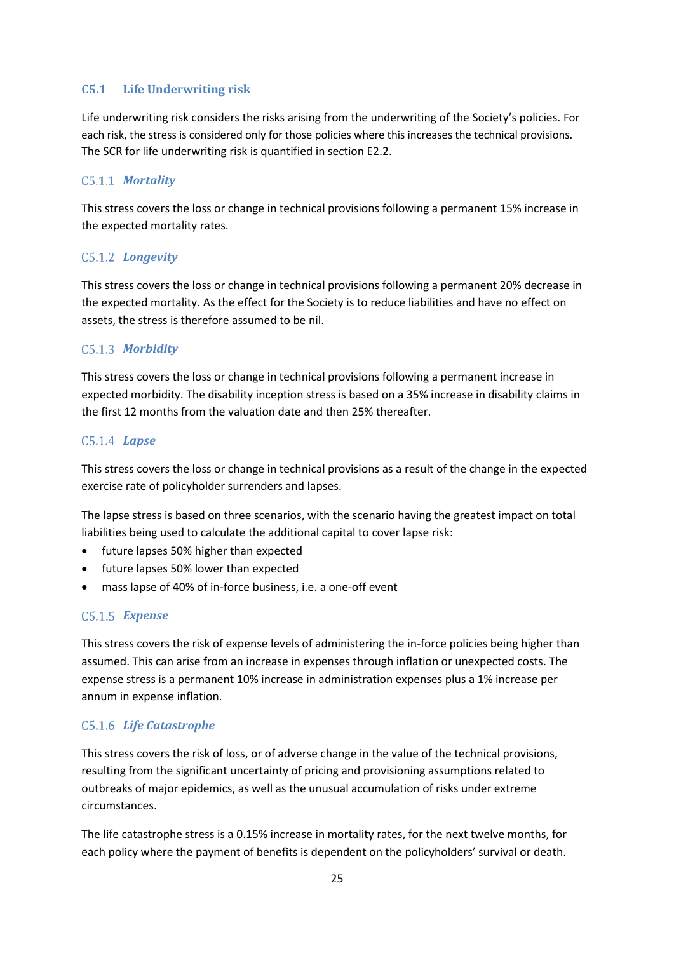#### **C5.1 Life Underwriting risk**

Life underwriting risk considers the risks arising from the underwriting of the Society's policies. For each risk, the stress is considered only for those policies where this increases the technical provisions. The SCR for life underwriting risk is quantified in section E2.2.

#### *Mortality*

This stress covers the loss or change in technical provisions following a permanent 15% increase in the expected mortality rates.

#### *Longevity*

This stress covers the loss or change in technical provisions following a permanent 20% decrease in the expected mortality. As the effect for the Society is to reduce liabilities and have no effect on assets, the stress is therefore assumed to be nil.

#### *Morbidity*

This stress covers the loss or change in technical provisions following a permanent increase in expected morbidity. The disability inception stress is based on a 35% increase in disability claims in the first 12 months from the valuation date and then 25% thereafter.

#### *Lapse*

This stress covers the loss or change in technical provisions as a result of the change in the expected exercise rate of policyholder surrenders and lapses.

The lapse stress is based on three scenarios, with the scenario having the greatest impact on total liabilities being used to calculate the additional capital to cover lapse risk:

- future lapses 50% higher than expected
- future lapses 50% lower than expected
- mass lapse of 40% of in-force business, i.e. a one-off event

#### *Expense*

This stress covers the risk of expense levels of administering the in-force policies being higher than assumed. This can arise from an increase in expenses through inflation or unexpected costs. The expense stress is a permanent 10% increase in administration expenses plus a 1% increase per annum in expense inflation.

#### *Life Catastrophe*

This stress covers the risk of loss, or of adverse change in the value of the technical provisions, resulting from the significant uncertainty of pricing and provisioning assumptions related to outbreaks of major epidemics, as well as the unusual accumulation of risks under extreme circumstances.

The life catastrophe stress is a 0.15% increase in mortality rates, for the next twelve months, for each policy where the payment of benefits is dependent on the policyholders' survival or death.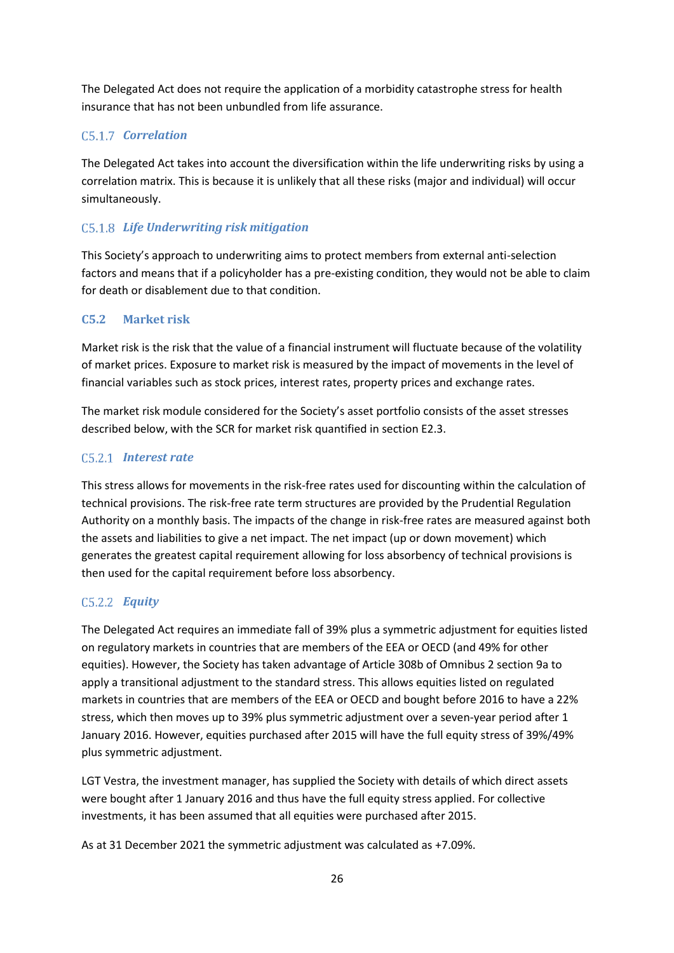The Delegated Act does not require the application of a morbidity catastrophe stress for health insurance that has not been unbundled from life assurance.

### *Correlation*

The Delegated Act takes into account the diversification within the life underwriting risks by using a correlation matrix. This is because it is unlikely that all these risks (major and individual) will occur simultaneously.

#### *Life Underwriting risk mitigation*

This Society's approach to underwriting aims to protect members from external anti-selection factors and means that if a policyholder has a pre-existing condition, they would not be able to claim for death or disablement due to that condition.

#### **C5.2 Market risk**

Market risk is the risk that the value of a financial instrument will fluctuate because of the volatility of market prices. Exposure to market risk is measured by the impact of movements in the level of financial variables such as stock prices, interest rates, property prices and exchange rates.

The market risk module considered for the Society's asset portfolio consists of the asset stresses described below, with the SCR for market risk quantified in section E2.3.

#### *Interest rate*

This stress allows for movements in the risk-free rates used for discounting within the calculation of technical provisions. The risk-free rate term structures are provided by the Prudential Regulation Authority on a monthly basis. The impacts of the change in risk-free rates are measured against both the assets and liabilities to give a net impact. The net impact (up or down movement) which generates the greatest capital requirement allowing for loss absorbency of technical provisions is then used for the capital requirement before loss absorbency.

#### *Equity*

The Delegated Act requires an immediate fall of 39% plus a symmetric adjustment for equities listed on regulatory markets in countries that are members of the EEA or OECD (and 49% for other equities). However, the Society has taken advantage of Article 308b of Omnibus 2 section 9a to apply a transitional adjustment to the standard stress. This allows equities listed on regulated markets in countries that are members of the EEA or OECD and bought before 2016 to have a 22% stress, which then moves up to 39% plus symmetric adjustment over a seven-year period after 1 January 2016. However, equities purchased after 2015 will have the full equity stress of 39%/49% plus symmetric adjustment.

LGT Vestra, the investment manager, has supplied the Society with details of which direct assets were bought after 1 January 2016 and thus have the full equity stress applied. For collective investments, it has been assumed that all equities were purchased after 2015.

As at 31 December 2021 the symmetric adjustment was calculated as +7.09%.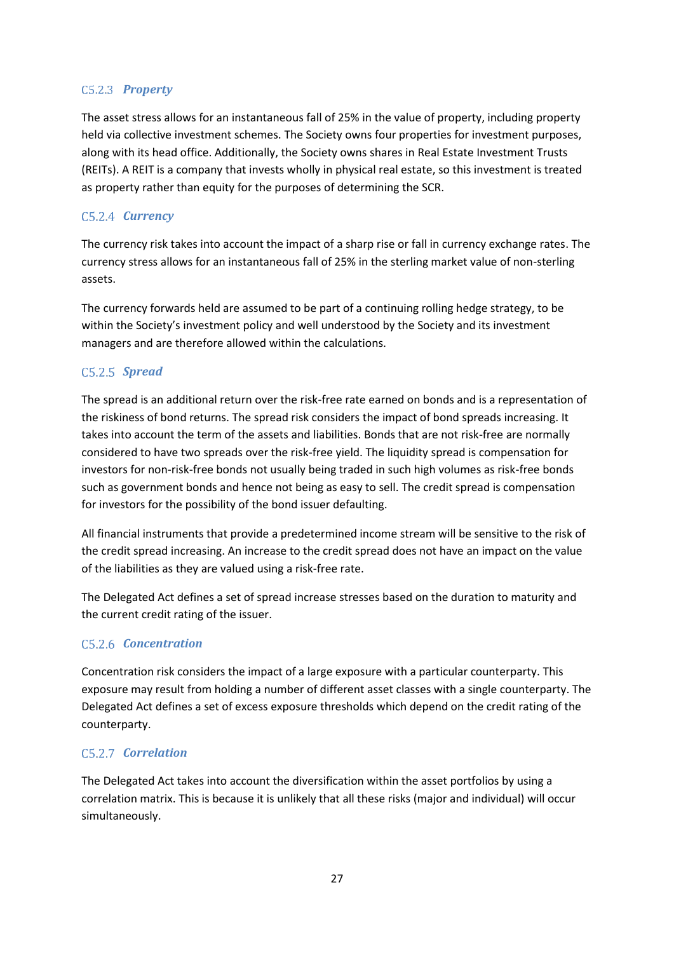#### C<sub>5.2.3</sub> Property

The asset stress allows for an instantaneous fall of 25% in the value of property, including property held via collective investment schemes. The Society owns four properties for investment purposes, along with its head office. Additionally, the Society owns shares in Real Estate Investment Trusts (REITs). A REIT is a company that invests wholly in physical real estate, so this investment is treated as property rather than equity for the purposes of determining the SCR.

#### C<sub>5.2.4</sub> *Currency*

The currency risk takes into account the impact of a sharp rise or fall in currency exchange rates. The currency stress allows for an instantaneous fall of 25% in the sterling market value of non-sterling assets.

The currency forwards held are assumed to be part of a continuing rolling hedge strategy, to be within the Society's investment policy and well understood by the Society and its investment managers and are therefore allowed within the calculations.

#### *Spread*

The spread is an additional return over the risk-free rate earned on bonds and is a representation of the riskiness of bond returns. The spread risk considers the impact of bond spreads increasing. It takes into account the term of the assets and liabilities. Bonds that are not risk-free are normally considered to have two spreads over the risk-free yield. The liquidity spread is compensation for investors for non-risk-free bonds not usually being traded in such high volumes as risk-free bonds such as government bonds and hence not being as easy to sell. The credit spread is compensation for investors for the possibility of the bond issuer defaulting.

All financial instruments that provide a predetermined income stream will be sensitive to the risk of the credit spread increasing. An increase to the credit spread does not have an impact on the value of the liabilities as they are valued using a risk-free rate.

The Delegated Act defines a set of spread increase stresses based on the duration to maturity and the current credit rating of the issuer.

#### C<sub>5.2.6</sub> *Concentration*

Concentration risk considers the impact of a large exposure with a particular counterparty. This exposure may result from holding a number of different asset classes with a single counterparty. The Delegated Act defines a set of excess exposure thresholds which depend on the credit rating of the counterparty.

#### C<sub>5</sub>.2.7 *Correlation*

The Delegated Act takes into account the diversification within the asset portfolios by using a correlation matrix. This is because it is unlikely that all these risks (major and individual) will occur simultaneously.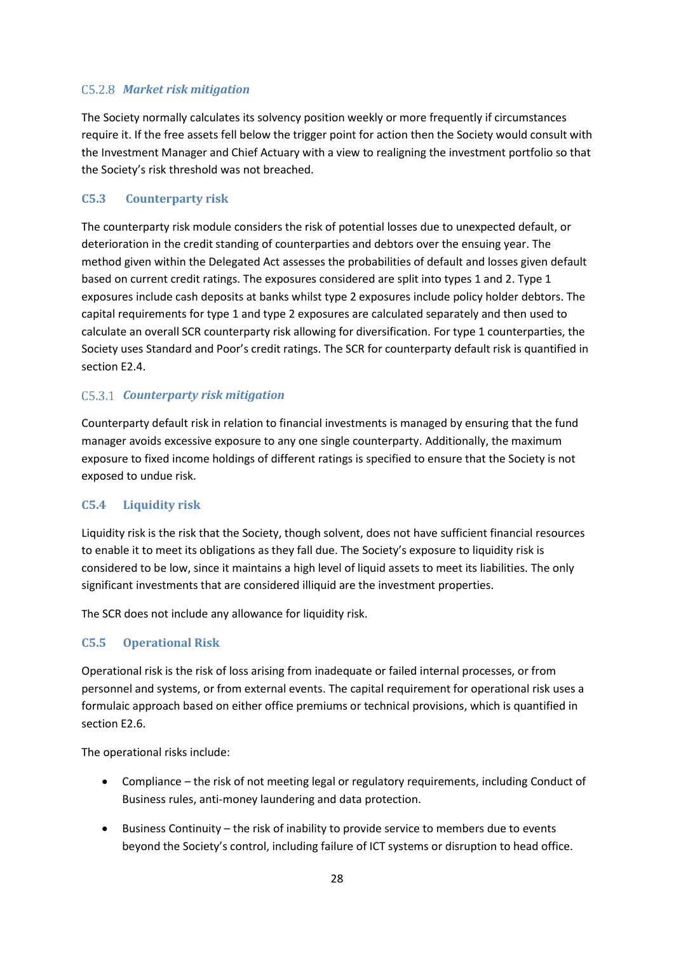#### *Market risk mitigation*

The Society normally calculates its solvency position weekly or more frequently if circumstances require it. If the free assets fell below the trigger point for action then the Society would consult with the Investment Manager and Chief Actuary with a view to realigning the investment portfolio so that the Society's risk threshold was not breached.

#### **C5.3 Counterparty risk**

The counterparty risk module considers the risk of potential losses due to unexpected default, or deterioration in the credit standing of counterparties and debtors over the ensuing year. The method given within the Delegated Act assesses the probabilities of default and losses given default based on current credit ratings. The exposures considered are split into types 1 and 2. Type 1 exposures include cash deposits at banks whilst type 2 exposures include policy holder debtors. The capital requirements for type 1 and type 2 exposures are calculated separately and then used to calculate an overall SCR counterparty risk allowing for diversification. For type 1 counterparties, the Society uses Standard and Poor's credit ratings. The SCR for counterparty default risk is quantified in section E2.4.

#### *Counterparty risk mitigation*

Counterparty default risk in relation to financial investments is managed by ensuring that the fund manager avoids excessive exposure to any one single counterparty. Additionally, the maximum exposure to fixed income holdings of different ratings is specified to ensure that the Society is not exposed to undue risk.

#### **C5.4 Liquidity risk**

Liquidity risk is the risk that the Society, though solvent, does not have sufficient financial resources to enable it to meet its obligations as they fall due. The Society's exposure to liquidity risk is considered to be low, since it maintains a high level of liquid assets to meet its liabilities. The only significant investments that are considered illiquid are the investment properties.

The SCR does not include any allowance for liquidity risk.

#### **C5.5 Operational Risk**

Operational risk is the risk of loss arising from inadequate or failed internal processes, or from personnel and systems, or from external events. The capital requirement for operational risk uses a formulaic approach based on either office premiums or technical provisions, which is quantified in section E2.6.

The operational risks include:

- Compliance the risk of not meeting legal or regulatory requirements, including Conduct of Business rules, anti-money laundering and data protection.
- Business Continuity the risk of inability to provide service to members due to events beyond the Society's control, including failure of ICT systems or disruption to head office.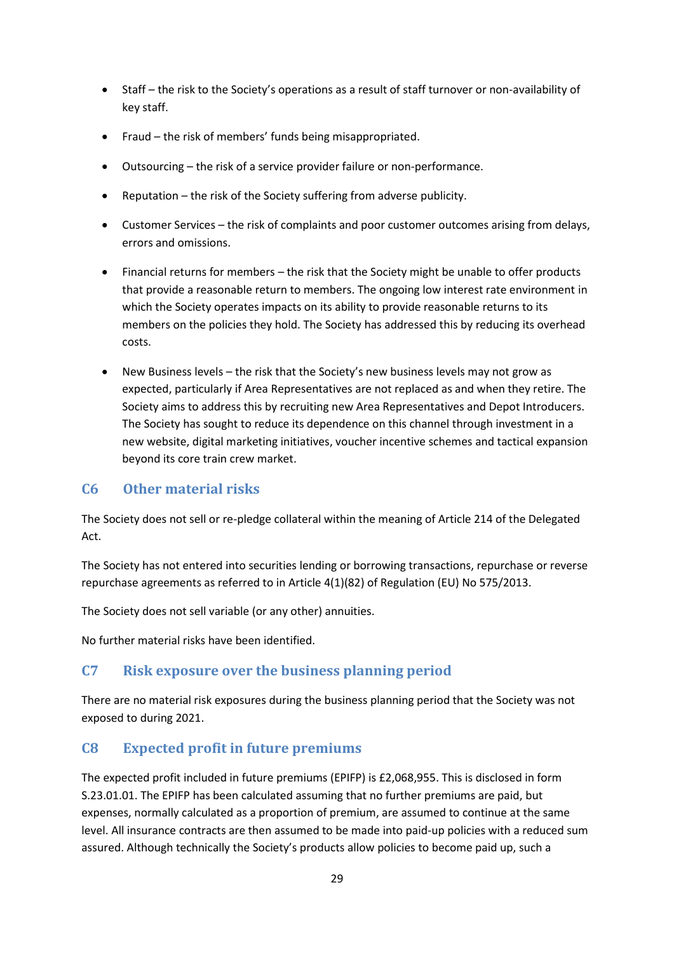- Staff the risk to the Society's operations as a result of staff turnover or non-availability of key staff.
- Fraud the risk of members' funds being misappropriated.
- Outsourcing the risk of a service provider failure or non-performance.
- Reputation the risk of the Society suffering from adverse publicity.
- Customer Services the risk of complaints and poor customer outcomes arising from delays, errors and omissions.
- Financial returns for members the risk that the Society might be unable to offer products that provide a reasonable return to members. The ongoing low interest rate environment in which the Society operates impacts on its ability to provide reasonable returns to its members on the policies they hold. The Society has addressed this by reducing its overhead costs.
- New Business levels the risk that the Society's new business levels may not grow as expected, particularly if Area Representatives are not replaced as and when they retire. The Society aims to address this by recruiting new Area Representatives and Depot Introducers. The Society has sought to reduce its dependence on this channel through investment in a new website, digital marketing initiatives, voucher incentive schemes and tactical expansion beyond its core train crew market.

#### <span id="page-28-0"></span>**C6 Other material risks**

The Society does not sell or re-pledge collateral within the meaning of Article 214 of the Delegated Act.

The Society has not entered into securities lending or borrowing transactions, repurchase or reverse repurchase agreements as referred to in Article 4(1)(82) of Regulation (EU) No 575/2013.

The Society does not sell variable (or any other) annuities.

No further material risks have been identified.

#### <span id="page-28-1"></span>**C7 Risk exposure over the business planning period**

There are no material risk exposures during the business planning period that the Society was not exposed to during 2021.

### <span id="page-28-2"></span>**C8 Expected profit in future premiums**

The expected profit included in future premiums (EPIFP) is £2,068,955. This is disclosed in form S.23.01.01. The EPIFP has been calculated assuming that no further premiums are paid, but expenses, normally calculated as a proportion of premium, are assumed to continue at the same level. All insurance contracts are then assumed to be made into paid-up policies with a reduced sum assured. Although technically the Society's products allow policies to become paid up, such a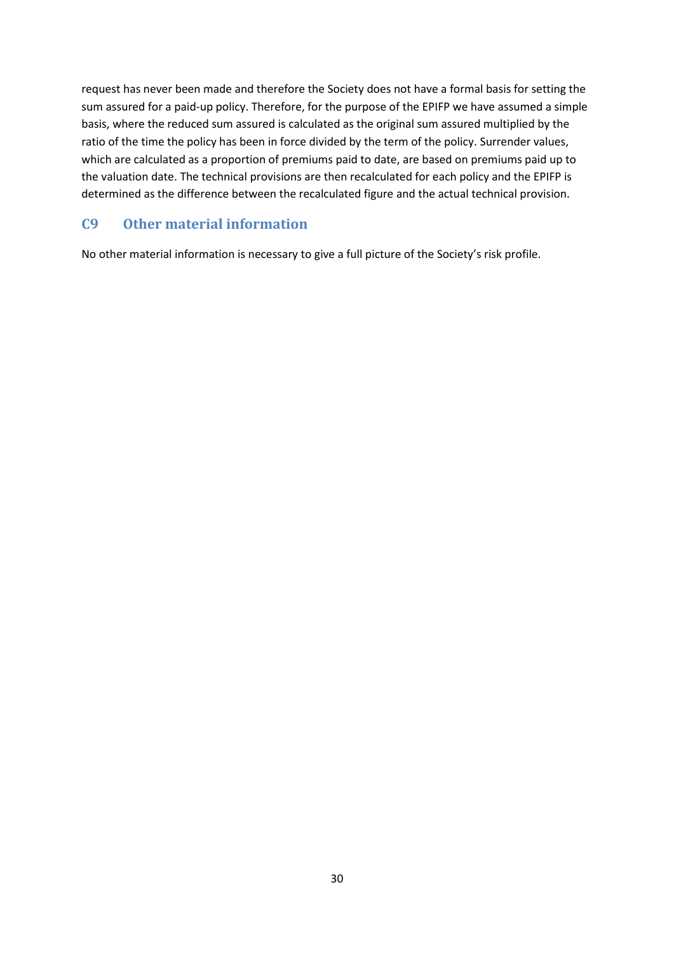request has never been made and therefore the Society does not have a formal basis for setting the sum assured for a paid-up policy. Therefore, for the purpose of the EPIFP we have assumed a simple basis, where the reduced sum assured is calculated as the original sum assured multiplied by the ratio of the time the policy has been in force divided by the term of the policy. Surrender values, which are calculated as a proportion of premiums paid to date, are based on premiums paid up to the valuation date. The technical provisions are then recalculated for each policy and the EPIFP is determined as the difference between the recalculated figure and the actual technical provision.

#### <span id="page-29-0"></span>**C9 Other material information**

No other material information is necessary to give a full picture of the Society's risk profile.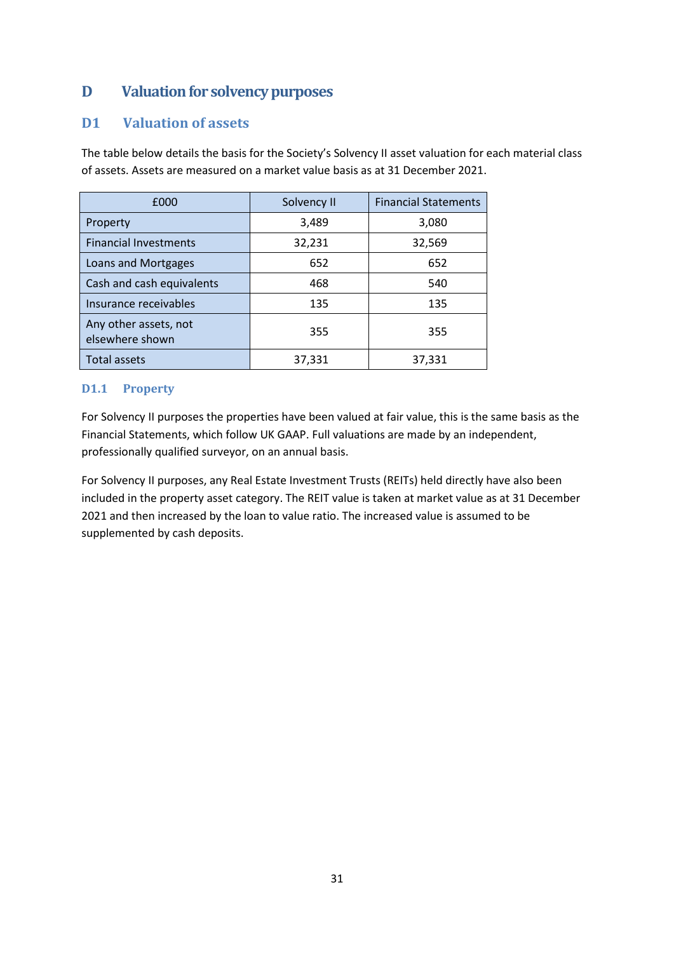## <span id="page-30-0"></span>**D Valuation for solvency purposes**

#### <span id="page-30-1"></span>**D1 Valuation of assets**

The table below details the basis for the Society's Solvency II asset valuation for each material class of assets. Assets are measured on a market value basis as at 31 December 2021.

| £000                                     | Solvency II | <b>Financial Statements</b> |
|------------------------------------------|-------------|-----------------------------|
| Property                                 | 3,489       | 3,080                       |
| <b>Financial Investments</b>             | 32,231      | 32,569                      |
| Loans and Mortgages                      | 652         | 652                         |
| Cash and cash equivalents                | 468         | 540                         |
| Insurance receivables                    | 135         | 135                         |
| Any other assets, not<br>elsewhere shown | 355         | 355                         |
| Total assets                             | 37,331      | 37,331                      |

#### **D1.1 Property**

For Solvency II purposes the properties have been valued at fair value, this is the same basis as the Financial Statements, which follow UK GAAP. Full valuations are made by an independent, professionally qualified surveyor, on an annual basis.

For Solvency II purposes, any Real Estate Investment Trusts (REITs) held directly have also been included in the property asset category. The REIT value is taken at market value as at 31 December 2021 and then increased by the loan to value ratio. The increased value is assumed to be supplemented by cash deposits.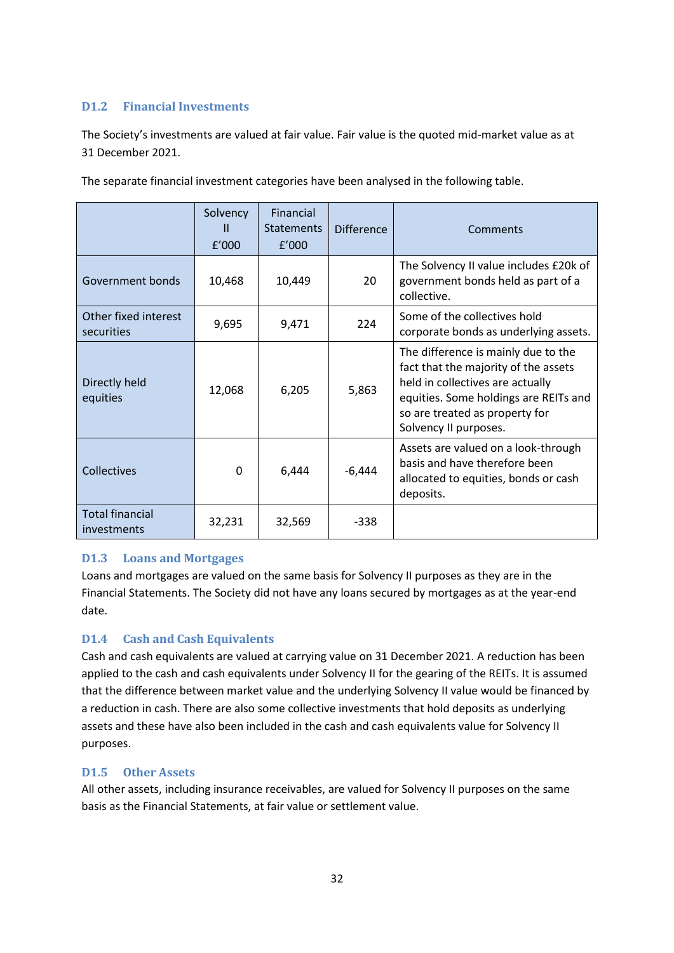#### **D1.2 Financial Investments**

The Society's investments are valued at fair value. Fair value is the quoted mid-market value as at 31 December 2021.

|                                       | Solvency<br>$\mathbf{H}$<br>f'000 | <b>Financial</b><br><b>Statements</b><br>f'000 | <b>Difference</b> | Comments                                                                                                                                                                                                            |
|---------------------------------------|-----------------------------------|------------------------------------------------|-------------------|---------------------------------------------------------------------------------------------------------------------------------------------------------------------------------------------------------------------|
| Government bonds                      | 10,468                            | 10,449                                         | 20                | The Solvency II value includes £20k of<br>government bonds held as part of a<br>collective.                                                                                                                         |
| Other fixed interest<br>securities    | 9,695                             | 9,471                                          | 224               | Some of the collectives hold<br>corporate bonds as underlying assets.                                                                                                                                               |
| Directly held<br>equities             | 12,068                            | 6,205                                          | 5,863             | The difference is mainly due to the<br>fact that the majority of the assets<br>held in collectives are actually<br>equities. Some holdings are REITs and<br>so are treated as property for<br>Solvency II purposes. |
| Collectives                           | $\Omega$                          | 6,444                                          | $-6,444$          | Assets are valued on a look-through<br>basis and have therefore been<br>allocated to equities, bonds or cash<br>deposits.                                                                                           |
| <b>Total financial</b><br>investments | 32,231                            | 32,569                                         | $-338$            |                                                                                                                                                                                                                     |

The separate financial investment categories have been analysed in the following table.

#### **D1.3 Loans and Mortgages**

Loans and mortgages are valued on the same basis for Solvency II purposes as they are in the Financial Statements. The Society did not have any loans secured by mortgages as at the year-end date.

#### **D1.4 Cash and Cash Equivalents**

Cash and cash equivalents are valued at carrying value on 31 December 2021. A reduction has been applied to the cash and cash equivalents under Solvency II for the gearing of the REITs. It is assumed that the difference between market value and the underlying Solvency II value would be financed by a reduction in cash. There are also some collective investments that hold deposits as underlying assets and these have also been included in the cash and cash equivalents value for Solvency II purposes.

#### **D1.5 Other Assets**

All other assets, including insurance receivables, are valued for Solvency II purposes on the same basis as the Financial Statements, at fair value or settlement value.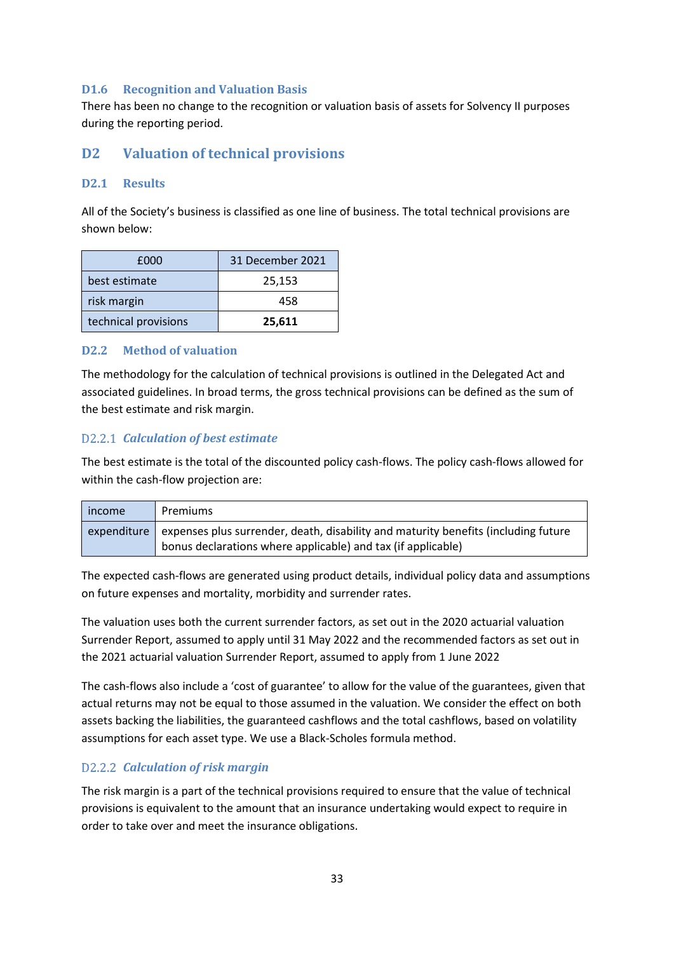#### **D1.6 Recognition and Valuation Basis**

There has been no change to the recognition or valuation basis of assets for Solvency II purposes during the reporting period.

#### <span id="page-32-0"></span>**D2 Valuation of technical provisions**

#### **D2.1 Results**

All of the Society's business is classified as one line of business. The total technical provisions are shown below:

| £000                 | 31 December 2021 |
|----------------------|------------------|
| best estimate        | 25,153           |
| risk margin          | 458              |
| technical provisions | 25,611           |

#### **D2.2 Method of valuation**

The methodology for the calculation of technical provisions is outlined in the Delegated Act and associated guidelines. In broad terms, the gross technical provisions can be defined as the sum of the best estimate and risk margin.

#### *Calculation of best estimate*

The best estimate is the total of the discounted policy cash-flows. The policy cash-flows allowed for within the cash-flow projection are:

| income | Premiums                                                                                                                                                       |
|--------|----------------------------------------------------------------------------------------------------------------------------------------------------------------|
|        | expenditure expenses plus surrender, death, disability and maturity benefits (including future<br>bonus declarations where applicable) and tax (if applicable) |

The expected cash-flows are generated using product details, individual policy data and assumptions on future expenses and mortality, morbidity and surrender rates.

The valuation uses both the current surrender factors, as set out in the 2020 actuarial valuation Surrender Report, assumed to apply until 31 May 2022 and the recommended factors as set out in the 2021 actuarial valuation Surrender Report, assumed to apply from 1 June 2022

The cash-flows also include a 'cost of guarantee' to allow for the value of the guarantees, given that actual returns may not be equal to those assumed in the valuation. We consider the effect on both assets backing the liabilities, the guaranteed cashflows and the total cashflows, based on volatility assumptions for each asset type. We use a Black-Scholes formula method.

#### *Calculation of risk margin*

The risk margin is a part of the technical provisions required to ensure that the value of technical provisions is equivalent to the amount that an insurance undertaking would expect to require in order to take over and meet the insurance obligations.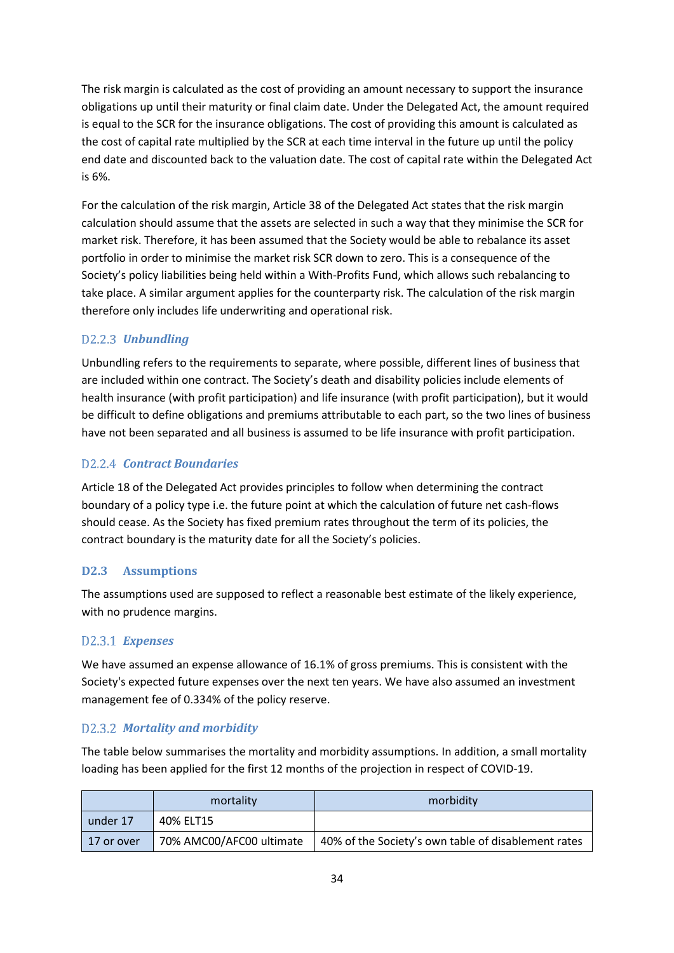The risk margin is calculated as the cost of providing an amount necessary to support the insurance obligations up until their maturity or final claim date. Under the Delegated Act, the amount required is equal to the SCR for the insurance obligations. The cost of providing this amount is calculated as the cost of capital rate multiplied by the SCR at each time interval in the future up until the policy end date and discounted back to the valuation date. The cost of capital rate within the Delegated Act is 6%.

For the calculation of the risk margin, Article 38 of the Delegated Act states that the risk margin calculation should assume that the assets are selected in such a way that they minimise the SCR for market risk. Therefore, it has been assumed that the Society would be able to rebalance its asset portfolio in order to minimise the market risk SCR down to zero. This is a consequence of the Society's policy liabilities being held within a With-Profits Fund, which allows such rebalancing to take place. A similar argument applies for the counterparty risk. The calculation of the risk margin therefore only includes life underwriting and operational risk.

#### D2.2.3 **Unbundling**

Unbundling refers to the requirements to separate, where possible, different lines of business that are included within one contract. The Society's death and disability policies include elements of health insurance (with profit participation) and life insurance (with profit participation), but it would be difficult to define obligations and premiums attributable to each part, so the two lines of business have not been separated and all business is assumed to be life insurance with profit participation.

#### *Contract Boundaries*

Article 18 of the Delegated Act provides principles to follow when determining the contract boundary of a policy type i.e. the future point at which the calculation of future net cash-flows should cease. As the Society has fixed premium rates throughout the term of its policies, the contract boundary is the maturity date for all the Society's policies.

#### **D2.3 Assumptions**

The assumptions used are supposed to reflect a reasonable best estimate of the likely experience, with no prudence margins.

#### *Expenses*

We have assumed an expense allowance of 16.1% of gross premiums. This is consistent with the Society's expected future expenses over the next ten years. We have also assumed an investment management fee of 0.334% of the policy reserve.

#### *Mortality and morbidity*

The table below summarises the mortality and morbidity assumptions. In addition, a small mortality loading has been applied for the first 12 months of the projection in respect of COVID-19.

|              | mortality                | morbidity                                           |
|--------------|--------------------------|-----------------------------------------------------|
| under 17     | 40% ELT15                |                                                     |
| l 17 or over | 70% AMC00/AFC00 ultimate | 40% of the Society's own table of disablement rates |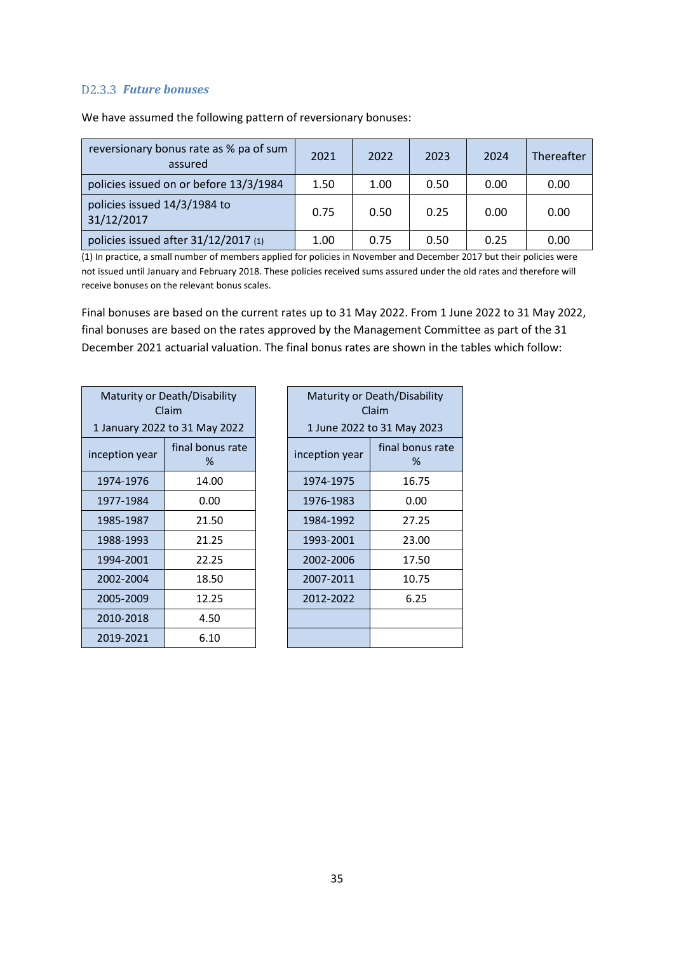#### *Future bonuses*

| reversionary bonus rate as % pa of sum<br>assured | 2021 | 2022 | 2023 | 2024 | Thereafter |
|---------------------------------------------------|------|------|------|------|------------|
| policies issued on or before 13/3/1984            | 1.50 | 1.00 | 0.50 | 0.00 | 0.00       |
| policies issued 14/3/1984 to<br>31/12/2017        | 0.75 | 0.50 | 0.25 | 0.00 | 0.00       |
| policies issued after 31/12/2017 (1)              | 1.00 | 0.75 | 0.50 | 0.25 | 0.00       |

We have assumed the following pattern of reversionary bonuses:

(1) In practice, a small number of members applied for policies in November and December 2017 but their policies were not issued until January and February 2018. These policies received sums assured under the old rates and therefore will receive bonuses on the relevant bonus scales.

Final bonuses are based on the current rates up to 31 May 2022. From 1 June 2022 to 31 May 2022, final bonuses are based on the rates approved by the Management Committee as part of the 31 December 2021 actuarial valuation. The final bonus rates are shown in the tables which follow:

| Maturity or Death/Disability<br>Claim   | Maturity or Death/Disabi      | Claim                    |                  |
|-----------------------------------------|-------------------------------|--------------------------|------------------|
|                                         | 1 January 2022 to 31 May 2022 | 1 June 2022 to 31 May 20 |                  |
| final bonus rate<br>inception year<br>% |                               | inception year           | final bonus<br>% |
| 1974-1976                               | 14.00                         | 1974-1975                | 16.75            |
| 1977-1984                               | 0.00                          | 1976-1983                | 0.00             |
| 1985-1987                               | 21.50                         | 1984-1992                | 27.25            |
| 1988-1993                               | 21.25                         | 1993-2001                | 23.00            |
| 1994-2001                               | 22.25                         | 2002-2006                | 17.50            |
| 2002-2004                               | 18.50                         | 2007-2011                | 10.75            |
| 2005-2009                               | 12.25                         | 2012-2022                | 6.25             |
| 2010-2018                               | 4.50                          |                          |                  |
| 2019-2021                               | 6.10                          |                          |                  |

| Maturity or Death/Disability<br>Claim |                       |  |
|---------------------------------------|-----------------------|--|
| 1 June 2022 to 31 May 2023            |                       |  |
| inception year                        | final bonus rate<br>% |  |
| 1974-1975                             | 16.75                 |  |
| 1976-1983                             | 0.00                  |  |
| 1984-1992                             | 27.25                 |  |
| 1993-2001                             | 23.00                 |  |
| 2002-2006                             | 17.50                 |  |
| 2007-2011                             | 10.75                 |  |
| 2012-2022                             | 6.25                  |  |
|                                       |                       |  |
|                                       |                       |  |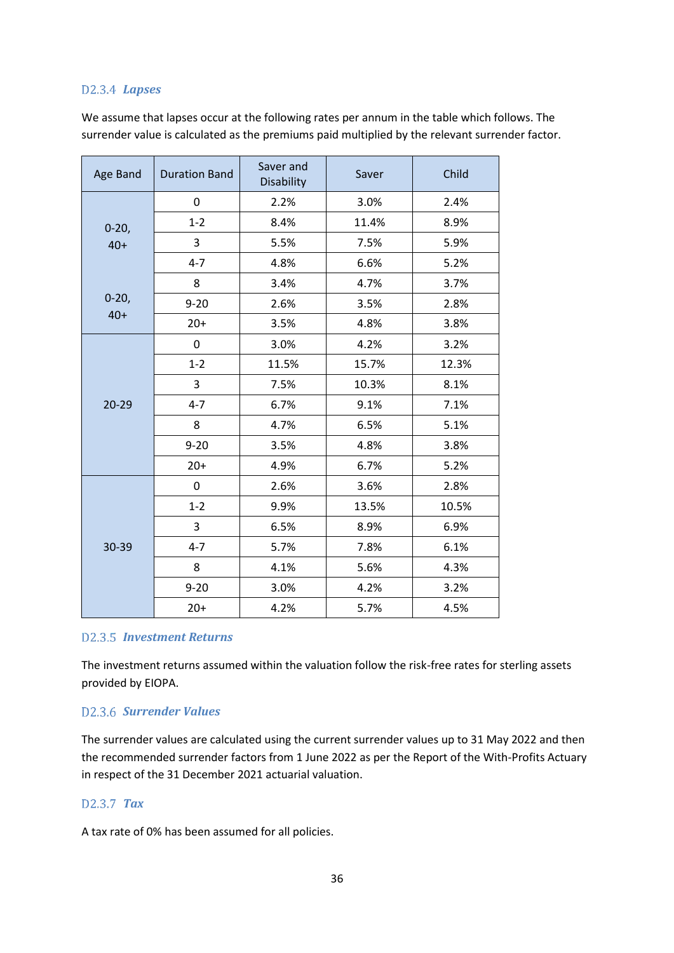#### *Lapses*

We assume that lapses occur at the following rates per annum in the table which follows. The surrender value is calculated as the premiums paid multiplied by the relevant surrender factor.

| Age Band  | <b>Duration Band</b> | Saver and<br>Disability | Saver | Child |
|-----------|----------------------|-------------------------|-------|-------|
|           | 0                    | 2.2%                    | 3.0%  | 2.4%  |
| $0-20,$   | $1 - 2$              | 8.4%                    | 11.4% | 8.9%  |
| $40+$     | 3                    | 5.5%                    | 7.5%  | 5.9%  |
|           | $4 - 7$              | 4.8%                    | 6.6%  | 5.2%  |
|           | 8                    | 3.4%                    | 4.7%  | 3.7%  |
| $0 - 20,$ | $9 - 20$             | 2.6%                    | 3.5%  | 2.8%  |
| $40+$     | $20+$                | 3.5%                    | 4.8%  | 3.8%  |
|           | 0                    | 3.0%                    | 4.2%  | 3.2%  |
|           | $1 - 2$              | 11.5%                   | 15.7% | 12.3% |
|           | 3                    | 7.5%                    | 10.3% | 8.1%  |
| $20 - 29$ | $4 - 7$              | 6.7%                    | 9.1%  | 7.1%  |
|           | 8                    | 4.7%                    | 6.5%  | 5.1%  |
|           | $9 - 20$             | 3.5%                    | 4.8%  | 3.8%  |
|           | $20+$                | 4.9%                    | 6.7%  | 5.2%  |
|           | 0                    | 2.6%                    | 3.6%  | 2.8%  |
|           | $1 - 2$              | 9.9%                    | 13.5% | 10.5% |
|           | 3                    | 6.5%                    | 8.9%  | 6.9%  |
| 30-39     | $4 - 7$              | 5.7%                    | 7.8%  | 6.1%  |
|           | 8                    | 4.1%                    | 5.6%  | 4.3%  |
|           | $9 - 20$             | 3.0%                    | 4.2%  | 3.2%  |
|           | $20+$                | 4.2%                    | 5.7%  | 4.5%  |

#### *Investment Returns*

The investment returns assumed within the valuation follow the risk-free rates for sterling assets provided by EIOPA.

#### *Surrender Values*

The surrender values are calculated using the current surrender values up to 31 May 2022 and then the recommended surrender factors from 1 June 2022 as per the Report of the With-Profits Actuary in respect of the 31 December 2021 actuarial valuation.

#### *Tax*

A tax rate of 0% has been assumed for all policies.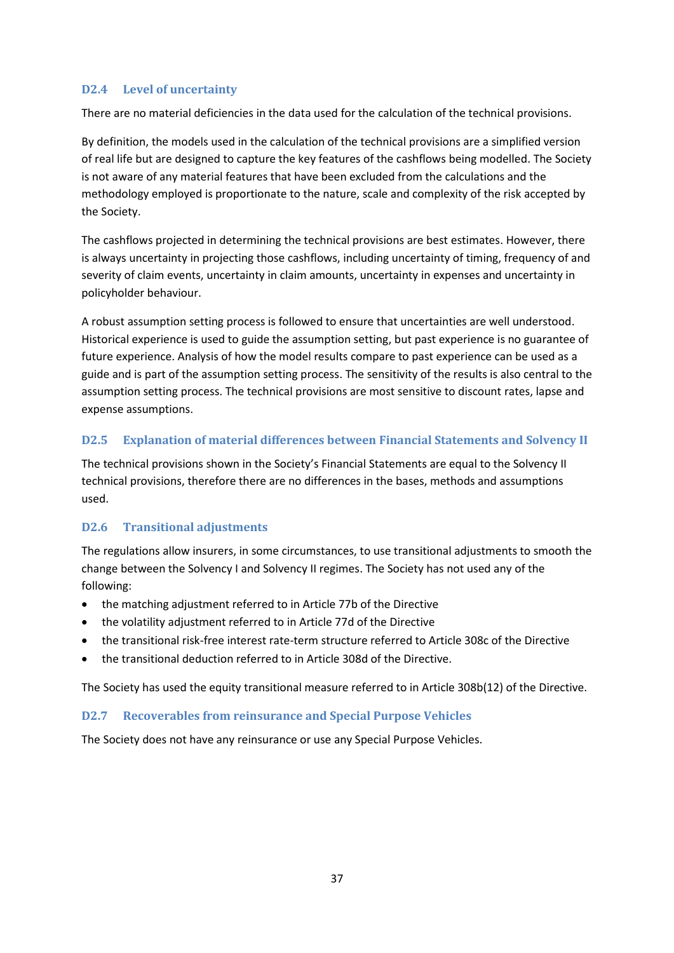#### **D2.4 Level of uncertainty**

There are no material deficiencies in the data used for the calculation of the technical provisions.

By definition, the models used in the calculation of the technical provisions are a simplified version of real life but are designed to capture the key features of the cashflows being modelled. The Society is not aware of any material features that have been excluded from the calculations and the methodology employed is proportionate to the nature, scale and complexity of the risk accepted by the Society.

The cashflows projected in determining the technical provisions are best estimates. However, there is always uncertainty in projecting those cashflows, including uncertainty of timing, frequency of and severity of claim events, uncertainty in claim amounts, uncertainty in expenses and uncertainty in policyholder behaviour.

A robust assumption setting process is followed to ensure that uncertainties are well understood. Historical experience is used to guide the assumption setting, but past experience is no guarantee of future experience. Analysis of how the model results compare to past experience can be used as a guide and is part of the assumption setting process. The sensitivity of the results is also central to the assumption setting process. The technical provisions are most sensitive to discount rates, lapse and expense assumptions.

#### **D2.5 Explanation of material differences between Financial Statements and Solvency II**

The technical provisions shown in the Society's Financial Statements are equal to the Solvency II technical provisions, therefore there are no differences in the bases, methods and assumptions used.

#### **D2.6 Transitional adjustments**

The regulations allow insurers, in some circumstances, to use transitional adjustments to smooth the change between the Solvency I and Solvency II regimes. The Society has not used any of the following:

- the matching adjustment referred to in Article 77b of the Directive
- the volatility adjustment referred to in Article 77d of the Directive
- the transitional risk-free interest rate-term structure referred to Article 308c of the Directive
- the transitional deduction referred to in Article 308d of the Directive.

The Society has used the equity transitional measure referred to in Article 308b(12) of the Directive.

#### **D2.7 Recoverables from reinsurance and Special Purpose Vehicles**

The Society does not have any reinsurance or use any Special Purpose Vehicles.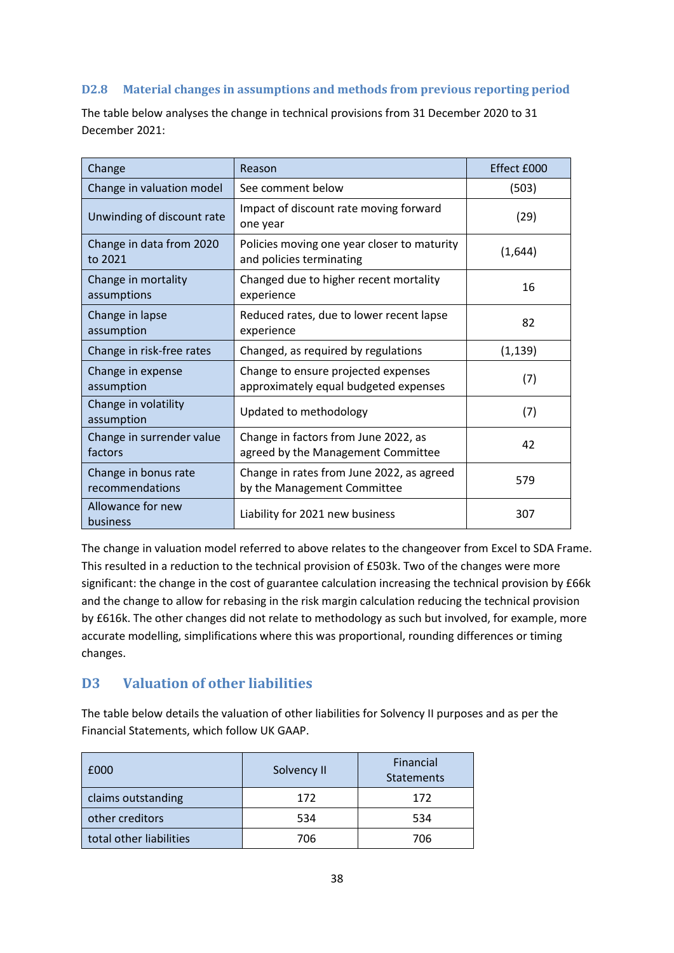#### **D2.8 Material changes in assumptions and methods from previous reporting period**

| Change                                  | Reason                                                                       | Effect £000 |
|-----------------------------------------|------------------------------------------------------------------------------|-------------|
| Change in valuation model               | See comment below                                                            | (503)       |
| Unwinding of discount rate              | Impact of discount rate moving forward<br>one year                           | (29)        |
| Change in data from 2020<br>to 2021     | Policies moving one year closer to maturity<br>and policies terminating      | (1,644)     |
| Change in mortality<br>assumptions      | Changed due to higher recent mortality<br>experience                         | 16          |
| Change in lapse<br>assumption           | Reduced rates, due to lower recent lapse<br>experience                       | 82          |
| Change in risk-free rates               | Changed, as required by regulations                                          | (1, 139)    |
| Change in expense<br>assumption         | Change to ensure projected expenses<br>approximately equal budgeted expenses | (7)         |
| Change in volatility<br>assumption      | Updated to methodology                                                       | (7)         |
| Change in surrender value<br>factors    | Change in factors from June 2022, as<br>agreed by the Management Committee   | 42          |
| Change in bonus rate<br>recommendations | Change in rates from June 2022, as agreed<br>by the Management Committee     | 579         |
| Allowance for new<br>business           | Liability for 2021 new business                                              | 307         |

The table below analyses the change in technical provisions from 31 December 2020 to 31 December 2021:

The change in valuation model referred to above relates to the changeover from Excel to SDA Frame. This resulted in a reduction to the technical provision of £503k. Two of the changes were more significant: the change in the cost of guarantee calculation increasing the technical provision by £66k and the change to allow for rebasing in the risk margin calculation reducing the technical provision by £616k. The other changes did not relate to methodology as such but involved, for example, more accurate modelling, simplifications where this was proportional, rounding differences or timing changes.

### <span id="page-37-0"></span>**D3 Valuation of other liabilities**

The table below details the valuation of other liabilities for Solvency II purposes and as per the Financial Statements, which follow UK GAAP.

| £000                    | Solvency II | Financial<br><b>Statements</b> |
|-------------------------|-------------|--------------------------------|
| claims outstanding      | 172         | 172                            |
| other creditors         | 534         | 534                            |
| total other liabilities | 706         | 706                            |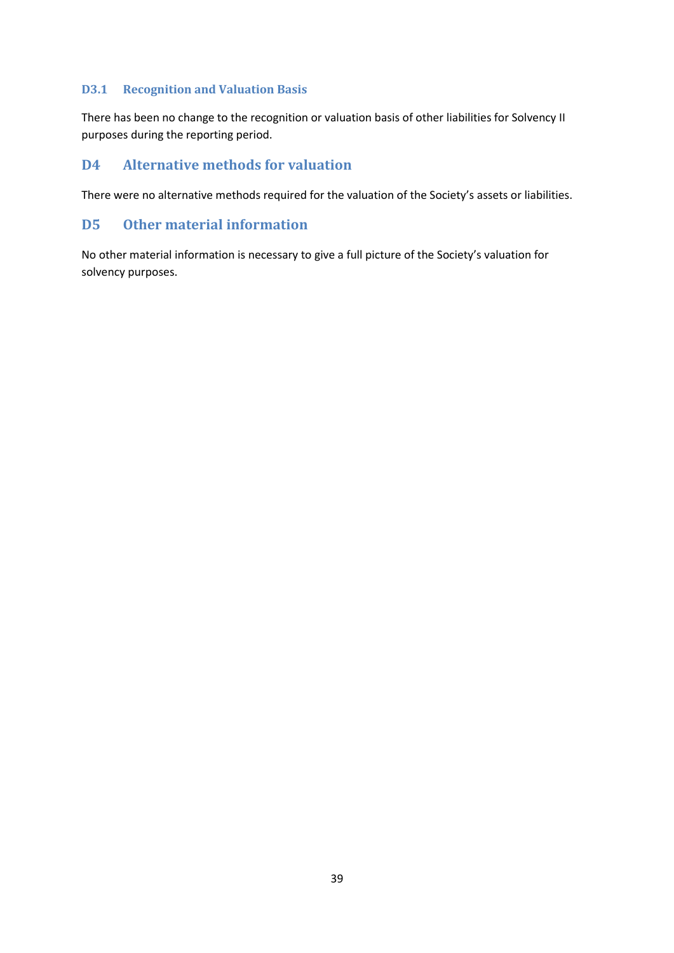#### **D3.1 Recognition and Valuation Basis**

There has been no change to the recognition or valuation basis of other liabilities for Solvency II purposes during the reporting period.

#### <span id="page-38-0"></span>**D4 Alternative methods for valuation**

There were no alternative methods required for the valuation of the Society's assets or liabilities.

#### <span id="page-38-1"></span>**D5 Other material information**

No other material information is necessary to give a full picture of the Society's valuation for solvency purposes.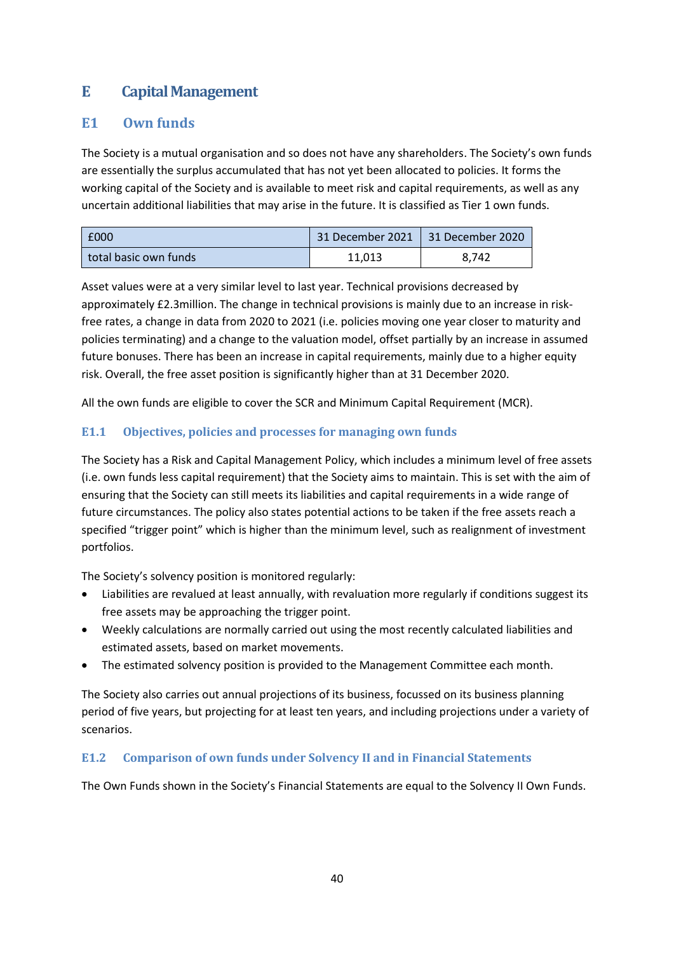## <span id="page-39-0"></span>**E Capital Management**

### <span id="page-39-1"></span>**E1 Own funds**

The Society is a mutual organisation and so does not have any shareholders. The Society's own funds are essentially the surplus accumulated that has not yet been allocated to policies. It forms the working capital of the Society and is available to meet risk and capital requirements, as well as any uncertain additional liabilities that may arise in the future. It is classified as Tier 1 own funds.

| £000                  | 31 December 2021   31 December 2020 |       |
|-----------------------|-------------------------------------|-------|
| total basic own funds | 11.013                              | 8.742 |

Asset values were at a very similar level to last year. Technical provisions decreased by approximately £2.3million. The change in technical provisions is mainly due to an increase in riskfree rates, a change in data from 2020 to 2021 (i.e. policies moving one year closer to maturity and policies terminating) and a change to the valuation model, offset partially by an increase in assumed future bonuses. There has been an increase in capital requirements, mainly due to a higher equity risk. Overall, the free asset position is significantly higher than at 31 December 2020.

All the own funds are eligible to cover the SCR and Minimum Capital Requirement (MCR).

#### **E1.1 Objectives, policies and processes for managing own funds**

The Society has a Risk and Capital Management Policy, which includes a minimum level of free assets (i.e. own funds less capital requirement) that the Society aims to maintain. This is set with the aim of ensuring that the Society can still meets its liabilities and capital requirements in a wide range of future circumstances. The policy also states potential actions to be taken if the free assets reach a specified "trigger point" which is higher than the minimum level, such as realignment of investment portfolios.

The Society's solvency position is monitored regularly:

- Liabilities are revalued at least annually, with revaluation more regularly if conditions suggest its free assets may be approaching the trigger point.
- Weekly calculations are normally carried out using the most recently calculated liabilities and estimated assets, based on market movements.
- The estimated solvency position is provided to the Management Committee each month.

The Society also carries out annual projections of its business, focussed on its business planning period of five years, but projecting for at least ten years, and including projections under a variety of scenarios.

#### **E1.2 Comparison of own funds under Solvency II and in Financial Statements**

The Own Funds shown in the Society's Financial Statements are equal to the Solvency II Own Funds.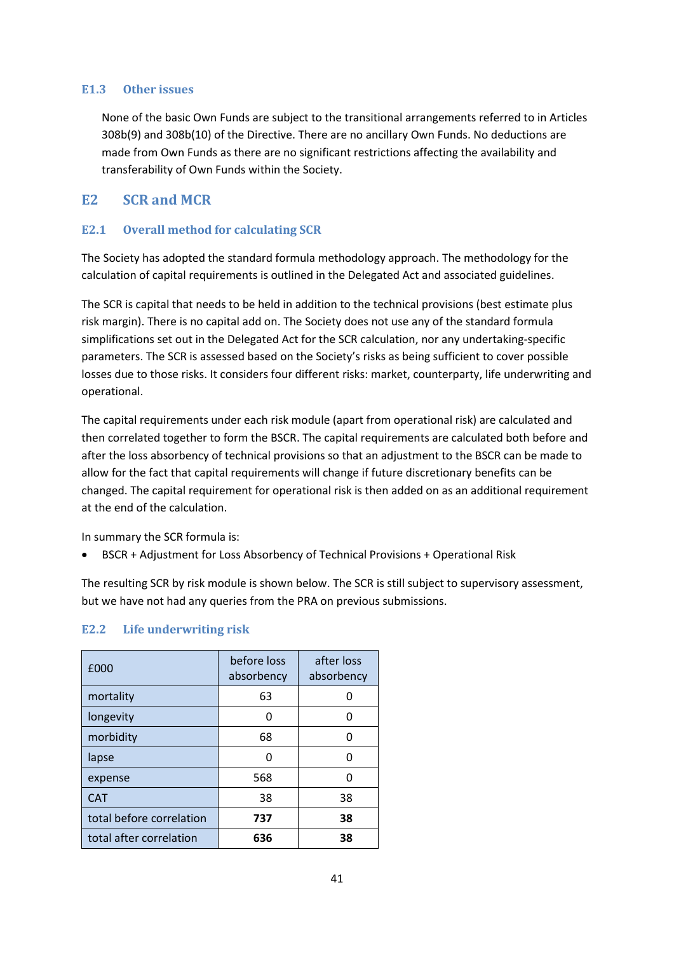#### **E1.3 Other issues**

None of the basic Own Funds are subject to the transitional arrangements referred to in Articles 308b(9) and 308b(10) of the Directive. There are no ancillary Own Funds. No deductions are made from Own Funds as there are no significant restrictions affecting the availability and transferability of Own Funds within the Society.

#### <span id="page-40-0"></span>**E2 SCR and MCR**

#### **E2.1 Overall method for calculating SCR**

The Society has adopted the standard formula methodology approach. The methodology for the calculation of capital requirements is outlined in the Delegated Act and associated guidelines.

The SCR is capital that needs to be held in addition to the technical provisions (best estimate plus risk margin). There is no capital add on. The Society does not use any of the standard formula simplifications set out in the Delegated Act for the SCR calculation, nor any undertaking-specific parameters. The SCR is assessed based on the Society's risks as being sufficient to cover possible losses due to those risks. It considers four different risks: market, counterparty, life underwriting and operational.

The capital requirements under each risk module (apart from operational risk) are calculated and then correlated together to form the BSCR. The capital requirements are calculated both before and after the loss absorbency of technical provisions so that an adjustment to the BSCR can be made to allow for the fact that capital requirements will change if future discretionary benefits can be changed. The capital requirement for operational risk is then added on as an additional requirement at the end of the calculation.

In summary the SCR formula is:

• BSCR + Adjustment for Loss Absorbency of Technical Provisions + Operational Risk

The resulting SCR by risk module is shown below. The SCR is still subject to supervisory assessment, but we have not had any queries from the PRA on previous submissions.

| £000                     | before loss<br>absorbency | after loss<br>absorbency |
|--------------------------|---------------------------|--------------------------|
| mortality                | 63                        |                          |
| longevity                | n                         | n                        |
| morbidity                | 68                        |                          |
| lapse                    | ŋ                         |                          |
| expense                  | 568                       | n                        |
| <b>CAT</b>               | 38                        | 38                       |
| total before correlation | 737                       | 38                       |
| total after correlation  | 636                       | 38                       |

#### **E2.2 Life underwriting risk**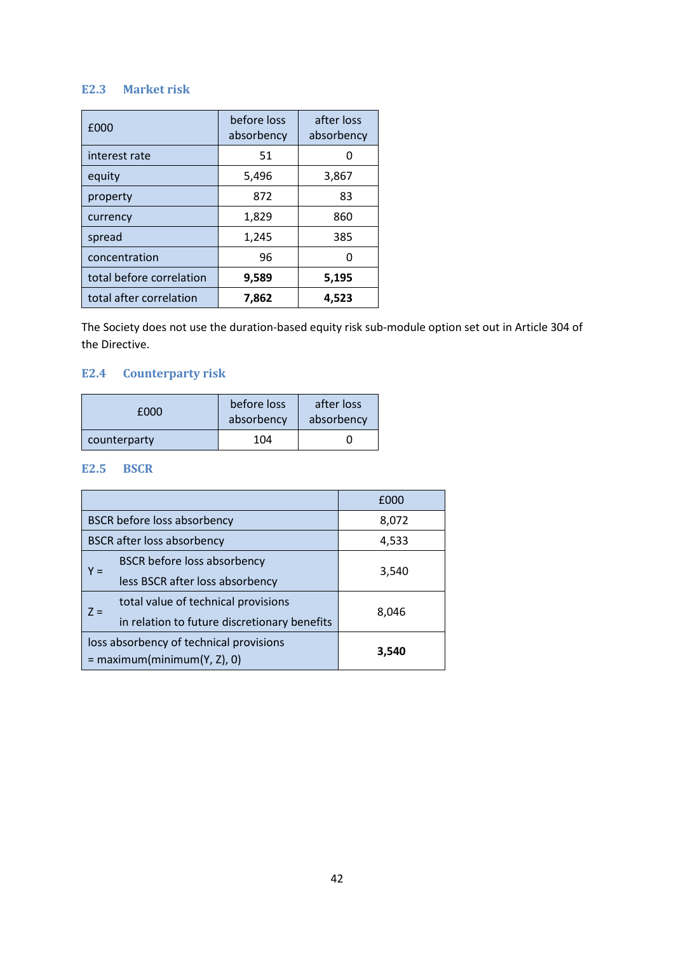#### **E2.3 Market risk**

| £000                     | before loss<br>absorbency | after loss<br>absorbency |
|--------------------------|---------------------------|--------------------------|
| interest rate            | 51                        |                          |
| equity                   | 5,496                     | 3,867                    |
| property                 | 872                       | 83                       |
| currency                 | 1,829                     | 860                      |
| spread                   | 1,245                     | 385                      |
| concentration            | 96                        |                          |
| total before correlation | 9,589                     | 5,195                    |
| total after correlation  | 7,862                     | 4,523                    |

The Society does not use the duration-based equity risk sub-module option set out in Article 304 of the Directive.

#### **E2.4 Counterparty risk**

| £000         | before loss<br>absorbency | after loss<br>absorbency |
|--------------|---------------------------|--------------------------|
| counterparty | 104                       |                          |

#### **E2.5 BSCR**

|                                              | £000  |
|----------------------------------------------|-------|
| <b>BSCR</b> before loss absorbency           | 8,072 |
| <b>BSCR</b> after loss absorbency            | 4,533 |
| <b>BSCR before loss absorbency</b><br>Y =    |       |
| less BSCR after loss absorbency              | 3,540 |
| total value of technical provisions<br>$7 =$ | 8,046 |
| in relation to future discretionary benefits |       |
| loss absorbency of technical provisions      | 3,540 |
| $=$ maximum(minimum(Y, Z), 0)                |       |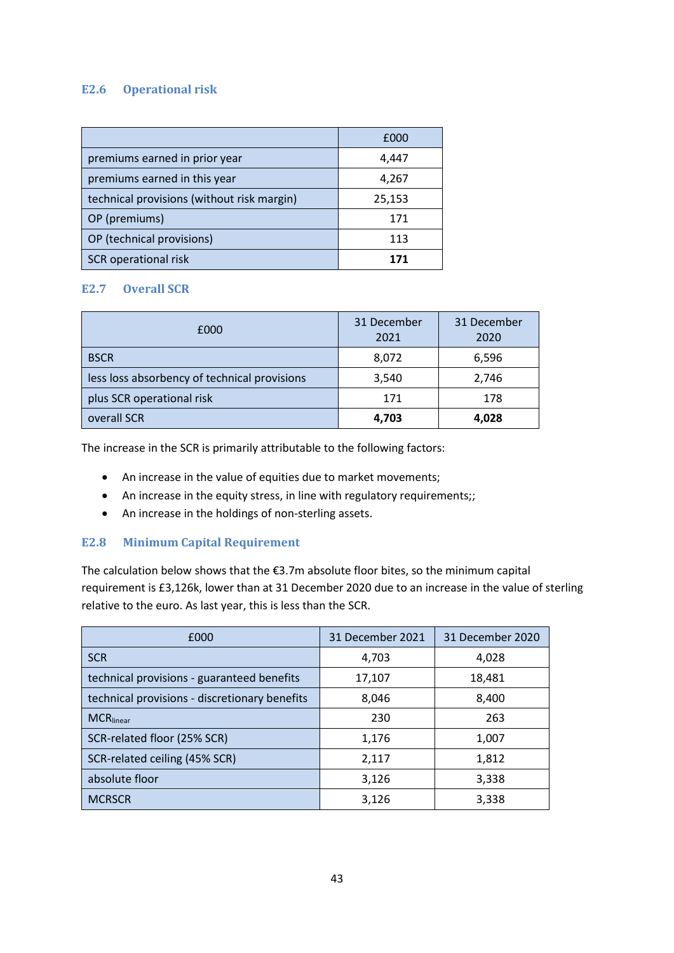#### **E2.6 Operational risk**

|                                            | £000   |
|--------------------------------------------|--------|
| premiums earned in prior year              | 4,447  |
| premiums earned in this year               | 4,267  |
| technical provisions (without risk margin) | 25,153 |
| OP (premiums)                              | 171    |
| OP (technical provisions)                  | 113    |
| SCR operational risk                       |        |

#### **E2.7 Overall SCR**

| £000                                         | 31 December<br>2021 | 31 December<br>2020 |
|----------------------------------------------|---------------------|---------------------|
| <b>BSCR</b>                                  | 8,072               | 6,596               |
| less loss absorbency of technical provisions | 3,540               | 2,746               |
| plus SCR operational risk                    | 171                 | 178                 |
| overall SCR                                  | 4,703               | 4,028               |

The increase in the SCR is primarily attributable to the following factors:

- An increase in the value of equities due to market movements;
- An increase in the equity stress, in line with regulatory requirements;;
- An increase in the holdings of non-sterling assets.

#### **E2.8 Minimum Capital Requirement**

The calculation below shows that the €3.7m absolute floor bites, so the minimum capital requirement is £3,126k, lower than at 31 December 2020 due to an increase in the value of sterling relative to the euro. As last year, this is less than the SCR.

| £000                                          | 31 December 2021 | 31 December 2020 |
|-----------------------------------------------|------------------|------------------|
| <b>SCR</b>                                    | 4,703            | 4,028            |
| technical provisions - guaranteed benefits    | 17,107           | 18,481           |
| technical provisions - discretionary benefits | 8,046            | 8,400            |
| <b>MCR</b> linear                             | 230              | 263              |
| SCR-related floor (25% SCR)                   | 1,176            | 1,007            |
| SCR-related ceiling (45% SCR)                 | 2,117            | 1,812            |
| absolute floor                                | 3,126            | 3,338            |
| <b>MCRSCR</b>                                 | 3,126            | 3,338            |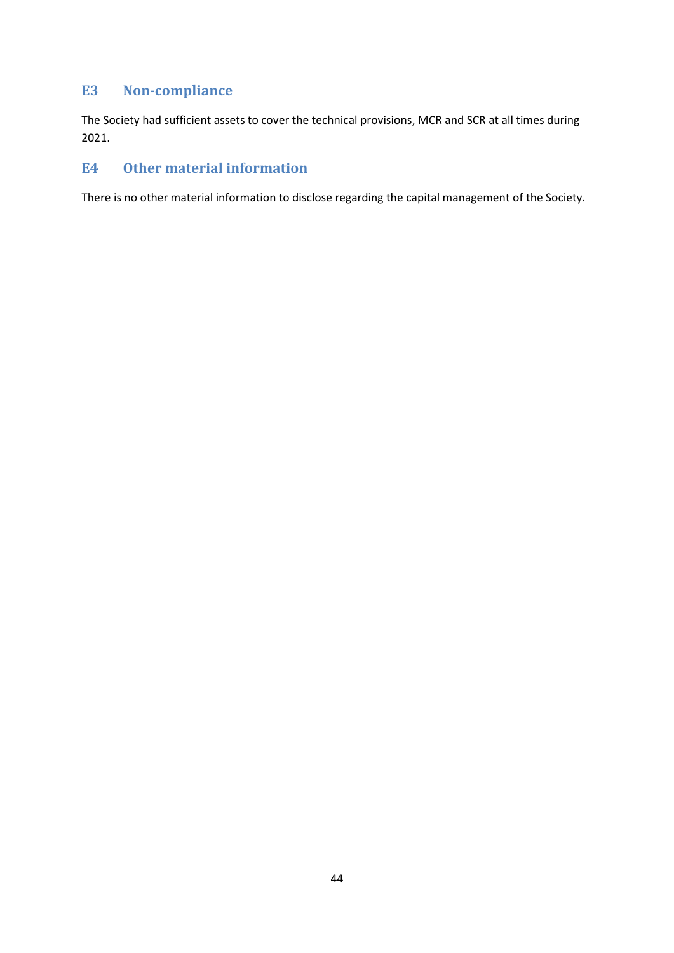#### <span id="page-43-0"></span>**E3 Non-compliance**

The Society had sufficient assets to cover the technical provisions, MCR and SCR at all times during 2021.

### <span id="page-43-1"></span>**E4 Other material information**

There is no other material information to disclose regarding the capital management of the Society.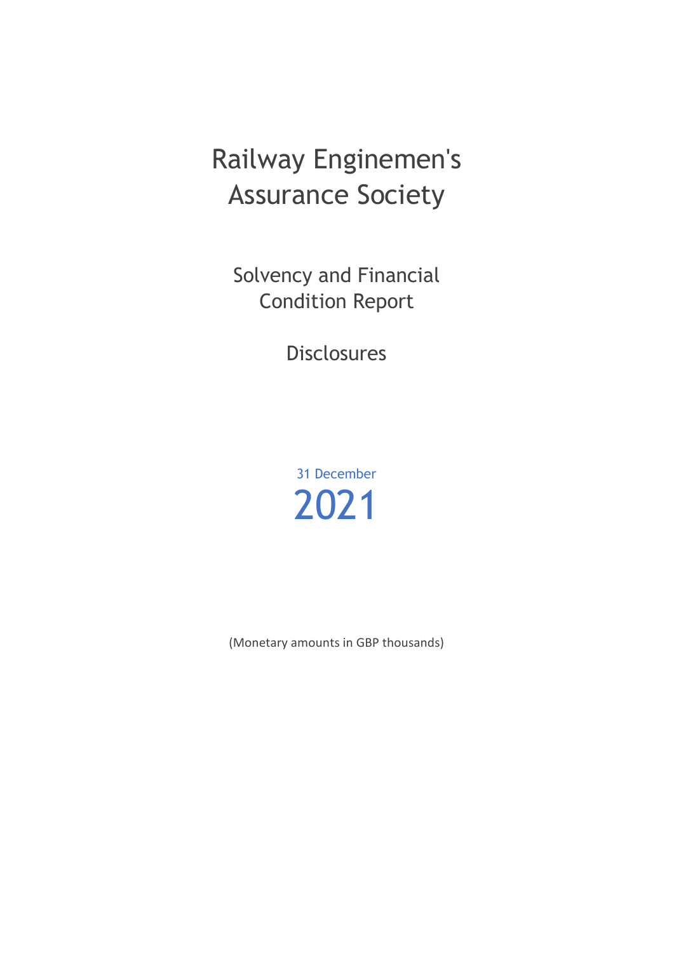# Railway Enginemen's Assurance Society

Solvency and Financial Condition Report

**Disclosures** 

31 December 2021

(Monetary amounts in GBP thousands)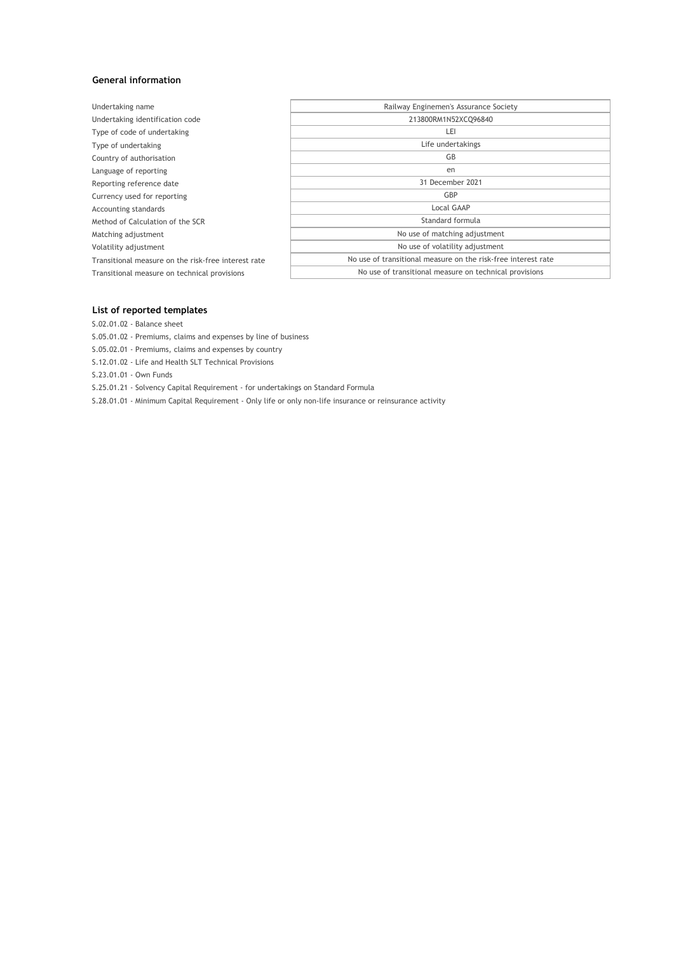#### **General information**

| Undertaking name                                    | Railway Enginemen's Assurance Society                         |
|-----------------------------------------------------|---------------------------------------------------------------|
| Undertaking identification code                     | 213800RM1N52XCQ96840                                          |
| Type of code of undertaking                         | LEI                                                           |
| Type of undertaking                                 | Life undertakings                                             |
| Country of authorisation                            | GB                                                            |
| Language of reporting                               | en                                                            |
| Reporting reference date                            | 31 December 2021                                              |
| Currency used for reporting                         | GBP                                                           |
| Accounting standards                                | Local GAAP                                                    |
| Method of Calculation of the SCR                    | Standard formula                                              |
| Matching adjustment                                 | No use of matching adjustment                                 |
| Volatility adjustment                               | No use of volatility adjustment                               |
| Transitional measure on the risk-free interest rate | No use of transitional measure on the risk-free interest rate |
| Transitional measure on technical provisions        | No use of transitional measure on technical provisions        |
|                                                     |                                                               |

#### **List of reported templates**

S.02.01.02 - Balance sheet

S.05.01.02 - Premiums, claims and expenses by line of business

S.05.02.01 - Premiums, claims and expenses by country

S.12.01.02 - Life and Health SLT Technical Provisions

S.23.01.01 - Own Funds

S.25.01.21 - Solvency Capital Requirement - for undertakings on Standard Formula

S.28.01.01 - Minimum Capital Requirement - Only life or only non-life insurance or reinsurance activity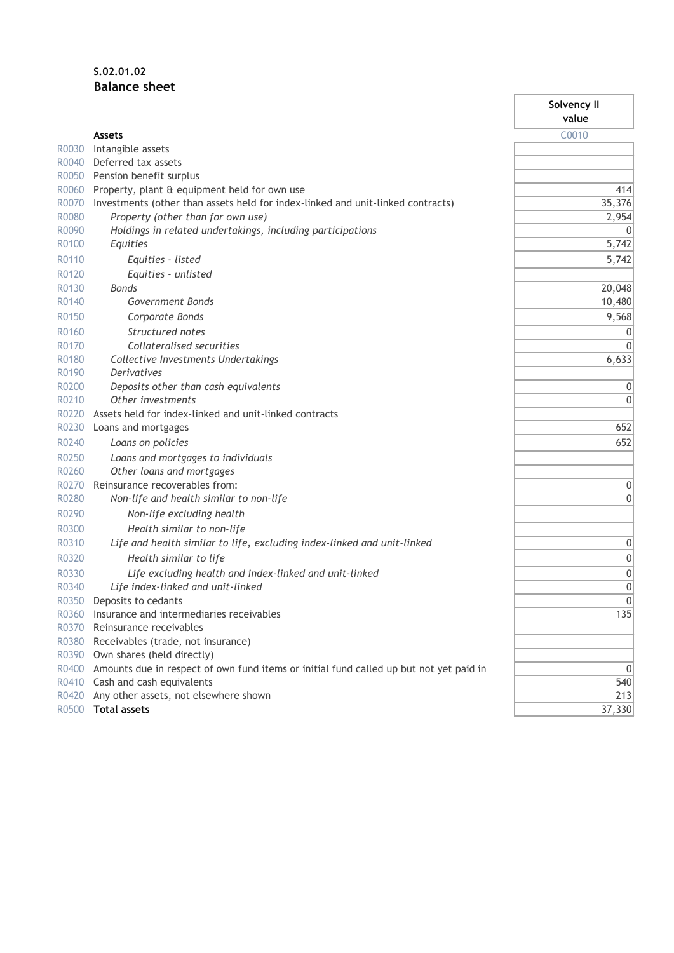#### **S.02.01.02 Balance sheet**

|       |                                                                                        | Solvency II  |
|-------|----------------------------------------------------------------------------------------|--------------|
|       |                                                                                        | value        |
|       | <b>Assets</b>                                                                          | C0010        |
| R0030 | Intangible assets                                                                      |              |
| R0040 | Deferred tax assets                                                                    |              |
| R0050 | Pension benefit surplus                                                                |              |
| R0060 | Property, plant & equipment held for own use                                           | 414          |
| R0070 | Investments (other than assets held for index-linked and unit-linked contracts)        | 35,376       |
| R0080 | Property (other than for own use)                                                      | 2,954        |
| R0090 | Holdings in related undertakings, including participations                             | $\mathbf{0}$ |
| R0100 | Equities                                                                               | 5,742        |
| R0110 | Equities - listed                                                                      | 5,742        |
| R0120 | Equities - unlisted                                                                    |              |
| R0130 | <b>Bonds</b>                                                                           | 20,048       |
| R0140 | Government Bonds                                                                       | 10,480       |
| R0150 | Corporate Bonds                                                                        | 9,568        |
| R0160 | Structured notes                                                                       | 0            |
| R0170 | Collateralised securities                                                              | $\mathbf{0}$ |
| R0180 | Collective Investments Undertakings                                                    | 6,633        |
| R0190 | Derivatives                                                                            |              |
| R0200 | Deposits other than cash equivalents                                                   | 0            |
| R0210 | Other investments                                                                      | $\Omega$     |
| R0220 | Assets held for index-linked and unit-linked contracts                                 |              |
| R0230 | Loans and mortgages                                                                    | 652          |
| R0240 | Loans on policies                                                                      | 652          |
| R0250 | Loans and mortgages to individuals                                                     |              |
| R0260 | Other loans and mortgages                                                              |              |
| R0270 | Reinsurance recoverables from:                                                         | 0            |
| R0280 | Non-life and health similar to non-life                                                | 0            |
| R0290 | Non-life excluding health                                                              |              |
| R0300 | Health similar to non-life                                                             |              |
| R0310 | Life and health similar to life, excluding index-linked and unit-linked                | 0            |
| R0320 | Health similar to life                                                                 | 0            |
| R0330 | Life excluding health and index-linked and unit-linked                                 | 0            |
| R0340 | Life index-linked and unit-linked                                                      | 0            |
| R0350 | Deposits to cedants                                                                    | $\mathbf 0$  |
| R0360 | Insurance and intermediaries receivables                                               | 135          |
| R0370 | Reinsurance receivables                                                                |              |
| R0380 | Receivables (trade, not insurance)                                                     |              |
| R0390 | Own shares (held directly)                                                             |              |
| R0400 | Amounts due in respect of own fund items or initial fund called up but not yet paid in | 0            |
| R0410 | Cash and cash equivalents                                                              | 540          |
| R0420 | Any other assets, not elsewhere shown                                                  | 213          |
| R0500 | <b>Total assets</b>                                                                    | 37,330       |
|       |                                                                                        |              |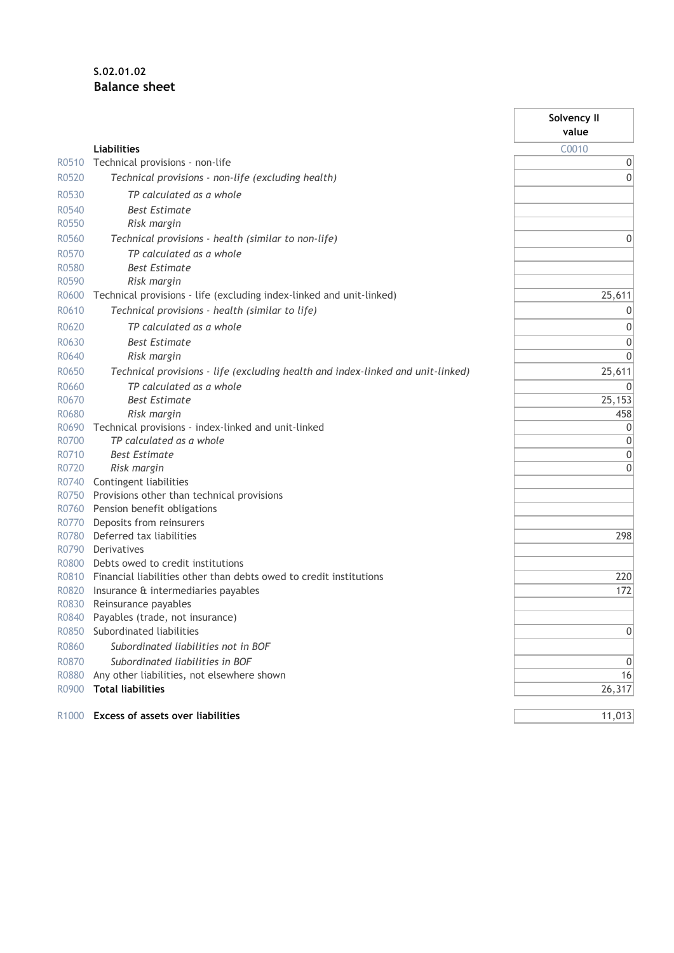#### **S.02.01.02 Balance sheet**

|                   |                                                                                                         | Solvency II<br>value |
|-------------------|---------------------------------------------------------------------------------------------------------|----------------------|
|                   |                                                                                                         |                      |
|                   | Liabilities                                                                                             | C0010                |
| R0510             | Technical provisions - non-life                                                                         | 0                    |
| R0520             | Technical provisions - non-life (excluding health)                                                      | $\mathbf{0}$         |
| R0530             | TP calculated as a whole                                                                                |                      |
| R0540             | <b>Best Estimate</b>                                                                                    |                      |
| R0550             | Risk margin                                                                                             |                      |
| R0560             | Technical provisions - health (similar to non-life)                                                     | 0                    |
| R0570             | TP calculated as a whole                                                                                |                      |
| R0580             | <b>Best Estimate</b>                                                                                    |                      |
| R0590             | Risk margin                                                                                             |                      |
| R0600             | Technical provisions - life (excluding index-linked and unit-linked)                                    | 25,611               |
| R0610             | Technical provisions - health (similar to life)                                                         | 0                    |
| R0620             | TP calculated as a whole                                                                                | 0                    |
| R0630             | <b>Best Estimate</b>                                                                                    | $\mathbf 0$          |
| R0640             | Risk margin                                                                                             | $\mathbf 0$          |
| R0650             | Technical provisions - life (excluding health and index-linked and unit-linked)                         | 25,611               |
| R0660             | TP calculated as a whole                                                                                | 0                    |
| R0670             | <b>Best Estimate</b>                                                                                    | 25,153               |
| R0680             | Risk margin                                                                                             | 458                  |
| R0690             | Technical provisions - index-linked and unit-linked                                                     | 0                    |
| R0700             | TP calculated as a whole                                                                                | $\mathbf 0$          |
| R0710             | <b>Best Estimate</b>                                                                                    | $\mathbf{0}$         |
| R0720             | Risk margin                                                                                             | $\mathbf 0$          |
| R0740             | Contingent liabilities                                                                                  |                      |
| R0750             | Provisions other than technical provisions                                                              |                      |
| R0760             | Pension benefit obligations                                                                             |                      |
| R0770             | Deposits from reinsurers                                                                                |                      |
| R0780             | Deferred tax liabilities                                                                                | 298                  |
| R0790<br>R0800    | Derivatives                                                                                             |                      |
| R0810             | Debts owed to credit institutions<br>Financial liabilities other than debts owed to credit institutions | 220                  |
| R0820             | Insurance & intermediaries payables                                                                     | 172                  |
| R0830             | Reinsurance payables                                                                                    |                      |
| R0840             | Payables (trade, not insurance)                                                                         |                      |
| R0850             | Subordinated liabilities                                                                                | 0                    |
| R0860             | Subordinated liabilities not in BOF                                                                     |                      |
| R0870             | Subordinated liabilities in BOF                                                                         | 0                    |
| R0880             | Any other liabilities, not elsewhere shown                                                              | 16                   |
| R0900             | <b>Total liabilities</b>                                                                                | 26,317               |
|                   |                                                                                                         |                      |
| R <sub>1000</sub> | <b>Excess of assets over liabilities</b>                                                                | 11,013               |

٦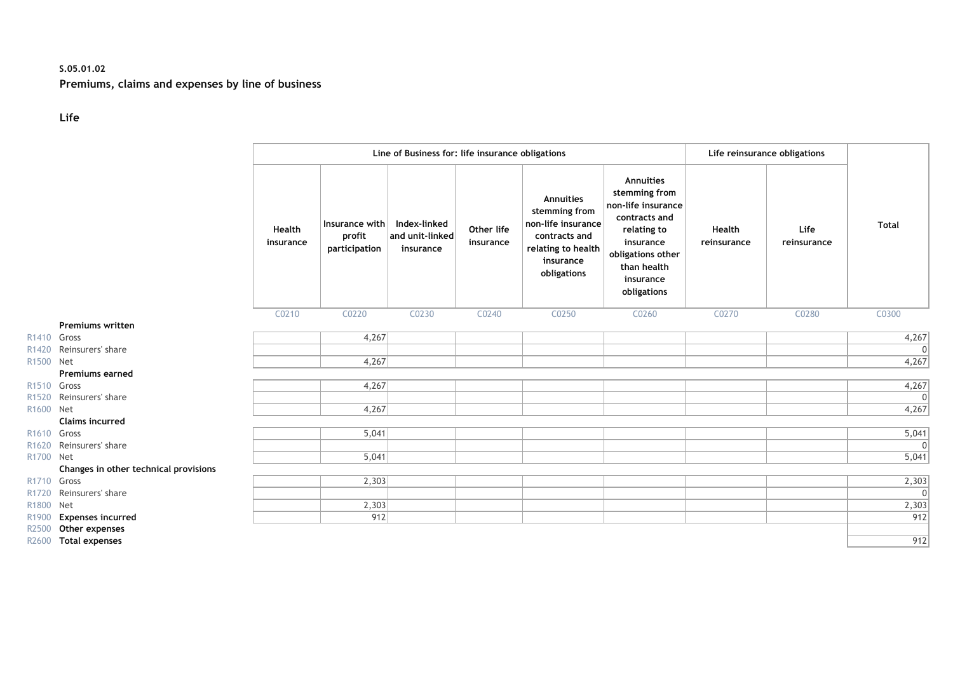#### **S.05.01.02 Premiums, claims and expenses by line of business**

#### **Life**

|                         |                                       |                     |                                           | Line of Business for: life insurance obligations |                         |                                                                                                                            |                                                                                                                                                               |                       | Life reinsurance obligations |              |
|-------------------------|---------------------------------------|---------------------|-------------------------------------------|--------------------------------------------------|-------------------------|----------------------------------------------------------------------------------------------------------------------------|---------------------------------------------------------------------------------------------------------------------------------------------------------------|-----------------------|------------------------------|--------------|
|                         |                                       | Health<br>insurance | Insurance with<br>profit<br>participation | Index-linked<br>and unit-linked<br>insurance     | Other life<br>insurance | <b>Annuities</b><br>stemming from<br>non-life insurance<br>contracts and<br>relating to health<br>insurance<br>obligations | Annuities<br>stemming from<br>non-life insurance<br>contracts and<br>relating to<br>insurance<br>obligations other<br>than health<br>insurance<br>obligations | Health<br>reinsurance | Life<br>reinsurance          | <b>Total</b> |
|                         |                                       | C0210               | C0220                                     | C0230                                            | C0240                   | C0250                                                                                                                      | C0260                                                                                                                                                         | C0270                 | C0280                        | C0300        |
|                         | <b>Premiums written</b>               |                     |                                           |                                                  |                         |                                                                                                                            |                                                                                                                                                               |                       |                              |              |
| R1410 Gross             |                                       |                     | 4,267                                     |                                                  |                         |                                                                                                                            |                                                                                                                                                               |                       |                              | 4,267        |
| R <sub>1420</sub>       | Reinsurers' share                     |                     |                                           |                                                  |                         |                                                                                                                            |                                                                                                                                                               |                       |                              | $\Omega$     |
| R <sub>1500</sub>       | <b>Net</b>                            |                     | 4,267                                     |                                                  |                         |                                                                                                                            |                                                                                                                                                               |                       |                              | 4,267        |
|                         | <b>Premiums earned</b>                |                     |                                           |                                                  |                         |                                                                                                                            |                                                                                                                                                               |                       |                              |              |
| R <sub>1510</sub> Gross |                                       |                     | 4,267                                     |                                                  |                         |                                                                                                                            |                                                                                                                                                               |                       |                              | 4,267        |
| R <sub>1520</sub>       | Reinsurers' share                     |                     |                                           |                                                  |                         |                                                                                                                            |                                                                                                                                                               |                       |                              | $\Omega$     |
| R1600 Net               |                                       |                     | 4,267                                     |                                                  |                         |                                                                                                                            |                                                                                                                                                               |                       |                              | 4,267        |
|                         | <b>Claims incurred</b>                |                     |                                           |                                                  |                         |                                                                                                                            |                                                                                                                                                               |                       |                              |              |
| R1610 Gross             |                                       |                     | 5,041                                     |                                                  |                         |                                                                                                                            |                                                                                                                                                               |                       |                              | 5,041        |
|                         | R1620 Reinsurers' share               |                     |                                           |                                                  |                         |                                                                                                                            |                                                                                                                                                               |                       |                              | $\Omega$     |
| R1700 Net               |                                       |                     | 5,041                                     |                                                  |                         |                                                                                                                            |                                                                                                                                                               |                       |                              | 5,041        |
|                         | Changes in other technical provisions |                     |                                           |                                                  |                         |                                                                                                                            |                                                                                                                                                               |                       |                              |              |
| R1710 Gross             |                                       |                     | 2,303                                     |                                                  |                         |                                                                                                                            |                                                                                                                                                               |                       |                              | 2,303        |
| R <sub>1720</sub>       | Reinsurers' share                     |                     |                                           |                                                  |                         |                                                                                                                            |                                                                                                                                                               |                       |                              | $\Omega$     |
| R1800                   | Net                                   |                     | 2,303                                     |                                                  |                         |                                                                                                                            |                                                                                                                                                               |                       |                              | 2,303        |
| R1900                   | <b>Expenses incurred</b>              |                     | 912                                       |                                                  |                         |                                                                                                                            |                                                                                                                                                               |                       |                              | 912          |
| R2500                   | Other expenses                        |                     |                                           |                                                  |                         |                                                                                                                            |                                                                                                                                                               |                       |                              |              |
| R2600                   | <b>Total expenses</b>                 |                     |                                           |                                                  |                         |                                                                                                                            |                                                                                                                                                               |                       |                              | 912          |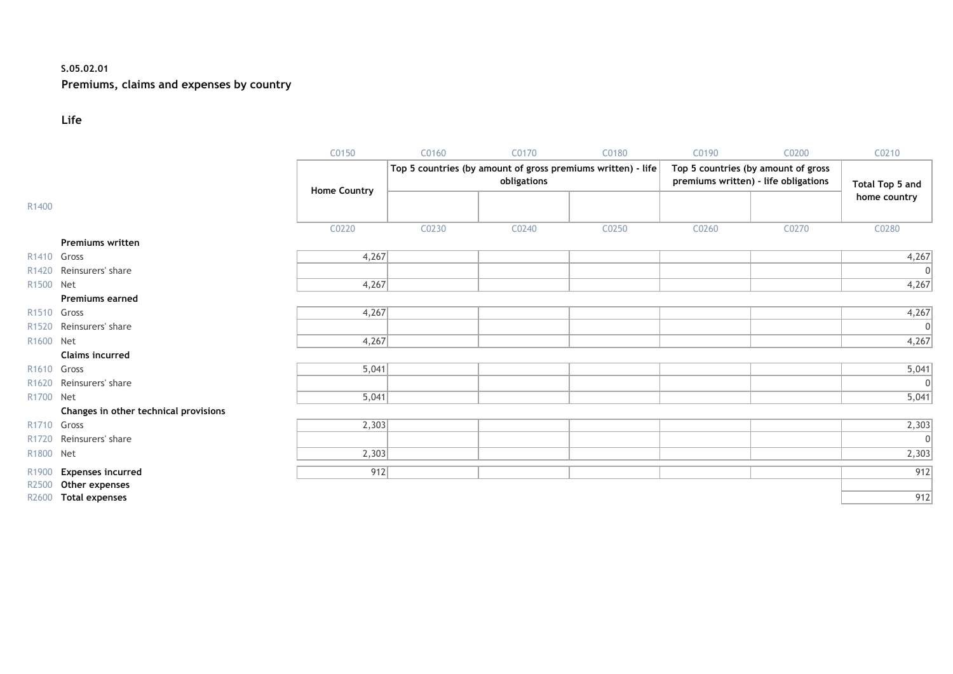#### **S.05.02.01**

#### **Premiums, claims and expenses by country**

#### **Life**

|                         |                                            | C0150               | C0160 | C0170       | C0180                                                        | C0190 | C0200                                                                       | C0210           |
|-------------------------|--------------------------------------------|---------------------|-------|-------------|--------------------------------------------------------------|-------|-----------------------------------------------------------------------------|-----------------|
|                         |                                            |                     |       | obligations | Top 5 countries (by amount of gross premiums written) - life |       | Top 5 countries (by amount of gross<br>premiums written) - life obligations | Total Top 5 and |
| R1400                   |                                            | <b>Home Country</b> |       |             |                                                              |       |                                                                             | home country    |
|                         |                                            | C0220               | C0230 | C0240       | C0250                                                        | C0260 | C0270                                                                       | C0280           |
|                         | <b>Premiums written</b>                    |                     |       |             |                                                              |       |                                                                             |                 |
| R <sub>1410</sub> Gross |                                            | 4,267               |       |             |                                                              |       |                                                                             | 4,267           |
|                         | R1420 Reinsurers' share                    |                     |       |             |                                                              |       |                                                                             | 0               |
| R1500 Net               |                                            | 4,267               |       |             |                                                              |       |                                                                             | 4,267           |
|                         | <b>Premiums earned</b>                     |                     |       |             |                                                              |       |                                                                             |                 |
| R1510 Gross             |                                            | 4,267               |       |             |                                                              |       |                                                                             | 4,267           |
| R <sub>1520</sub>       | Reinsurers' share                          |                     |       |             |                                                              |       |                                                                             | 0               |
| R1600 Net               |                                            | 4,267               |       |             |                                                              |       |                                                                             | 4,267           |
|                         | <b>Claims incurred</b>                     |                     |       |             |                                                              |       |                                                                             |                 |
| R <sub>1610</sub> Gross |                                            | 5,041               |       |             |                                                              |       |                                                                             | 5,041           |
| R <sub>1620</sub>       | Reinsurers' share                          |                     |       |             |                                                              |       |                                                                             | 0               |
| R1700 Net               |                                            | 5,041               |       |             |                                                              |       |                                                                             | 5,041           |
|                         | Changes in other technical provisions      |                     |       |             |                                                              |       |                                                                             |                 |
| R1710 Gross             |                                            | 2,303               |       |             |                                                              |       |                                                                             | 2,303           |
| R <sub>1720</sub>       | Reinsurers' share                          |                     |       |             |                                                              |       |                                                                             | 0               |
| R1800 Net               |                                            | 2,303               |       |             |                                                              |       |                                                                             | 2,303           |
| R1900<br>R2500          | <b>Expenses incurred</b><br>Other expenses | 912                 |       |             |                                                              |       |                                                                             | 912             |
| R2600                   | <b>Total expenses</b>                      |                     |       |             |                                                              |       |                                                                             | 912             |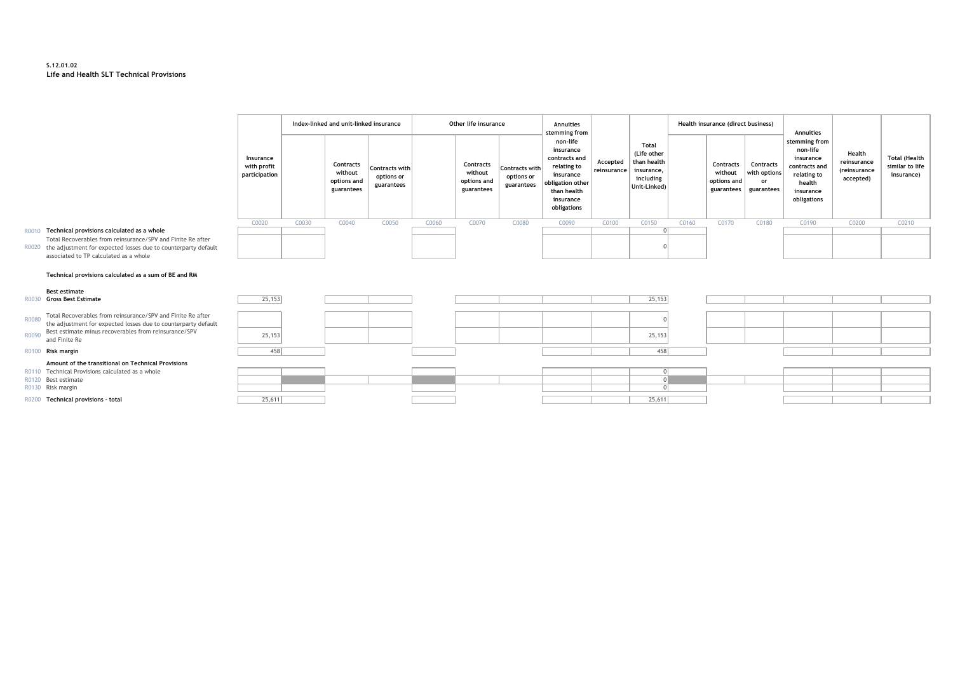#### **S.12.01.02 Life and Health SLT Technical Provisions**

|                                           |       | Index-linked and unit-linked insurance            |                                            |       | Other life insurance                              |                                            | Annuities<br>stemming from                                                                                                        |                         |                                                                                | Health insurance (direct business) |                                                   | Annuities                                     |                                                                                                              |                                                    |                                                       |
|-------------------------------------------|-------|---------------------------------------------------|--------------------------------------------|-------|---------------------------------------------------|--------------------------------------------|-----------------------------------------------------------------------------------------------------------------------------------|-------------------------|--------------------------------------------------------------------------------|------------------------------------|---------------------------------------------------|-----------------------------------------------|--------------------------------------------------------------------------------------------------------------|----------------------------------------------------|-------------------------------------------------------|
| Insurance<br>with profit<br>participation |       | Contracts<br>without<br>options and<br>guarantees | Contracts with<br>options or<br>guarantees |       | Contracts<br>without<br>options and<br>guarantees | Contracts with<br>options or<br>guarantees | non-life<br>insurance<br>contracts and<br>relating to<br>insurance<br>obligation other<br>than health<br>insurance<br>obligations | Accepted<br>reinsurance | Total<br>(Life other<br>than health<br>insurance,<br>including<br>Unit-Linked) |                                    | Contracts<br>without<br>options and<br>guarantees | Contracts<br>with options<br>or<br>guarantees | stemming from<br>non-life<br>insurance<br>contracts and<br>relating to<br>health<br>insurance<br>obligations | Health<br>reinsurance<br>(reinsurance<br>accepted) | <b>Total (Health</b><br>similar to life<br>insurance) |
| C0020                                     | C0030 | C0040                                             | C0050                                      | C0060 | C0070                                             | C0080                                      | C0090                                                                                                                             | C0100                   | C0150                                                                          | C0160                              | C0170                                             | C0180                                         | C0190                                                                                                        | C0200                                              | C0210                                                 |
|                                           |       |                                                   |                                            |       |                                                   |                                            |                                                                                                                                   |                         |                                                                                |                                    |                                                   |                                               |                                                                                                              |                                                    |                                                       |
| ılt                                       |       |                                                   |                                            |       |                                                   |                                            |                                                                                                                                   |                         |                                                                                |                                    |                                                   |                                               |                                                                                                              |                                                    |                                                       |

#### R0010 **Technical provisions calculated as a whole** 0

R0020 the adjustment for expected losses due to counterparty default Total Recoverables from reinsurance/SPV and Finite Re after associated to TP calculated as a whole

#### **Technical provisions calculated as a sum of BE and RM**

#### **Best estimate**<br>R0030 **Gross Best Estimate**

|       | Technical provisions calculated as a sum of BE and RM                                                                                                                                                         |         |  |  |  |         |  |  |
|-------|---------------------------------------------------------------------------------------------------------------------------------------------------------------------------------------------------------------|---------|--|--|--|---------|--|--|
|       | <b>Best estimate</b><br><b>Gross Best Estimate</b>                                                                                                                                                            | 25,153  |  |  |  | 25,153  |  |  |
| R0080 | Total Recoverables from reinsurance/SPV and Finite Re after<br>the adjustment for expected losses due to counterparty default<br>R0090 Best estimate minus recoverables from reinsurance/SPV<br>and Finite Re | 25, 153 |  |  |  | 25, 153 |  |  |
|       | R0100 Risk margin                                                                                                                                                                                             | 458     |  |  |  | 458     |  |  |
|       | Amount of the transitional on Technical Provisions                                                                                                                                                            |         |  |  |  |         |  |  |
|       | R0110 Technical Provisions calculated as a whole                                                                                                                                                              |         |  |  |  |         |  |  |
|       | R0120 Best estimate                                                                                                                                                                                           |         |  |  |  |         |  |  |
|       | R0130 Risk margin                                                                                                                                                                                             |         |  |  |  |         |  |  |
|       | R0200 Technical provisions - total                                                                                                                                                                            | 25,611  |  |  |  | 25,611  |  |  |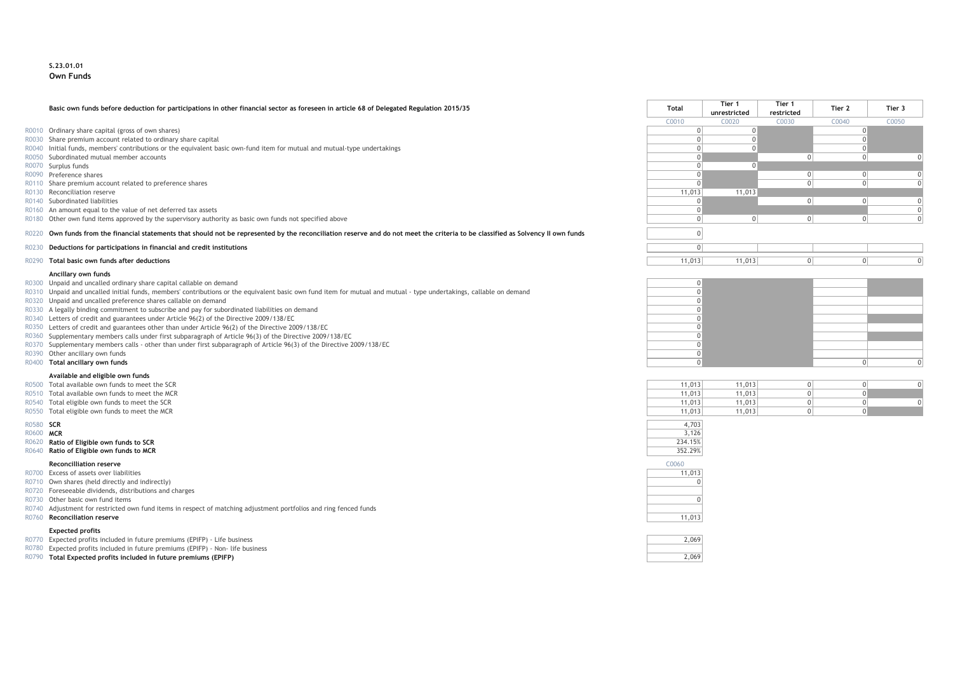#### **S.23.01.01 Own Funds**

#### **Basic own funds before deduction for participations in other financial sector as foreseen in article 68 of Delegated Regulation 2015/35 Total Tier 1**

- $R0010$  Ordinary share capital (gross of own shares)
- R0030 Share premium account related to ordinary share capital
- R0040 Initial funds, members' contributions or the equivalent basic own-fund item for mutual and mutual-type undertakings
- R0050 Subordinated mutual member accounts<br>R0070 Surplus funds
- 
- 
- R0110 Share premium account related to preference shares<br>R0130 Reconciliation reserve
- 
- 
- R0160 An amount equal to the value of net deferred tax assets
- R0180 Other own fund items approved by the supervisory authority as basic own funds not specified above

#### R0220 Own funds from the financial statements that should not be represented by the reconciliation reserve and do not meet the criteria to be classified as Solvency II own funds

- R0230 **Deductions for participations in financial and credit institutions** 0
- R0290 **Total basic own funds after deductions**

#### **Ancillary own funds**

- R0300 Unpaid and uncalled ordinary share capital callable on demand
- R0310 Unpaid and uncalled initial funds, members' contributions or the equivalent basic own fund item for mutual and mutual type undertakings, callable on demand
- R0320 Unpaid and uncalled preference shares callable on demand
- R0330 A legally binding commitment to subscribe and pay for subordinated liabilities on demand
- R0340 Letters of credit and guarantees under Article 96(2) of the Directive 2009/138/EC
- R0350 Letters of credit and guarantees other than under Article 96(2) of the Directive 2009/138/EC
- R0360 Supplementary members calls under first subparagraph of Article 96(3) of the Directive 2009/138/EC
- R0370 Supplementary members calls other than under first subparagraph of Article 96(3) of the Directive 2009/138/EC
- R0390 Other ancillary own funds<br>R0400 **Total ancillary own funds**
- 

#### **Available and eligible own funds**

- $R0500$  Total available own funds to meet the SCR
- $R0510$  Total available own funds to meet the MCR
- R0540 Total eligible own funds to meet the SCR
- R0550 Total eligible own funds to meet the MCR

#### R0620 **Ratio of Eligible own funds to SCR**

#### **Reconcilliation reserve** C0060

- R0700 Excess of assets over liabilities
- R0710 Own shares (held directly and indirectly)
- R0720 Foreseeable dividends, distributions and charges
- R0730 Other basic own fund items 0
- R0740 Adjustment for restricted own fund items in respect of matching adjustment portfolios and ring fenced funds

#### **Expected profits**

- R0770 Expected profits included in future premiums (EPIFP) Life business
- R0780 Expected profits included in future premiums (EPIFP) Non- life business
- R0790 **Total Expected profits included in future premiums (EPIFP)**

|       | Basic own funds before deduction for participations in other financial sector as foreseen in article 68 of Delegated Regulation 2015/35                                     | Total  | Tier 1<br>unrestricted | Tier 1<br>restricted | Tier 2 | Tier 3 |  |
|-------|-----------------------------------------------------------------------------------------------------------------------------------------------------------------------------|--------|------------------------|----------------------|--------|--------|--|
|       |                                                                                                                                                                             | C0010  | C0020                  | C0030                | C0040  | C0050  |  |
|       | R0010 Ordinary share capital (gross of own shares)                                                                                                                          |        |                        |                      |        |        |  |
|       | R0030 Share premium account related to ordinary share capital                                                                                                               |        |                        |                      |        |        |  |
|       | R0040 Initial funds, members' contributions or the equivalent basic own-fund item for mutual and mutual-type undertakings                                                   |        |                        |                      |        |        |  |
|       | R0050 Subordinated mutual member accounts                                                                                                                                   |        |                        |                      |        |        |  |
|       | R0070 Surplus funds                                                                                                                                                         |        |                        |                      |        |        |  |
|       | R0090 Preference shares                                                                                                                                                     |        |                        |                      |        |        |  |
|       | R0110 Share premium account related to preference shares                                                                                                                    |        |                        |                      |        |        |  |
|       | R0130 Reconciliation reserve                                                                                                                                                | 11,013 | 11,013                 |                      |        |        |  |
|       | R0140 Subordinated liabilities                                                                                                                                              |        |                        |                      |        |        |  |
|       | R0160 An amount equal to the value of net deferred tax assets                                                                                                               |        |                        |                      |        |        |  |
|       | R0180 Other own fund items approved by the supervisory authority as basic own funds not specified above                                                                     |        |                        |                      |        |        |  |
| R0220 | Own funds from the financial statements that should not be represented by the reconciliation reserve and do not meet the criteria to be classified as Solvency II own funds |        |                        |                      |        |        |  |
| R0230 | Deductions for participations in financial and credit institutions                                                                                                          |        |                        |                      |        |        |  |
|       | Total basic own funds after deductions                                                                                                                                      | 11.013 | 11.013                 |                      |        |        |  |

| R0300 Unpaid and uncalled ordinary share capital callable on demand                                                                                                 |  |  |  |
|---------------------------------------------------------------------------------------------------------------------------------------------------------------------|--|--|--|
| R0310 Unpaid and uncalled initial funds, members' contributions or the equivalent basic own fund item for mutual and mutual - type undertakings, callable on demand |  |  |  |
| R0320 Unpaid and uncalled preference shares callable on demand                                                                                                      |  |  |  |
| R0330 A legally binding commitment to subscribe and pay for subordinated liabilities on demand                                                                      |  |  |  |
| R0340 Letters of credit and guarantees under Article 96(2) of the Directive 2009/138/EC                                                                             |  |  |  |
| R0350 Letters of credit and guarantees other than under Article 96(2) of the Directive 2009/138/EC                                                                  |  |  |  |
| R0360 Supplementary members calls under first subparagraph of Article 96(3) of the Directive 2009/138/EC                                                            |  |  |  |
| R0370 Supplementary members calls - other than under first subparagraph of Article 96(3) of the Directive 2009/138/EC                                               |  |  |  |
| R0390 Other ancillary own funds                                                                                                                                     |  |  |  |
| R0400 Total ancillary own funds                                                                                                                                     |  |  |  |
|                                                                                                                                                                     |  |  |  |

| 11,013 | 11,013 |  |  |
|--------|--------|--|--|
| 11,013 | 11,013 |  |  |
| 11,013 | 11,013 |  |  |
| 11,013 | 11,013 |  |  |

| R0580 SCR |                                                 | 4,703   |
|-----------|-------------------------------------------------|---------|
| R0600 MCR |                                                 | 3.126   |
| R0620     | Ratio of Eligible own funds to SCR              | 234.15% |
| R0640     | Ratio of Eligible own funds to MCR              | 352.29% |
|           | <b>Reconcilliation reserve</b>                  | C0060   |
|           | R0700 Excess of assets over liabilities         | 11,013  |
|           | R0710 Own shares (held directly and indirectly) | OΙ      |



| ъ. |
|----|
|    |
|    |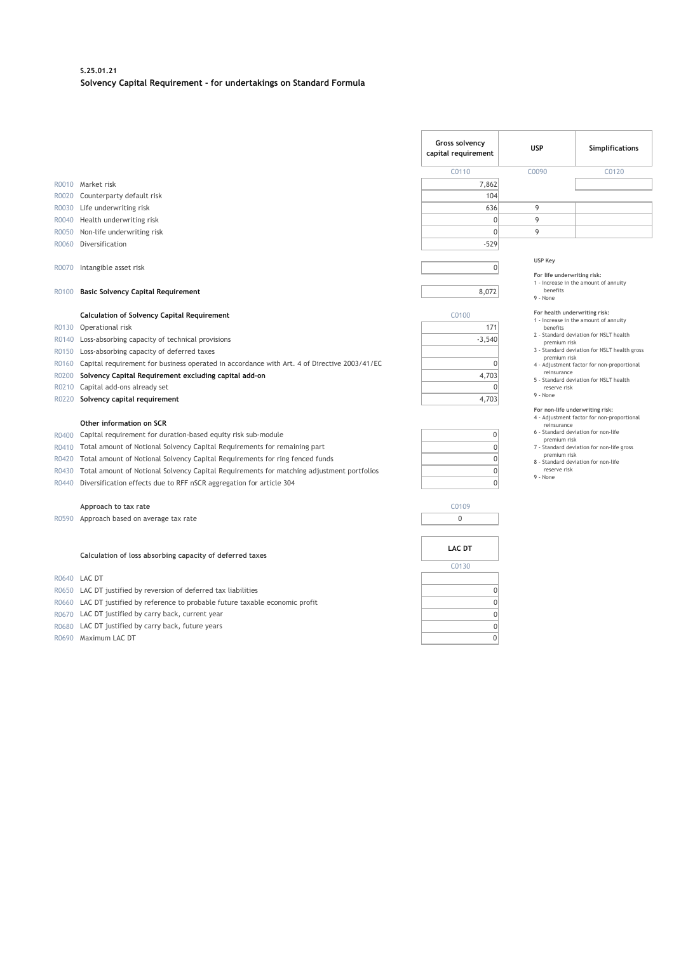#### **S.25.01.21 Solvency Capital Requirement - for undertakings on Standard Formula**

|                                           |                                                                                                                                                                                                                                                                                                                                                                                                                            | Gross solvency<br>capital requirement                            | <b>USP</b>                              | Simplifications                                                                                                                                                                                                                          |  |
|-------------------------------------------|----------------------------------------------------------------------------------------------------------------------------------------------------------------------------------------------------------------------------------------------------------------------------------------------------------------------------------------------------------------------------------------------------------------------------|------------------------------------------------------------------|-----------------------------------------|------------------------------------------------------------------------------------------------------------------------------------------------------------------------------------------------------------------------------------------|--|
|                                           |                                                                                                                                                                                                                                                                                                                                                                                                                            | C0110                                                            | C0090                                   | C <sub>0120</sub>                                                                                                                                                                                                                        |  |
|                                           | R0010 Market risk                                                                                                                                                                                                                                                                                                                                                                                                          | 7,862                                                            |                                         |                                                                                                                                                                                                                                          |  |
| R0020                                     | Counterparty default risk                                                                                                                                                                                                                                                                                                                                                                                                  | 104                                                              |                                         |                                                                                                                                                                                                                                          |  |
| R0030                                     | Life underwriting risk                                                                                                                                                                                                                                                                                                                                                                                                     | 636                                                              | 9                                       |                                                                                                                                                                                                                                          |  |
| R0040                                     | Health underwriting risk                                                                                                                                                                                                                                                                                                                                                                                                   | $\Omega$                                                         | 9                                       |                                                                                                                                                                                                                                          |  |
| R0050                                     | Non-life underwriting risk                                                                                                                                                                                                                                                                                                                                                                                                 | $\Omega$                                                         | 9                                       |                                                                                                                                                                                                                                          |  |
| R0060                                     | Diversification                                                                                                                                                                                                                                                                                                                                                                                                            | $-529$                                                           |                                         |                                                                                                                                                                                                                                          |  |
| R0070<br>R0100                            | Intangible asset risk<br><b>Basic Solvency Capital Requirement</b>                                                                                                                                                                                                                                                                                                                                                         | $\Omega$<br>8,072                                                | USP Key<br>benefits<br>9 - None         | For life underwriting risk:<br>1 - Increase in the amount of annuity                                                                                                                                                                     |  |
|                                           | <b>Calculation of Solvency Capital Requirement</b>                                                                                                                                                                                                                                                                                                                                                                         | C0100                                                            | For health underwriting risk:           |                                                                                                                                                                                                                                          |  |
| R0130                                     | Operational risk                                                                                                                                                                                                                                                                                                                                                                                                           | 171                                                              | benefits                                | 1 - Increase in the amount of annuity                                                                                                                                                                                                    |  |
| R0140                                     | Loss-absorbing capacity of technical provisions                                                                                                                                                                                                                                                                                                                                                                            | $-3,540$                                                         | premium risk                            | 2 - Standard deviation for NSLT health                                                                                                                                                                                                   |  |
| R0150                                     | Loss-absorbing capacity of deferred taxes                                                                                                                                                                                                                                                                                                                                                                                  |                                                                  |                                         | 3 - Standard deviation for NSLT health gross                                                                                                                                                                                             |  |
| R0160                                     | Capital requirement for business operated in accordance with Art. 4 of Directive 2003/41/EC                                                                                                                                                                                                                                                                                                                                | 0                                                                | premium risk                            | 4 - Adjustment factor for non-proportional                                                                                                                                                                                               |  |
| R0200                                     | Solvency Capital Requirement excluding capital add-on                                                                                                                                                                                                                                                                                                                                                                      | 4,703                                                            | reinsurance                             |                                                                                                                                                                                                                                          |  |
| R0210                                     | Capital add-ons already set                                                                                                                                                                                                                                                                                                                                                                                                | $\Omega$                                                         | reserve risk                            | 5 - Standard deviation for NSLT health                                                                                                                                                                                                   |  |
| R0220                                     | Solvency capital requirement                                                                                                                                                                                                                                                                                                                                                                                               | 4.703                                                            | 9 - None                                |                                                                                                                                                                                                                                          |  |
| R0400<br>R0410<br>R0420<br>R0430<br>R0440 | Other information on SCR<br>Capital requirement for duration-based equity risk sub-module<br>Total amount of Notional Solvency Capital Requirements for remaining part<br>Total amount of Notional Solvency Capital Requirements for ring fenced funds<br>Total amount of Notional Solvency Capital Requirements for matching adjustment portfolios<br>Diversification effects due to RFF nSCR aggregation for article 304 | $\mathbf{0}$<br>$\mathbf{0}$<br>$\Omega$<br>$\Omega$<br>$\Omega$ | reinsurance<br>reserve risk<br>9 - None | For non-life underwriting risk:<br>4 - Adjustment factor for non-proportional<br>6 - Standard deviation for non-life<br>premium risk<br>7 - Standard deviation for non-life gross<br>premium risk<br>8 - Standard deviation for non-life |  |
|                                           | Approach to tax rate                                                                                                                                                                                                                                                                                                                                                                                                       | C0109                                                            |                                         |                                                                                                                                                                                                                                          |  |
|                                           | R0590 Approach based on average tax rate                                                                                                                                                                                                                                                                                                                                                                                   | 0                                                                |                                         |                                                                                                                                                                                                                                          |  |
|                                           | Calculation of loss absorbing capacity of deferred taxes<br>R0640 LAC DT                                                                                                                                                                                                                                                                                                                                                   | <b>LAC DT</b><br>C0130                                           |                                         |                                                                                                                                                                                                                                          |  |

R0650 LAC DT justified by reversion of deferred tax liabilities 0

R0660 LAC DT justified by reference to probable future taxable economic profit<br>
R0670 LAC DT justified by carry back, current year<br>
R0680 LAC DT justified by carry back, future years<br>  $\frac{0}{0}$ 

R0670 LAC DT justified by carry back, current year

R0680 LAC DT justified by carry back, future years  $\frac{0}{0}$ <br>R0690 Maximum LAC DT

R0690 Maximum LAC DT